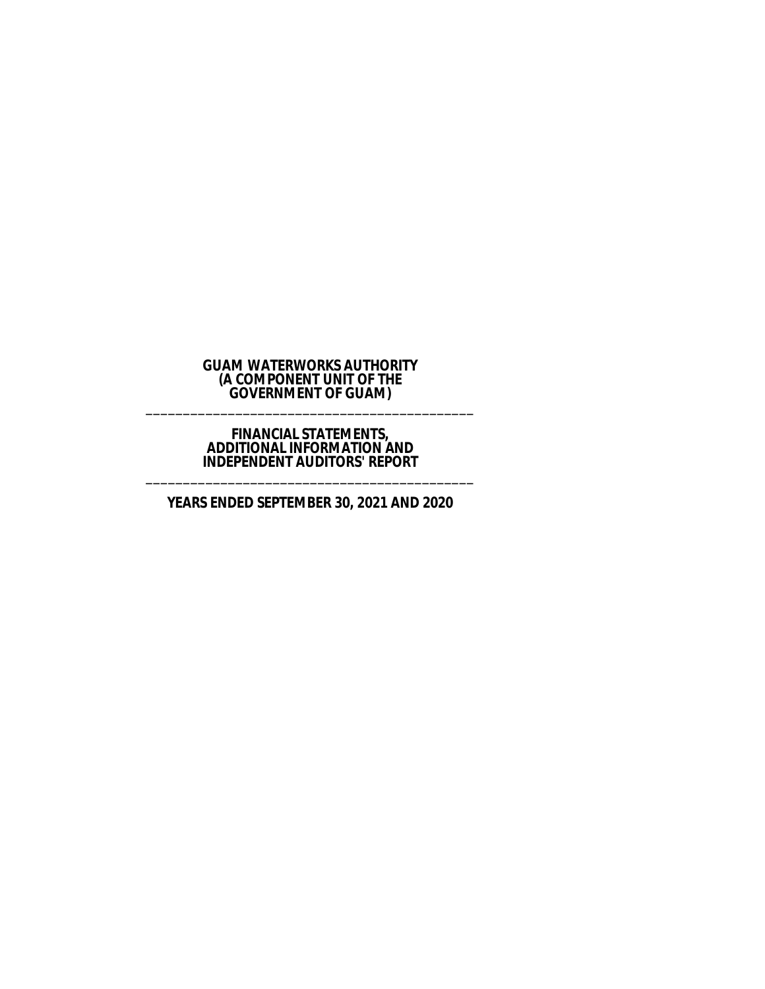### **GUAM WATERWORKS AUTHORITY (A COMPONENT UNIT OF THE GOVERNMENT OF GUAM)** \_\_\_\_\_\_\_\_\_\_\_\_\_\_\_\_\_\_\_\_\_\_\_\_\_\_\_\_\_\_\_\_\_\_\_\_\_\_\_\_\_\_\_\_

### **FINANCIAL STATEMENTS, ADDITIONAL INFORMATION AND INDEPENDENT AUDITORS' REPORT** \_\_\_\_\_\_\_\_\_\_\_\_\_\_\_\_\_\_\_\_\_\_\_\_\_\_\_\_\_\_\_\_\_\_\_\_\_\_\_\_\_\_\_\_

# **YEARS ENDED SEPTEMBER 30, 2021 AND 2020**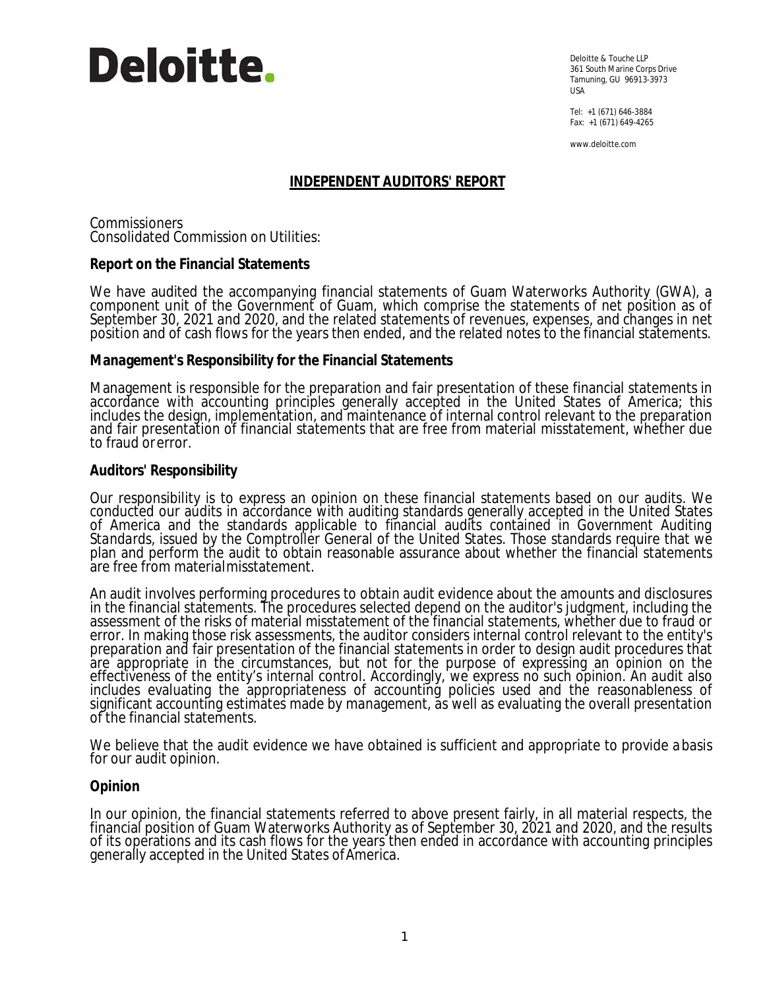

Deloitte & Touche LLP 361 South Marine Corps Drive Tamuning, GU 96913-3973 USA

Tel: +1 (671) 646-3884 Fax: +1 (671) 649-4265

www.deloitte.com

# **INDEPENDENT AUDITORS' REPORT**

Commissioners Consolidated Commission on Utilities:

**Report on the Financial Statements**

We have audited the accompanying financial statements of Guam Waterworks Authority (GWA), a component unit of the Government of Guam, which comprise the statements of net position as of September 30, 2021 and 2020, and the related statements of revenues, expenses, and changes in net position and of cash flows for the years then ended, and the related notes to the financial statements.

**Management's Responsibility for the Financial Statements**

Management is responsible for the preparation and fair presentation of these financial statements in accordance with accounting principles generally accepted in the United States of America; this includes the design, implementation, and maintenance of internal control relevant to the preparation and fair presentation of financial statements that are free from material misstatement, whether due to fraud or error.

## **Auditors' Responsibility**

Our responsibility is to express an opinion on these financial statements based on our audits. We conducted our audits in accordance with auditing standards generally accepted in the United States of America and the standards applicable to financial audits contained in *Government Auditing Standards,* issued by the Comptroller General of the United States. Those standards require that we plan and perform the audit to obtain reasonable assurance about whether the financial statements are free from material misstatement.

An audit involves performing procedures to obtain audit evidence about the amounts and disclosures in the financial statements. The procedures selected depend on the auditor's judgment, including the assessment of the risks of material misstatement of the financial statements, whether due to fraud or error. In making those risk assessments, the auditor considers internal control relevant to the entity's preparation and fair presentation of the financial statements in order to design audit procedures that are appropriate in the circumstances, but not for the purpose of expressing an opinion on the effectiveness of the entity's internal control. Accordingly, we express no such opinion. An audit also includes evaluating the appropriateness of accounting policies used and the reasonableness of significant accounting estimates made by management, as well as evaluating the overall presentation of the financial statements.

We believe that the audit evidence we have obtained is sufficient and appropriate to provide abasis for our audit opinion.

### **Opinion**

In our opinion, the financial statements referred to above present fairly, in all material respects, the financial position of Guam Waterworks Authority as of September 30, 2021 and 2020, and the results of its operations and its cash flows for the years then ended in accordance with accounting principles generally accepted in the United States of America.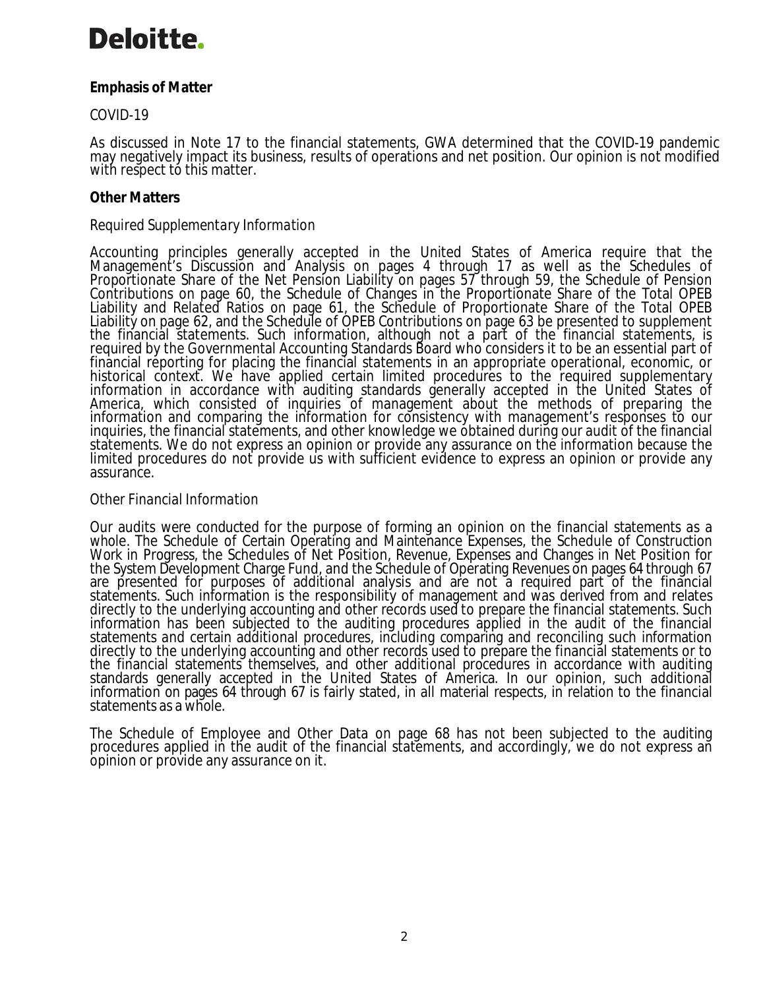# Deloitte.

**Emphasis of Matter**

*COVID-19*

As discussed in Note 17 to the financial statements, GWA determined that the COVID-19 pandemic may negatively impact its business, results of operations and net position. Our opinion is not modified with respect to this matter.

# **Other Matters**

# *Required Supplementary Information*

Accounting principles generally accepted in the United States of America require that the Management's Discussion and Analysis on pages 4 through 17 as well as the Schedules of Proportionate Share of the Net Pension Liability on pages 57 through 59, the Schedule of Pension Contributions on page 60, the Schedule of Changes in the Proportionate Share of the Total OPEB Liability and Related Ratios on page 61, the Schedule of Proportionate Share of the Total OPEB Liability on page 62, and the Schedule of OPEB Contributions on page 63 be presented to supplement the financial statements. Such information, although not a part of the financial statements, is required by the Governmental Accounting Standards Board who considers it to be an essential part of financial réporting for placing the financial statements in an appropriate operational, economic, or historical context. We have applied certain limited procedures to the required supplementary information in accordance with auditing standards generally accepted in the United States of America, which consisted of inquiries of management about the methods of preparing the information and comparing the information for consistency with management's responses to our inquiries, the financial statements, and other knowledge we obtained during our audit of the financial statements. We do not express an opinion or provide any assurance on the information because the limited procedures do not provide us with sufficient evidence to express an opinion or provide any assurance.

# *Other Financial Information*

Our audits were conducted for the purpose of forming an opinion on the financial statements as a whole. The Schedule of Certain Operating and Maintenance Expenses, the Schedule of Construction Work in Progress, the Schedules of Net Position, Revenue, Expenses and Changes in Net Position for the System Development Charge Fund, and the Schedule of Operating Revenues on pages 64 through 67 are presented for purposes of additional analysis and are not a required part of the financial statements. Such information is the responsibility of management and was derived from and relates directly to the underlying accounting and other records used to prepare the financial statements. Such information has been subjected to the auditing procedures applied in the audit of the financial statements and certain additional procedures, including comparing and reconciling such information directly to the underlying accounting and other records used to prepare the financial statements or to the financial statements themselves, and other additional procedures in accordance with auditing standards generally accepted in the United States of America. In our opinion, such additional information on pages 64 through 67 is fairly stated, in all material respects, in relation to the financial statements as a whole.

The Schedule of Employee and Other Data on page 68 has not been subjected to the auditing procedures applied in the audit of the financial statements, and accordingly, we do not express an opinion or provide any assurance on it.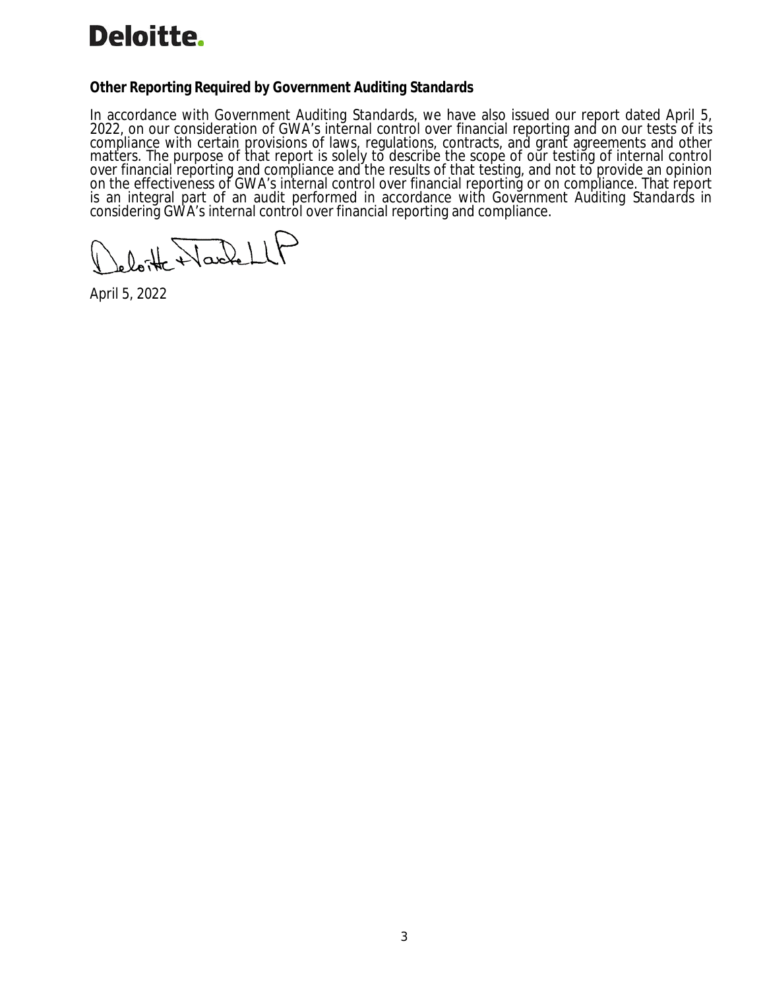# **Deloitte.**

**Other Reporting Required by** *Government Auditing Standards*

In accordance with *Government Auditing Standards*, we have also issued our report dated April 5, 2022, on our consideration of GWA's internal control over financial reporting and on our tests of its compliance with certain provisions of laws, regulations, contracts, and grant agreements and other matters. The purpose of that report is solely to describe the scope of our testing of internal control over financial reporting and compliance and the results of that testing, and not to provide an opinion on the effectiveness of GWA's internal control over financial reporting or on compliance. That report is an integral part of an audit performed in accordance with *Government Auditing Standards* in considering GWA's internal control over financial reporting and compliance.

leloitte Narbell

April 5, 2022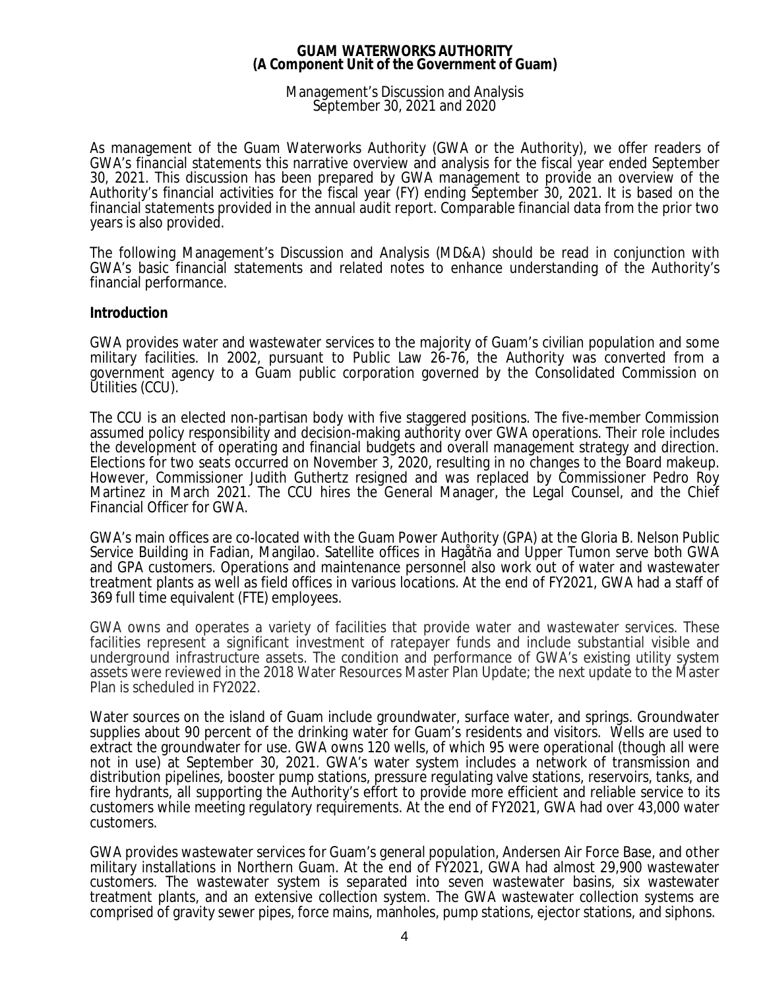### Management's Discussion and Analysis September 30, 2021 and 2020

As management of the Guam Waterworks Authority (GWA or the Authority), we offer readers of GWA's financial statements this narrative overview and analysis for the fiscal year ended September 30, 2021. This discussion has been prepared by GWA management to provide an overview of the Authority's financial activities for the fiscal year (FY) ending September 30, 2021. It is based on the financial statements provided in the annual audit report. Comparable financial data from the prior two years is also provided.

The following Management's Discussion and Analysis (MD&A) should be read in conjunction with GWA's basic financial statements and related notes to enhance understanding of the Authority's financial performance.

### **Introduction**

GWA provides water and wastewater services to the majority of Guam's civilian population and some military facilities. In 2002, pursuant to Public Law 26-76, the Authority was converted from a government agency to a Guam public corporation governed by the Consolidated Commission on Utilities (CCU).

The CCU is an elected non-partisan body with five staggered positions. The five-member Commission assumed policy responsibility and decision-making authority over GWA operations. Their role includes the development of operating and financial budgets and overall management strategy and direction. Elections for two seats occurred on November 3, 2020, resulting in no changes to the Board makeup. However, Commissioner Judith Guthertz resigned and was replaced by Commissioner Pedro Roy Martinez in March 2021. The CCU hires the General Manager, the Legal Counsel, and the Chief Financial Officer for GWA.

GWA's main offices are co-located with the Guam Power Authority (GPA) at the Gloria B. Nelson Public Service Building in Fadian, Mangilao. Satellite offices in Hagåtňa and Upper Tumon serve both GWA and GPA customers. Operations and maintenance personnel also work out of water and wastewater treatment plants as well as field offices in various locations. At the end of FY2021, GWA had a staff of 369 full time equivalent (FTE) employees.

GWA owns and operates a variety of facilities that provide water and wastewater services. These facilities represent a significant investment of ratepayer funds and include substantial visible and underground infrastructure assets. The condition and performance of GWA's existing utility system assets were reviewed in the 2018 Water Resources Master Plan Update; the next update to the Master Plan is scheduled in FY2022.

Water sources on the island of Guam include groundwater, surface water, and springs. Groundwater supplies about 90 percent of the drinking water for Guam's residents and visitors. Wells are used to extract the groundwater for use. GWA owns 120 wells, of which 95 were operational (though all were not in use) at September 30, 2021. GWA's water system includes a network of transmission and distribution pipelines, booster pump stations, pressure regulating valve stations, reservoirs, tanks, and fire hydrants, all supporting the Authority's effort to provide more efficient and reliable service to its customers while meeting regulatory requirements. At the end of FY2021, GWA had over 43,000 water customers.

GWA provides wastewater services for Guam's general population, Andersen Air Force Base, and other military installations in Northern Guam. At the end of FY2021, GWA had almost 29,900 wastewater customers. The wastewater system is separated into seven wastewater basins, six wastewater treatment plants, and an extensive collection system. The GWA wastewater collection systems are comprised of gravity sewer pipes, force mains, manholes, pump stations, ejector stations, and siphons.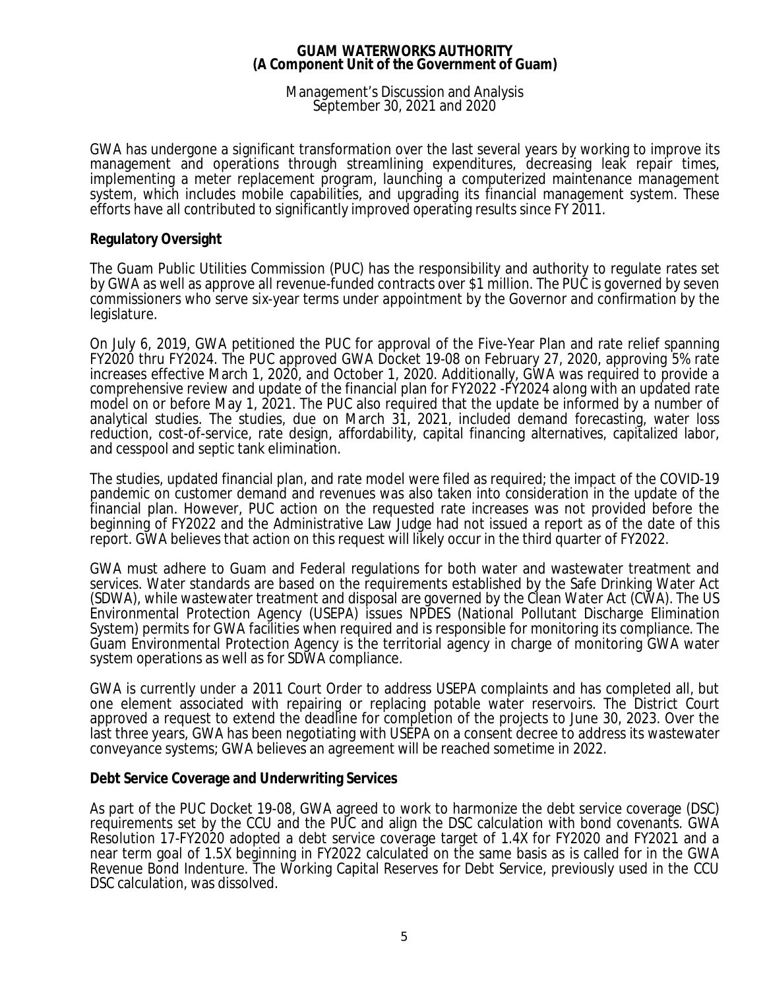### Management's Discussion and Analysis September 30, 2021 and 2020

GWA has undergone a significant transformation over the last several years by working to improve its management and operations through streamlining expenditures, decreasing leak repair times, implementing a meter replacement program, launching a computerized maintenance management system, which includes mobile capabilities, and upgrading its financial management system. These efforts have all contributed to significantly improved operating results since FY 2011.

### **Regulatory Oversight**

The Guam Public Utilities Commission (PUC) has the responsibility and authority to regulate rates set by GWA as well as approve all revenue-funded contracts over \$1 million. The PUC is governed by seven commissioners who serve six-year terms under appointment by the Governor and confirmation by the legislature.

On July 6, 2019, GWA petitioned the PUC for approval of the Five-Year Plan and rate relief spanning FY2020 thru FY2024. The PUC approved GWA Docket 19-08 on February 27, 2020, approving 5% rate increases effective March 1, 2020, and October 1, 2020. Additionally, GWA was required to provide a comprehensive review and update of the financial plan for FY2022 -FY2024 along with an updated rate model on or before May 1, 2021. The PUC also required that the update be informed by a number of analytical studies. The studies, due on March 31, 2021, included demand forecasting, water loss reduction, cost-of-service, rate design, affordability, capital financing alternatives, capitalized labor, and cesspool and septic tank elimination.

The studies, updated financial plan, and rate model were filed as required; the impact of the COVID-19 pandemic on customer demand and revenues was also taken into consideration in the update of the financial plan. However, PUC action on the requested rate increases was not provided before the beginning of FY2022 and the Administrative Law Judge had not issued a report as of the date of this report. GWA believes that action on this request will likely occur in the third quarter of FY2022.

GWA must adhere to Guam and Federal regulations for both water and wastewater treatment and services. Water standards are based on the requirements established by the Safe Drinking Water Act (SDWA), while wastewater treatment and disposal are governed by the Clean Water Act (CWA). The US Environmental Protection Agency (USEPA) issues NPDES (National Pollutant Discharge Elimination System) permits for GWA facilities when required and is responsible for monitoring its compliance. The Guam Environmental Protection Agency is the territorial agency in charge of monitoring GWA water system operations as well as for SDWA compliance.

GWA is currently under a 2011 Court Order to address USEPA complaints and has completed all, but one element associated with repairing or replacing potable water reservoirs. The District Court approved a request to extend the deadline for completion of the projects to June 30, 2023. Over the last three years, GWA has been negotiating with USEPA on a consent decree to address its wastewater conveyance systems; GWA believes an agreement will be reached sometime in 2022.

### **Debt Service Coverage and Underwriting Services**

As part of the PUC Docket 19-08, GWA agreed to work to harmonize the debt service coverage (DSC) requirements set by the CCU and the PUC and align the DSC calculation with bond covenants. GWA Resolution 17-FY2020 adopted a debt service coverage target of 1.4X for FY2020 and FY2021 and a near term goal of 1.5X beginning in FY2022 calculated on the same basis as is called for in the GWA Revenue Bond Indenture. The Working Capital Reserves for Debt Service, previously used in the CCU DSC calculation, was dissolved.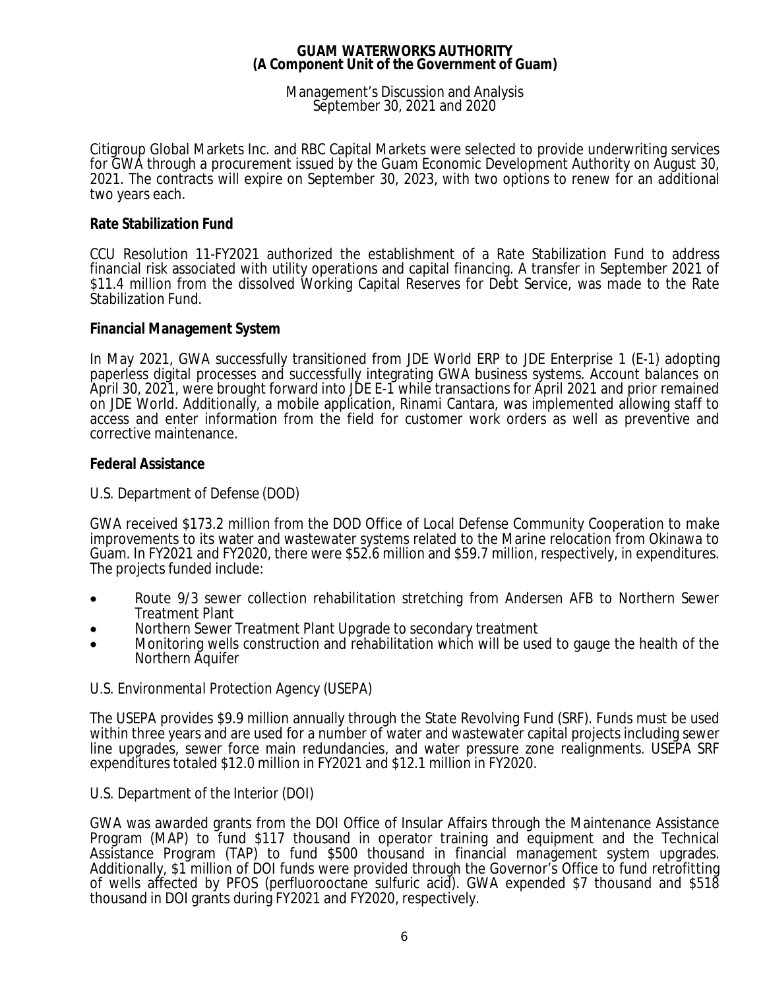### Management's Discussion and Analysis September 30, 2021 and 2020

Citigroup Global Markets Inc. and RBC Capital Markets were selected to provide underwriting services for GWA through a procurement issued by the Guam Economic Development Authority on August 30, 2021. The contracts will expire on September 30, 2023, with two options to renew for an additional two years each.

## **Rate Stabilization Fund**

CCU Resolution 11-FY2021 authorized the establishment of a Rate Stabilization Fund to address financial risk associated with utility operations and capital financing. A transfer in September 2021 of \$11.4 million from the dissolved Working Capital Reserves for Debt Service, was made to the Rate Stabilization Fund.

## **Financial Management System**

In May 2021, GWA successfully transitioned from JDE World ERP to JDE Enterprise 1 (E-1) adopting paperless digital processes and successfully integrating GWA business systems. Account balances on April 30, 2021, were brought forward into JDE E-1 while transactions for April 2021 and prior remained on JDE World. Additionally, a mobile application, Rinami Cantara, was implemented allowing staff to access and enter information from the field for customer work orders as well as preventive and corrective maintenance.

## **Federal Assistance**

# *U.S. Department of Defense (DOD)*

GWA received \$173.2 million from the DOD Office of Local Defense Community Cooperation to make improvements to its water and wastewater systems related to the Marine relocation from Okinawa to Guam. In FY2021 and FY2020, there were \$52.6 million and \$59.7 million, respectively, in expenditures. The projects funded include:

- · Route 9/3 sewer collection rehabilitation stretching from Andersen AFB to Northern Sewer Treatment Plant
- Northern Sewer Treatment Plant Upgrade to secondary treatment
- · Monitoring wells construction and rehabilitation which will be used to gauge the health of the Northern Aquifer

### *U.S. Environmental Protection Agency (USEPA)*

The USEPA provides \$9.9 million annually through the State Revolving Fund (SRF). Funds must be used within three years and are used for a number of water and wastewater capital projects including sewer line upgrades, sewer force main redundancies, and water pressure zone realignments. USEPA SRF expenditures totaled \$12.0 million in FY2021 and \$12.1 million in FY2020.

### *U.S. Department of the Interior (DOI)*

GWA was awarded grants from the DOI Office of Insular Affairs through the Maintenance Assistance Program (MAP) to fund \$117 thousand in operator training and equipment and the Technical Assistance Program (TAP) to fund \$500 thousand in financial management system upgrades. Additionally, \$1 million of DOI funds were provided through the Governor's Office to fund retrofitting of wells affected by PFOS (perfluorooctane sulfuric acid). GWA expended \$7 thousand and \$518 thousand in DOI grants during FY2021 and FY2020, respectively.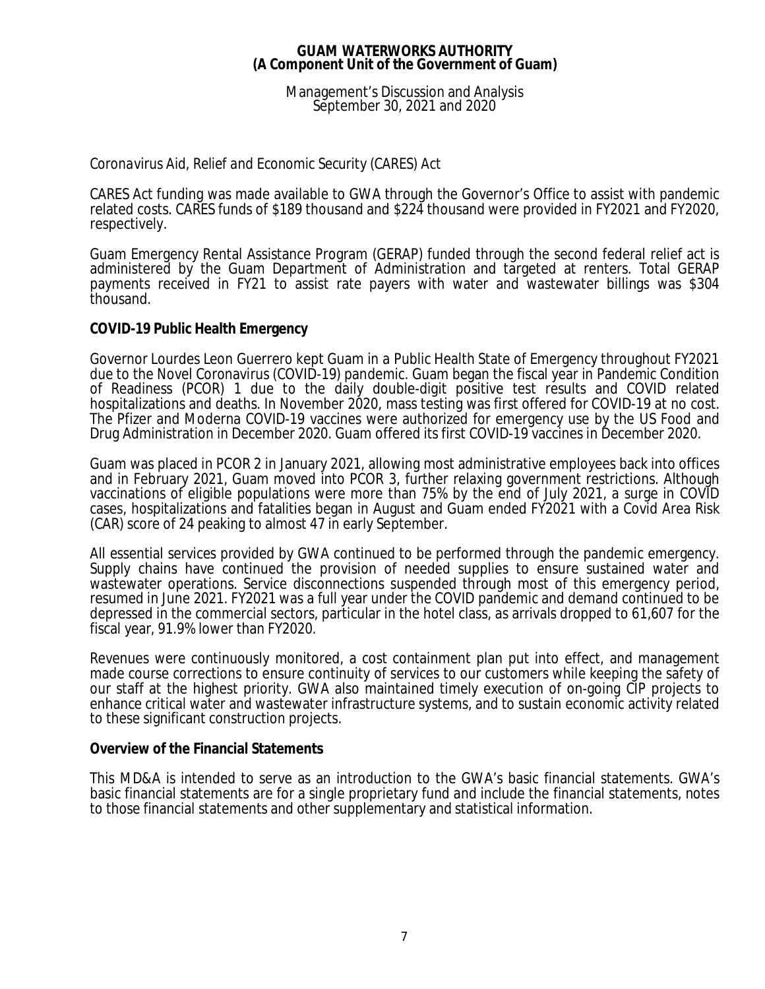Management's Discussion and Analysis September 30, 2021 and 2020

# *Coronavirus Aid, Relief and Economic Security (CARES) Act*

CARES Act funding was made available to GWA through the Governor's Office to assist with pandemic related costs. CARES funds of \$189 thousand and \$224 thousand were provided in FY2021 and FY2020, respectively.

Guam Emergency Rental Assistance Program (GERAP) funded through the second federal relief act is administered by the Guam Department of Administration and targeted at renters. Total GERAP payments received in FY21 to assist rate payers with water and wastewater billings was \$304 thousand.

### **COVID-19 Public Health Emergency**

Governor Lourdes Leon Guerrero kept Guam in a Public Health State of Emergency throughout FY2021 due to the Novel Coronavirus (COVID-19) pandemic. Guam began the fiscal year in Pandemic Condition of Readiness (PCOR) 1 due to the daily double-digit positive test results and COVID related hospitalizations and deaths. In November 2020, mass testing was first offered for COVID-19 at no cost. The Pfizer and Moderna COVID-19 vaccines were authorized for emergency use by the US Food and Drug Administration in December 2020. Guam offered its first COVID-19 vaccines in December 2020.

Guam was placed in PCOR 2 in January 2021, allowing most administrative employees back into offices and in February 2021, Guam moved into PCOR 3, further relaxing government restrictions. Although vaccinations of eligible populations were more than 75% by the end of July 2021, a surge in COVID cases, hospitalizations and fatalities began in August and Guam ended FY2021 with a Covid Area Risk (CAR) score of 24 peaking to almost 47 in early September.

All essential services provided by GWA continued to be performed through the pandemic emergency. Supply chains have continued the provision of needed supplies to ensure sustained water and wastewater operations. Service disconnections suspended through most of this emergency period, resumed in June 2021. FY2021 was a full year under the COVID pandemic and demand continued to be depressed in the commercial sectors, particular in the hotel class, as arrivals dropped to 61,607 for the fiscal year, 91.9% lower than FY2020.

Revenues were continuously monitored, a cost containment plan put into effect, and management made course corrections to ensure continuity of services to our customers while keeping the safety of our staff at the highest priority. GWA also maintained timely execution of on-going CIP projects to enhance critical water and wastewater infrastructure systems, and to sustain economic activity related to these significant construction projects.

### **Overview of the Financial Statements**

This MD&A is intended to serve as an introduction to the GWA's basic financial statements. GWA's basic financial statements are for a single proprietary fund and include the financial statements, notes to those financial statements and other supplementary and statistical information.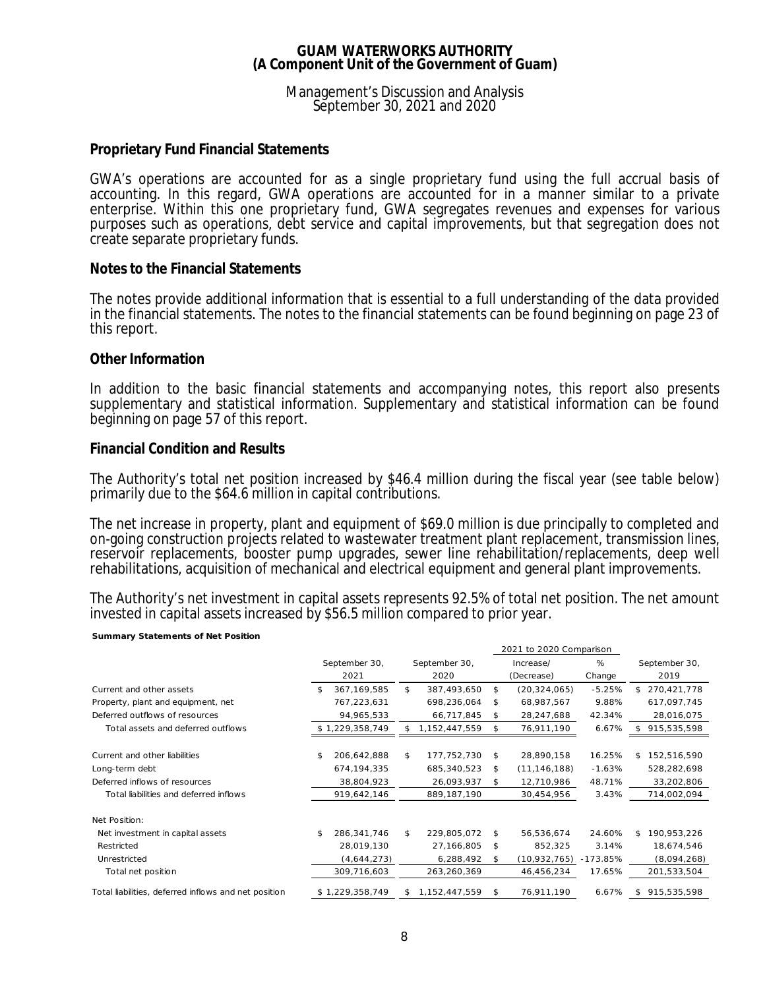### Management's Discussion and Analysis September 30, 2021 and 2020

## **Proprietary Fund Financial Statements**

GWA's operations are accounted for as a single proprietary fund using the full accrual basis of accounting. In this regard, GWA operations are accounted for in a manner similar to a private enterprise. Within this one proprietary fund, GWA segregates revenues and expenses for various purposes such as operations, debt service and capital improvements, but that segregation does not create separate proprietary funds.

### **Notes to the Financial Statements**

The notes provide additional information that is essential to a full understanding of the data provided in the financial statements. The notes to the financial statements can be found beginning on page 23 of this report.

### **Other Information**

In addition to the basic financial statements and accompanying notes, this report also presents supplementary and statistical information. Supplementary and statistical information can be found beginning on page 57 of this report.

### **Financial Condition and Results**

**Summary Statements of Net Position** 

The Authority's total net position increased by \$46.4 million during the fiscal year (see table below) primarily due to the \$64.6 million in capital contributions.

The net increase in property, plant and equipment of \$69.0 million is due principally to completed and on-going construction projects related to wastewater treatment plant replacement, transmission lines, reservoir replacements, booster pump upgrades, sewer line rehabilitation/replacements, deep well rehabilitations, acquisition of mechanical and electrical equipment and general plant improvements.

The Authority's net investment in capital assets represents 92.5% of total net position. The net amount invested in capital assets increased by \$56.5 million compared to prior year.

|                                                      | 2021 to 2020 Comparison |                 |    |                  |    |                |            |     |               |
|------------------------------------------------------|-------------------------|-----------------|----|------------------|----|----------------|------------|-----|---------------|
|                                                      |                         | September 30,   |    | September 30,    |    | Increase/      | %          |     | September 30, |
|                                                      |                         | 2021            |    | 2020             |    | (Decrease)     | Change     |     | 2019          |
| Current and other assets                             | \$                      | 367, 169, 585   | \$ | 387,493,650      | \$ | (20, 324, 065) | $-5.25%$   |     | \$270,421,778 |
| Property, plant and equipment, net                   |                         | 767,223,631     |    | 698,236,064      | \$ | 68,987,567     | 9.88%      |     | 617,097,745   |
| Deferred outflows of resources                       |                         | 94,965,533      |    | 66,717,845       | \$ | 28,247,688     | 42.34%     |     | 28,016,075    |
| Total assets and deferred outflows                   |                         | \$1,229,358,749 |    | 1, 152, 447, 559 | \$ | 76,911,190     | 6.67%      |     | 915,535,598   |
|                                                      |                         |                 |    |                  |    |                |            |     |               |
| Current and other liabilities                        | \$                      | 206,642,888     | \$ | 177,752,730      | \$ | 28,890,158     | 16.25%     | \$. | 152,516,590   |
| Long-term debt                                       |                         | 674, 194, 335   |    | 685,340,523      | \$ | (11, 146, 188) | $-1.63%$   |     | 528,282,698   |
| Deferred inflows of resources                        |                         | 38,804,923      |    | 26,093,937       | \$ | 12,710,986     | 48.71%     |     | 33,202,806    |
| Total liabilities and deferred inflows               |                         | 919,642,146     |    | 889,187,190      |    | 30,454,956     | 3.43%      |     | 714,002,094   |
| Net Position:                                        |                         |                 |    |                  |    |                |            |     |               |
| Net investment in capital assets                     | \$                      | 286,341,746     | \$ | 229,805,072      | \$ | 56,536,674     | 24.60%     | \$  | 190,953,226   |
| Restricted                                           |                         | 28,019,130      |    | 27,166,805       | \$ | 852,325        | 3.14%      |     | 18,674,546    |
| Unrestricted                                         |                         | (4,644,273)     |    | 6,288,492        | \$ | (10,932,765)   | $-173.85%$ |     | (8,094,268)   |
| Total net position                                   |                         | 309,716,603     |    | 263,260,369      |    | 46,456,234     | 17.65%     |     | 201,533,504   |
| Total liabilities, deferred inflows and net position |                         | \$1,229,358,749 | S. | 1,152,447,559    | \$ | 76,911,190     | 6.67%      | \$  | 915,535,598   |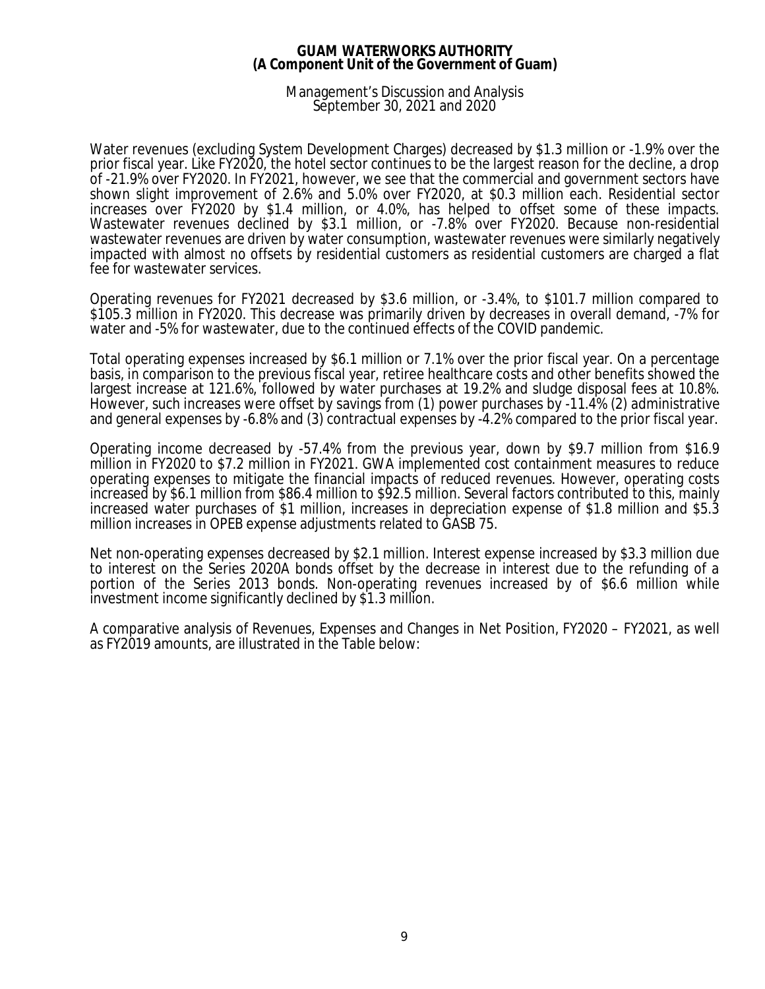### Management's Discussion and Analysis September 30, 2021 and 2020

Water revenues (excluding System Development Charges) decreased by \$1.3 million or -1.9% over the prior fiscal year. Like FY2020, the hotel sector continues to be the largest reason for the decline, a drop of -21.9% over FY2020. In FY2021, however, we see that the commercial and government sectors have shown slight improvement of 2.6% and 5.0% over FY2020, at \$0.3 million each. Residential sector increases over FY2020 by \$1.4 million, or 4.0%, has helped to offset some of these impacts. Wastewater revenues declined by \$3.1 million, or -7.8% over FY2020. Because non-residential wastewater revenues are driven by water consumption, wastewater revenues were similarly negatively impacted with almost no offsets by residential customers as residential customers are charged a flat fee for wastewater services.

Operating revenues for FY2021 decreased by \$3.6 million, or -3.4%, to \$101.7 million compared to \$105.3 million in FY2020. This decrease was primarily driven by decreases in overall demand, -7% for water and -5% for wastewater, due to the continued effects of the COVID pandemic.

Total operating expenses increased by \$6.1 million or 7.1% over the prior fiscal year. On a percentage basis, in comparison to the previous fiscal year, retiree healthcare costs and other benefits showed the largest increase at 121.6%, followed by water purchases at 19.2% and sludge disposal fees at 10.8%. However, such increases were offset by savings from (1) power purchases by -11.4% (2) administrative and general expenses by -6.8% and (3) contractual expenses by -4.2% compared to the prior fiscal year.

Operating income decreased by -57.4% from the previous year, down by \$9.7 million from \$16.9 million in FY2020 to \$7.2 million in FY2021. GWA implemented cost containment measures to reduce operating expenses to mitigate the financial impacts of reduced revenues. However, operating costs increased by \$6.1 million from \$86.4 million to \$92.5 million. Several factors contributed to this, mainly increased water purchases of \$1 million, increases in depreciation expense of \$1.8 million and \$5.3 million increases in OPEB expense adjustments related to GASB 75.

Net non-operating expenses decreased by \$2.1 million. Interest expense increased by \$3.3 million due to interest on the Series 2020A bonds offset by the decrease in interest due to the refunding of a portion of the Series 2013 bonds. Non-operating revenues increased by of \$6.6 million while investment income significantly declined by \$1.3 million.

A comparative analysis of Revenues, Expenses and Changes in Net Position, FY2020 – FY2021, as well as FY2019 amounts, are illustrated in the Table below: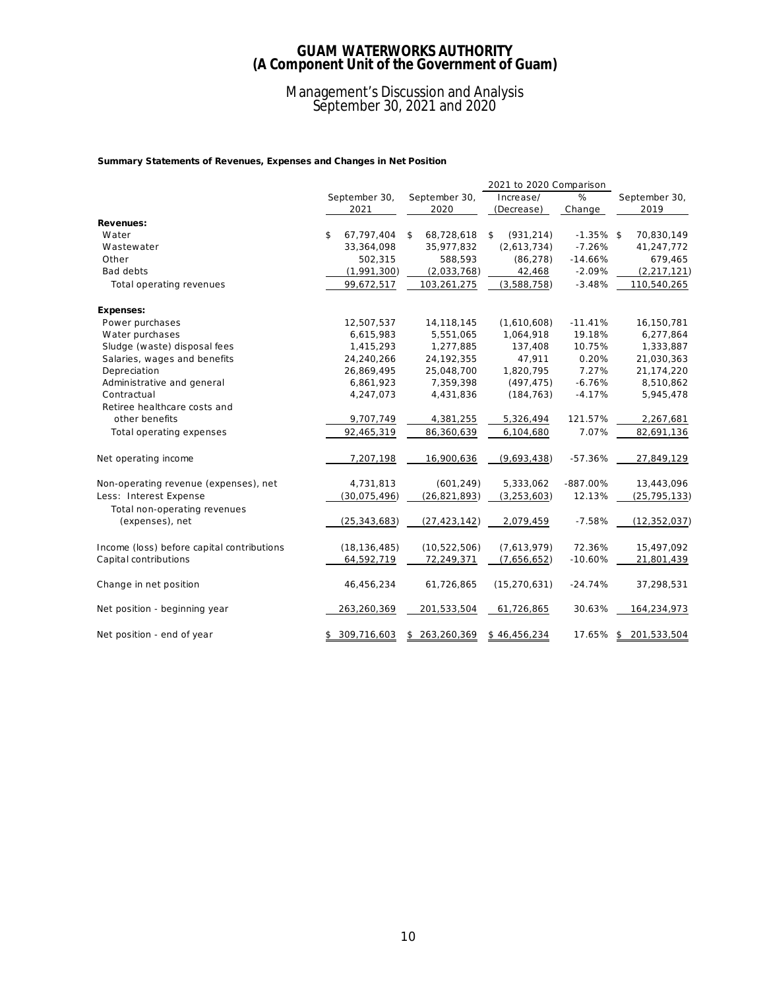### Management's Discussion and Analysis September 30, 2021 and 2020

**Summary Statements of Revenues, Expenses and Changes in Net Position**

|                                            |                   |                   | 2021 to 2020 Comparison |              |                   |
|--------------------------------------------|-------------------|-------------------|-------------------------|--------------|-------------------|
|                                            | September 30,     | September 30,     | Increase/               | %            | September 30,     |
|                                            | 2021              | 2020              | (Decrease)              | Change       | 2019              |
| Revenues:                                  |                   |                   |                         |              |                   |
| Water                                      | \$<br>67,797,404  | \$<br>68,728,618  | (931, 214)<br>\$        | $-1.35\%$ \$ | 70,830,149        |
| Wastewater                                 | 33,364,098        | 35,977,832        | (2,613,734)             | $-7.26%$     | 41,247,772        |
| Other                                      | 502,315           | 588,593           | (86, 278)               | $-14.66%$    | 679,465           |
| Bad debts                                  | (1,991,300)       | (2,033,768)       | 42,468                  | $-2.09%$     | (2, 217, 121)     |
| Total operating revenues                   | 99,672,517        | 103,261,275       | (3,588,758)             | $-3.48%$     | 110,540,265       |
| Expenses:                                  |                   |                   |                         |              |                   |
| Power purchases                            | 12,507,537        | 14, 118, 145      | (1,610,608)             | $-11.41%$    | 16,150,781        |
| Water purchases                            | 6,615,983         | 5,551,065         | 1,064,918               | 19.18%       | 6,277,864         |
| Sludge (waste) disposal fees               | 1,415,293         | 1,277,885         | 137,408                 | 10.75%       | 1,333,887         |
| Salaries, wages and benefits               | 24,240,266        | 24,192,355        | 47,911                  | 0.20%        | 21,030,363        |
| Depreciation                               | 26,869,495        | 25,048,700        | 1,820,795               | 7.27%        | 21, 174, 220      |
| Administrative and general                 | 6,861,923         | 7,359,398         | (497, 475)              | $-6.76%$     | 8,510,862         |
| Contractual                                | 4,247,073         | 4,431,836         | (184, 763)              | $-4.17%$     | 5,945,478         |
| Retiree healthcare costs and               |                   |                   |                         |              |                   |
| other benefits                             | 9,707,749         | 4,381,255         | 5,326,494               | 121.57%      | 2,267,681         |
| Total operating expenses                   | 92,465,319        | 86,360,639        | 6,104,680               | 7.07%        | 82,691,136        |
| Net operating income                       | 7,207,198         | 16,900,636        | (9,693,438)             | $-57.36%$    | 27,849,129        |
| Non-operating revenue (expenses), net      | 4,731,813         | (601, 249)        | 5,333,062               | $-887.00\%$  | 13,443,096        |
| Less: Interest Expense                     | (30,075,496)      | (26, 821, 893)    | (3, 253, 603)           | 12.13%       | (25, 795, 133)    |
| Total non-operating revenues               |                   |                   |                         |              |                   |
| (expenses), net                            | (25, 343, 683)    | (27, 423, 142)    | 2,079,459               | $-7.58%$     | (12, 352, 037)    |
| Income (loss) before capital contributions | (18, 136, 485)    | (10, 522, 506)    | (7,613,979)             | 72.36%       | 15,497,092        |
| Capital contributions                      | 64,592,719        | 72,249,371        | (7,656,652)             | $-10.60%$    | 21,801,439        |
| Change in net position                     | 46,456,234        | 61,726,865        | (15, 270, 631)          | $-24.74%$    | 37,298,531        |
| Net position - beginning year              | 263,260,369       | 201,533,504       | 61,726,865              | 30.63%       | 164,234,973       |
| Net position - end of year                 | \$<br>309,716,603 | \$<br>263,260,369 | \$46,456,234            | 17.65%       | \$<br>201,533,504 |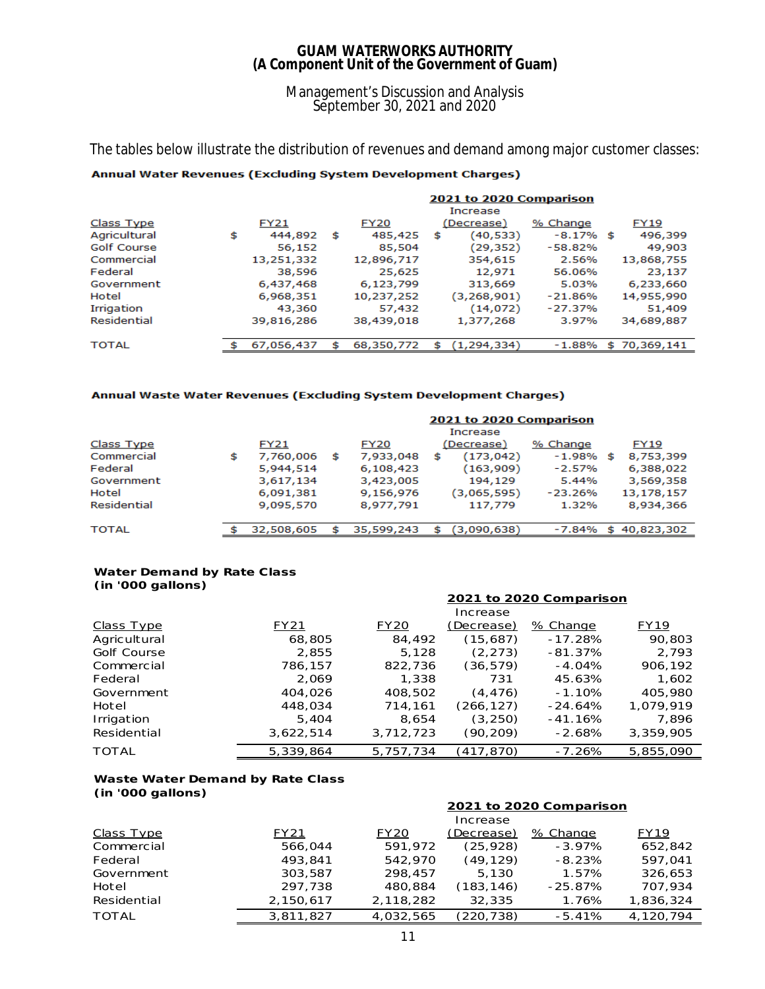### Management's Discussion and Analysis September 30, 2021 and 2020

The tables below illustrate the distribution of revenues and demand among major customer classes:

### Annual Water Revenues (Excluding System Development Charges)

|                    | 2021 to 2020 Comparison |             |     |             |   |               |             |  |              |
|--------------------|-------------------------|-------------|-----|-------------|---|---------------|-------------|--|--------------|
|                    |                         |             |     |             |   | Increase      |             |  |              |
| Class Type         |                         | <b>FY21</b> |     | <b>FY20</b> |   | (Decrease)    | % Change    |  | <b>FY19</b>  |
| Agricultural       | \$                      | 444,892     | s   | 485,425     | s | (40,533)      | $-8.17%$ \$ |  | 496,399      |
| <b>Golf Course</b> |                         | 56,152      |     | 85,504      |   | (29,352)      | $-58.82%$   |  | 49,903       |
| Commercial         |                         | 13,251,332  |     | 12,896,717  |   | 354,615       | 2.56%       |  | 13,868,755   |
| Federal            |                         | 38,596      |     | 25,625      |   | 12,971        | 56.06%      |  | 23,137       |
| Government         |                         | 6,437,468   |     | 6,123,799   |   | 313,669       | 5.03%       |  | 6,233,660    |
| Hotel              |                         | 6,968,351   |     | 10,237,252  |   | (3,268,901)   | $-21.86%$   |  | 14,955,990   |
| Irrigation         |                         | 43,360      |     | 57,432      |   | (14, 072)     | $-27.37%$   |  | 51,409       |
| Residential        |                         | 39,816,286  |     | 38,439,018  |   | 1,377,268     | 3.97%       |  | 34,689,887   |
|                    |                         |             |     |             |   |               |             |  |              |
| <b>TOTAL</b>       |                         | 67,056,437  | \$. | 68,350,772  | s | (1, 294, 334) | $-1.88%$    |  | \$70,369,141 |

#### Annual Waste Water Revenues (Excluding System Development Charges)

| 2021 to 2020 Comparison                                    |  |  |  |  |  |  |  |
|------------------------------------------------------------|--|--|--|--|--|--|--|
| Increase                                                   |  |  |  |  |  |  |  |
| (Decrease)<br><b>FY19</b><br>% Change                      |  |  |  |  |  |  |  |
| (173, 042)<br>8,753,399<br>7,933,048<br>$-1.98%$<br>s<br>s |  |  |  |  |  |  |  |
| (163,909)<br>6,108,423<br>$-2.57%$<br>6,388,022            |  |  |  |  |  |  |  |
| 194,129<br>5.44%<br>3,569,358<br>3,423,005                 |  |  |  |  |  |  |  |
| (3,065,595)<br>13,178,157<br>9,156,976<br>$-23.26%$        |  |  |  |  |  |  |  |
| 8,977,791<br>117,779<br>1.32%<br>8,934,366                 |  |  |  |  |  |  |  |
|                                                            |  |  |  |  |  |  |  |
| 40,823,302                                                 |  |  |  |  |  |  |  |
| 35,599,243<br>(3,090,638)<br>$-7.84%$<br>\$.               |  |  |  |  |  |  |  |

#### **Water Demand by Rate Class (in '000 gallons)**

|                    |           |             | Increase   |           |           |
|--------------------|-----------|-------------|------------|-----------|-----------|
| Class Type         | FY21      | <b>FY20</b> | (Decrease) | % Change  | FY19      |
| Agricultural       | 68,805    | 84,492      | (15,687)   | $-17.28%$ | 90,803    |
| <b>Golf Course</b> | 2,855     | 5,128       | (2, 273)   | $-81.37%$ | 2,793     |
| Commercial         | 786,157   | 822,736     | (36, 579)  | $-4.04%$  | 906,192   |
| Federal            | 2.069     | 1,338       | 731        | 45.63%    | 1,602     |
| Government         | 404,026   | 408,502     | (4, 476)   | $-1.10%$  | 405,980   |
| Hotel              | 448,034   | 714,161     | (266, 127) | $-24.64%$ | 1.079.919 |
| Irrigation         | 5,404     | 8,654       | (3, 250)   | $-41.16%$ | 7,896     |
| Residential        | 3,622,514 | 3,712,723   | (90,209)   | $-2.68%$  | 3,359,905 |
| <b>TOTAL</b>       | 5,339,864 | 5,757,734   | (417, 870) | $-7.26%$  | 5,855,090 |

**2021 to 2020 Comparison**

#### **Waste Water Demand by Rate Class**

**(in '000 gallons)**

|                   |           | 2021 to 2020 Comparison |            |            |           |  |  |  |
|-------------------|-----------|-------------------------|------------|------------|-----------|--|--|--|
|                   |           |                         | Increase   |            |           |  |  |  |
| <b>Class Type</b> | FY21      | <b>FY20</b>             | (Decrease) | % Change   | FY19      |  |  |  |
| Commercial        | 566,044   | 591,972                 | (25, 928)  | $-3.97%$   | 652.842   |  |  |  |
| Federal           | 493,841   | 542,970                 | (49,129)   | $-8.23%$   | 597.041   |  |  |  |
| Government        | 303,587   | 298.457                 | 5.130      | 1.57%      | 326.653   |  |  |  |
| Hotel             | 297,738   | 480,884                 | (183, 146) | $-25.87\%$ | 707.934   |  |  |  |
| Residential       | 2,150,617 | 2,118,282               | 32,335     | 1.76%      | 1,836,324 |  |  |  |
| <b>TOTAL</b>      | 3.811.827 | 4.032.565               | (220.738)  | $-5.41%$   | 4.120.794 |  |  |  |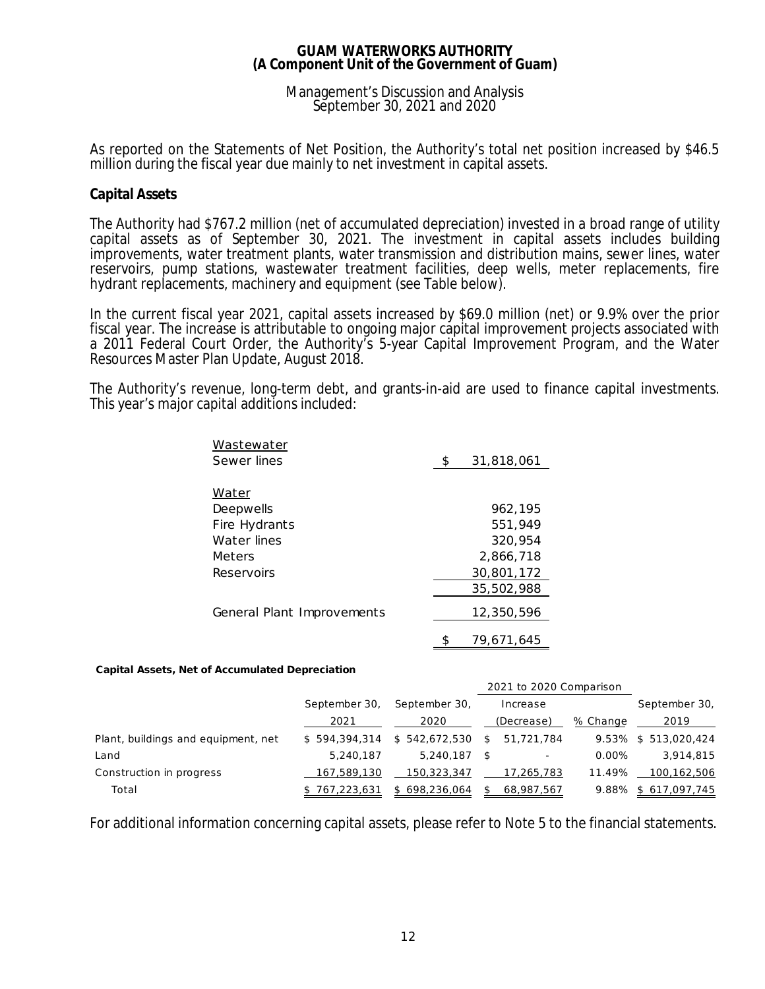### Management's Discussion and Analysis September 30, 2021 and 2020

As reported on the Statements of Net Position, the Authority's total net position increased by \$46.5 million during the fiscal year due mainly to net investment in capital assets.

## **Capital Assets**

The Authority had \$767.2 million (net of accumulated depreciation) invested in a broad range of utility capital assets as of September 30, 2021. The investment in capital assets includes building improvements, water treatment plants, water transmission and distribution mains, sewer lines, water reservoirs, pump stations, wastewater treatment facilities, deep wells, meter replacements, fire hydrant replacements, machinery and equipment (see Table below).

In the current fiscal year 2021, capital assets increased by \$69.0 million (net) or 9.9% over the prior fiscal year. The increase is attributable to ongoing major capital improvement projects associated with a 2011 Federal Court Order, the Authority's 5-year Capital Improvement Program, and the Water Resources Master Plan Update, August 2018.

The Authority's revenue, long-term debt, and grants-in-aid are used to finance capital investments. This year's major capital additions included:

| Wastewater                 |                  |
|----------------------------|------------------|
| Sewer lines                | \$<br>31,818,061 |
|                            |                  |
| Water                      |                  |
| Deepwells                  | 962,195          |
| Fire Hydrants              | 551,949          |
| Water lines                | 320,954          |
| Meters                     | 2,866,718        |
| Reservoirs                 | 30,801,172       |
|                            | 35,502,988       |
| General Plant Improvements | 12,350,596       |
|                            | 79,671,645       |
|                            |                  |

**Capital Assets, Net of Accumulated Depreciation**

|                                     |               |               |     | 2021 to 2020 Comparison  |          |                      |
|-------------------------------------|---------------|---------------|-----|--------------------------|----------|----------------------|
|                                     | September 30, | September 30, |     | Increase                 |          | September 30,        |
|                                     | 2021          | 2020          |     | (Decrease)               | % Change | 2019                 |
| Plant, buildings and equipment, net | \$594.394.314 | \$542,672,530 | -SI | 51,721,784               |          | 9.53% \$ 513,020,424 |
| Land                                | 5.240.187     | 5.240.187     |     | $\overline{\phantom{a}}$ | $0.00\%$ | 3,914,815            |
| Construction in progress            | 167,589,130   | 150,323,347   |     | 17,265,783               | 11.49%   | 100,162,506          |
| Total                               | \$767,223,631 | \$698,236,064 | S.  | 68,987,567               |          | 9.88% \$617,097,745  |

For additional information concerning capital assets, please refer to Note 5 to the financial statements.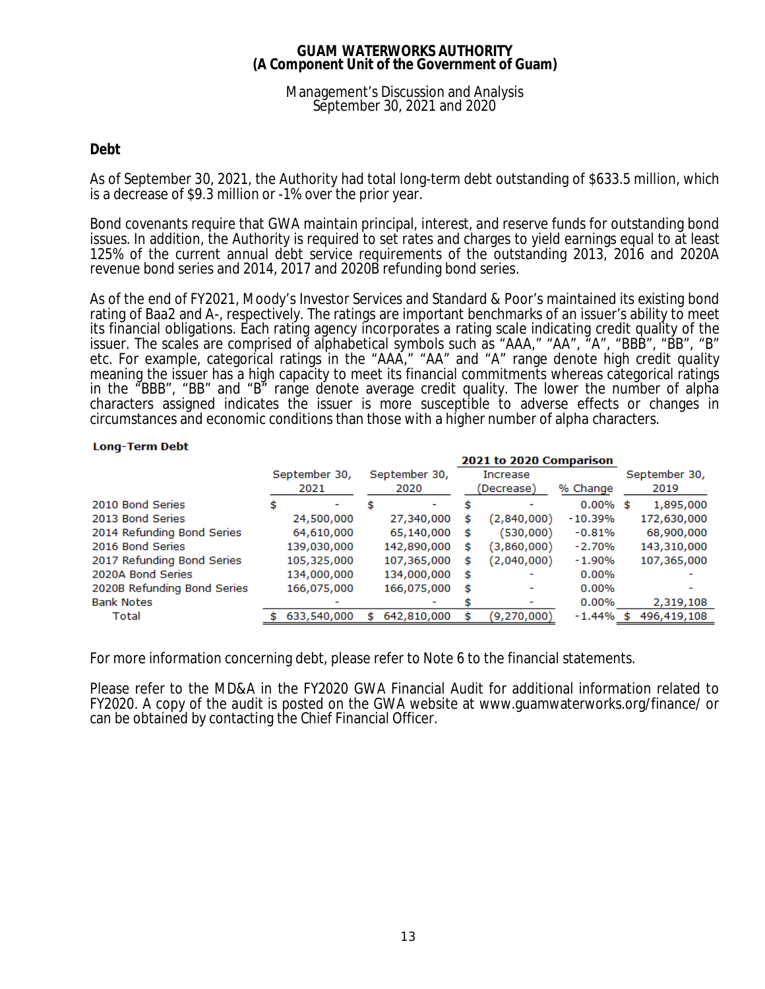### Management's Discussion and Analysis September 30, 2021 and 2020

# **Debt**

As of September 30, 2021, the Authority had total long-term debt outstanding of \$633.5 million, which is a decrease of \$9.3 million or -1% over the prior year.

Bond covenants require that GWA maintain principal, interest, and reserve funds for outstanding bond issues. In addition, the Authority is required to set rates and charges to yield earnings equal to at least 125% of the current annual debt service requirements of the outstanding 2013, 2016 and 2020A revenue bond series and 2014, 2017 and 2020B refunding bond series.

As of the end of FY2021, Moody's Investor Services and Standard & Poor's maintained its existing bond rating of Baa2 and A-, respectively. The ratings are important benchmarks of an issuer's ability to meet its financial obligations. Each rating agency incorporates a rating scale indicating credit quality of the issuer. The scales are comprised of alphabetical symbols such as "AAA," "AA", "A", "BBB", "BB", "B" etc. For example, categorical ratings in the "AAA," "AA" and "A" range denote high credit quality meaning the issuer has a high capacity to meet its financial commitments whereas categorical ratings in the "BBB", "BB" and "B" range denote average credit quality. The lower the number of alpha characters assigned indicates the issuer is more susceptible to adverse effects or changes in circumstances and economic conditions than those with a higher number of alpha characters.

### **Long-Term Debt**

|                             |    |               |   |               |            | <b>2021 to 2020 Comparison</b> |             |   |               |
|-----------------------------|----|---------------|---|---------------|------------|--------------------------------|-------------|---|---------------|
|                             |    | September 30, |   | September 30, |            | Increase                       |             |   | September 30, |
|                             |    | 2021          |   | 2020          | (Decrease) |                                | % Change    |   | 2019          |
| 2010 Bond Series            | \$ |               |   |               |            |                                | $0.00\%$ \$ |   | 1,895,000     |
| 2013 Bond Series            |    | 24,500,000    |   | 27,340,000    | s          | (2,840,000)                    | $-10.39%$   |   | 172,630,000   |
| 2014 Refunding Bond Series  |    | 64,610,000    |   | 65,140,000    | s          | (530,000)                      | $-0.81%$    |   | 68,900,000    |
| 2016 Bond Series            |    | 139,030,000   |   | 142,890,000   | s          | (3,860,000)                    | $-2.70%$    |   | 143,310,000   |
| 2017 Refunding Bond Series  |    | 105,325,000   |   | 107,365,000   | s          | (2,040,000)                    | $-1.90%$    |   | 107,365,000   |
| 2020A Bond Series           |    | 134,000,000   |   | 134,000,000   | \$         |                                | 0.00%       |   |               |
| 2020B Refunding Bond Series |    | 166,075,000   |   | 166,075,000   | s          |                                | $0.00\%$    |   |               |
| <b>Bank Notes</b>           |    |               |   |               |            |                                | 0.00%       |   | 2,319,108     |
| Total                       |    | 633,540,000   | s | 642,810,000   |            | (9,270,000)                    | $-1.44\%$   | S | 496,419,108   |

For more information concerning debt, please refer to Note 6 to the financial statements.

Please refer to the MD&A in the FY2020 GWA Financial Audit for additional information related to FY2020. A copy of the audit is posted on the GWA website at www.guamwaterworks.org/finance/ or can be obtained by contacting the Chief Financial Officer.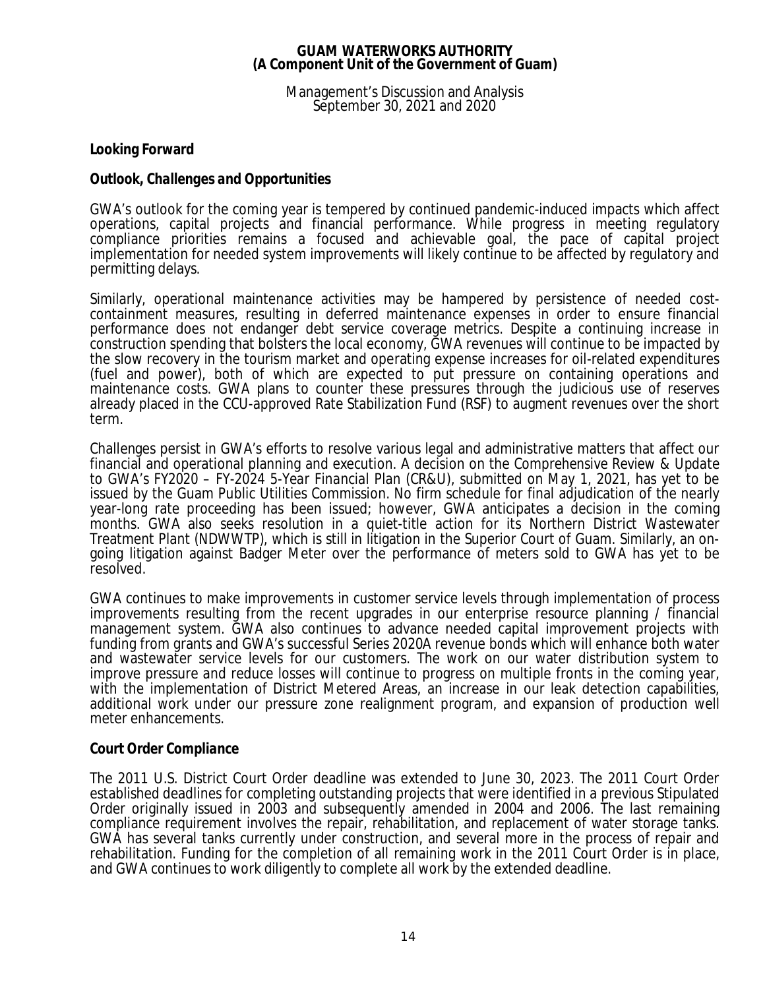Management's Discussion and Analysis September 30, 2021 and 2020

**Looking Forward**

# *Outlook, Challenges and Opportunities*

GWA's outlook for the coming year is tempered by continued pandemic-induced impacts which affect operations, capital projects and financial performance. While progress in meeting regulatory compliance priorities remains a focused and achievable goal, the pace of capital project implementation for needed system improvements will likely continue to be affected by regulatory and permitting delays.

Similarly, operational maintenance activities may be hampered by persistence of needed costcontainment measures, resulting in deferred maintenance expenses in order to ensure financial performance does not endanger debt service coverage metrics. Despite a continuing increase in construction spending that bolsters the local economy, GWA revenues will continue to be impacted by the slow recovery in the tourism market and operating expense increases for oil-related expenditures (fuel and power), both of which are expected to put pressure on containing operations and maintenance costs. GWA plans to counter these pressures through the judicious use of reserves already placed in the CCU-approved Rate Stabilization Fund (RSF) to augment revenues over the short term.

Challenges persist in GWA's efforts to resolve various legal and administrative matters that affect our financial and operational planning and execution. A decision on the *Comprehensive Review & Update to GWA's FY2020 – FY-2024 5-Year Financial Plan* (CR&U), submitted on May 1, 2021, has yet to be issued by the Guam Public Utilities Commission. No firm schedule for final adjudication of the nearly year-long rate proceeding has been issued; however, GWA anticipates a decision in the coming months. GWA also seeks resolution in a quiet-title action for its Northern District Wastewater Treatment Plant (NDWWTP), which is still in litigation in the Superior Court of Guam. Similarly, an ongoing litigation against Badger Meter over the performance of meters sold to GWA has yet to be resolved.

GWA continues to make improvements in customer service levels through implementation of process improvements resulting from the recent upgrades in our enterprise resource planning / financial management system. GWA also continues to advance needed capital improvement projects with funding from grants and GWA's successful Series 2020A revenue bonds which will enhance both water and wastewater service levels for our customers. The work on our water distribution system to improve pressure and reduce losses will continue to progress on multiple fronts in the coming year, with the implementation of District Metered Areas, an increase in our leak detection capabilities, additional work under our pressure zone realignment program, and expansion of production well meter enhancements.

# *Court Order Compliance*

The 2011 U.S. District Court Order deadline was extended to June 30, 2023. The 2011 Court Order established deadlines for completing outstanding projects that were identified in a previous Stipulated Order originally issued in 2003 and subsequently amended in 2004 and 2006. The last remaining compliance requirement involves the repair, rehabilitation, and replacement of water storage tanks. GWA has several tanks currently under construction, and several more in the process of repair and rehabilitation. Funding for the completion of all remaining work in the 2011 Court Order is in place, and GWA continues to work diligently to complete all work by the extended deadline.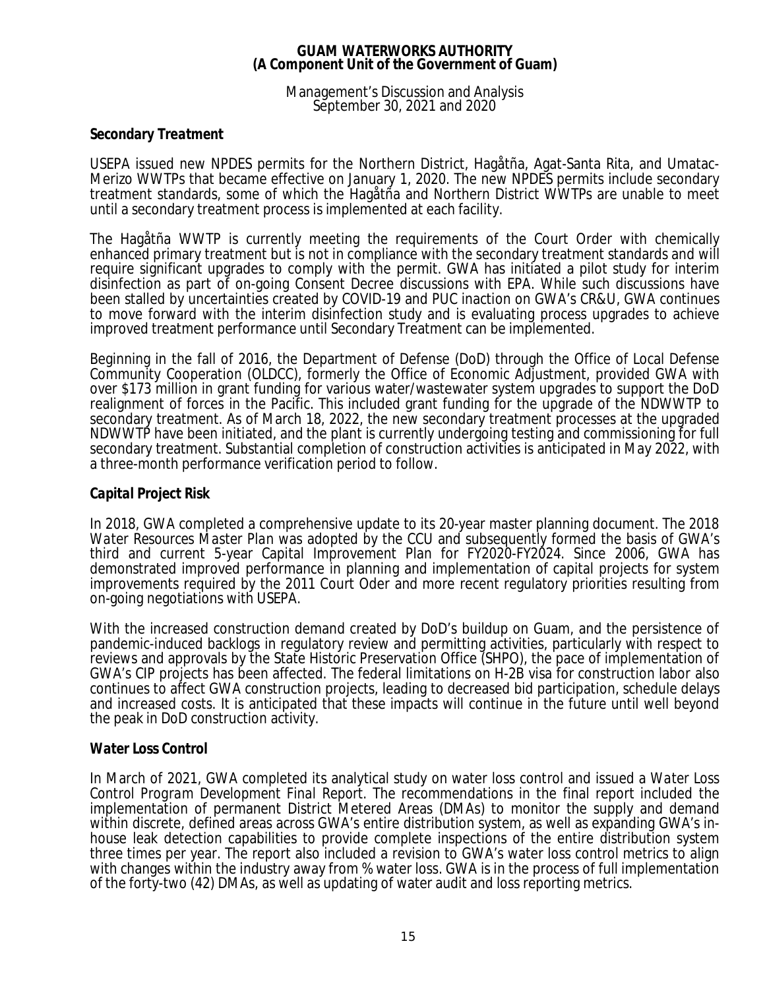### Management's Discussion and Analysis September 30, 2021 and 2020

## *Secondary Treatment*

USEPA issued new NPDES permits for the Northern District, Hagåtña, Agat-Santa Rita, and Umatac-Merizo WWTPs that became effective on January 1, 2020. The new NPDES permits include secondary treatment standards, some of which the Hagåtña and Northern District WWTPs are unable to meet until a secondary treatment process is implemented at each facility.

The Hagåtña WWTP is currently meeting the requirements of the Court Order with chemically enhanced primary treatment but is not in compliance with the secondary treatment standards and will require significant upgrades to comply with the permit. GWA has initiated a pilot study for interim disinfection as part of on-going Consent Decree discussions with EPA. While such discussions have been stalled by uncertainties created by COVID-19 and PUC inaction on GWA's CR&U, GWA continues to move forward with the interim disinfection study and is evaluating process upgrades to achieve improved treatment performance until Secondary Treatment can be implemented.

Beginning in the fall of 2016, the Department of Defense (DoD) through the Office of Local Defense Community Cooperation (OLDCC), formerly the Office of Economic Adjustment, provided GWA with over \$173 million in grant funding for various water/wastewater system upgrades to support the DoD realignment of forces in the Pacific. This included grant funding for the upgrade of the NDWWTP to secondary treatment. As of March 18, 2022, the new secondary treatment processes at the upgraded NDWWTP have been initiated, and the plant is currently undergoing testing and commissioning for full secondary treatment. Substantial completion of construction activities is anticipated in May 2022, with a three-month performance verification period to follow.

## *Capital Project Risk*

In 2018, GWA completed a comprehensive update to its 20-year master planning document. The *2018 Water Resources Master Plan* was adopted by the CCU and subsequently formed the basis of GWA's third and current 5-year Capital Improvement Plan for FY2020-FY2024. Since 2006, GWA has demonstrated improved performance in planning and implementation of capital projects for system improvements required by the 2011 Court Oder and more recent regulatory priorities resulting from on-going negotiations with USEPA.

With the increased construction demand created by DoD's buildup on Guam, and the persistence of pandemic-induced backlogs in regulatory review and permitting activities, particularly with respect to reviews and approvals by the State Historic Preservation Office (SHPO), the pace of implementation of GWA's CIP projects has been affected. The federal limitations on H-2B visa for construction labor also continues to affect GWA construction projects, leading to decreased bid participation, schedule delays and increased costs. It is anticipated that these impacts will continue in the future until well beyond the peak in DoD construction activity.

### *Water Loss Control*

In March of 2021, GWA completed its analytical study on water loss control and issued a *Water Loss Control Program Development Final Report*. The recommendations in the final report included the implementation of permanent District Metered Areas (DMAs) to monitor the supply and demand within discrete, defined areas across GWA's entire distribution system, as well as expanding GWA's inhouse leak detection capabilities to provide complete inspections of the entire distribution system three times per year. The report also included a revision to GWA's water loss control metrics to align with changes within the industry away from % water loss. GWA is in the process of full implementation of the forty-two (42) DMAs, as well as updating of water audit and loss reporting metrics.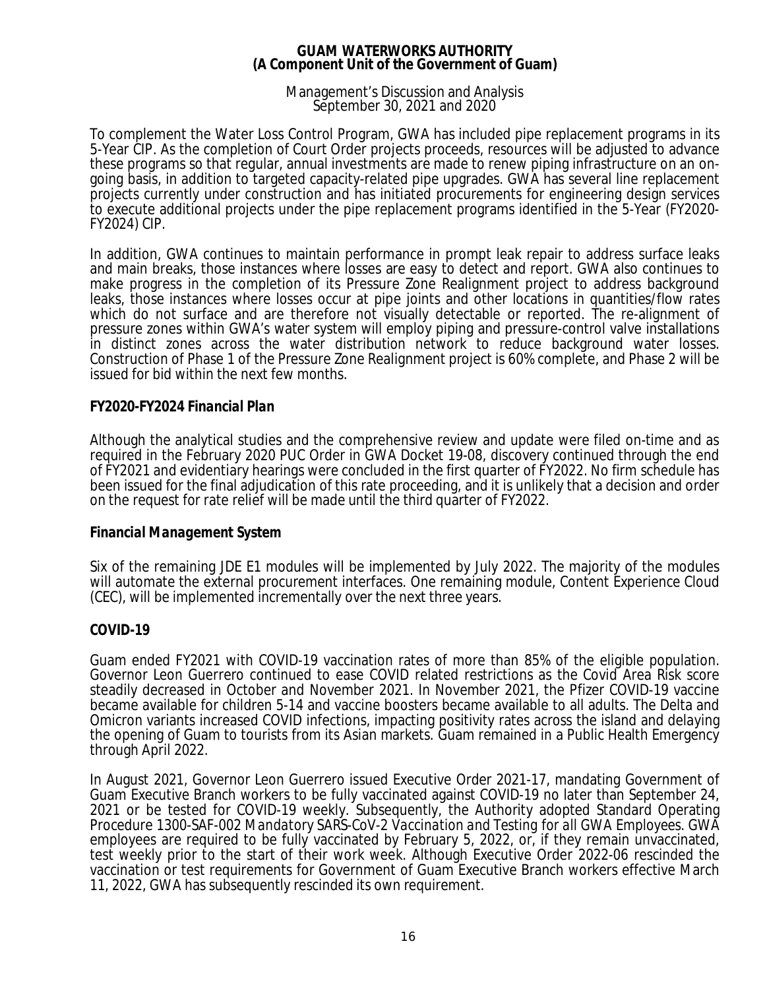### Management's Discussion and Analysis September 30, 2021 and 2020

To complement the Water Loss Control Program, GWA has included pipe replacement programs in its 5-Year CIP. As the completion of Court Order projects proceeds, resources will be adjusted to advance these programs so that regular, annual investments are made to renew piping infrastructure on an ongoing basis, in addition to targeted capacity-related pipe upgrades. GWA has several line replacement projects currently under construction and has initiated procurements for engineering design services to execute additional projects under the pipe replacement programs identified in the 5-Year (FY2020- FY2024) CIP.

In addition, GWA continues to maintain performance in prompt leak repair to address surface leaks and main breaks, those instances where losses are easy to detect and report. GWA also continues to make progress in the completion of its Pressure Zone Realignment project to address background leaks, those instances where losses occur at pipe joints and other locations in quantities/flow rates which do not surface and are therefore not visually detectable or reported. The re-alignment of pressure zones within GWA's water system will employ piping and pressure-control valve installations in distinct zones across the water distribution network to reduce background water losses. Construction of Phase 1 of the Pressure Zone Realignment project is 60% complete, and Phase 2 will be issued for bid within the next few months.

# *FY2020-FY2024 Financial Plan*

Although the analytical studies and the comprehensive review and update were filed on-time and as required in the February 2020 PUC Order in GWA Docket 19-08, discovery continued through the end of FY2021 and evidentiary hearings were concluded in the first quarter of FY2022. No firm schedule has been issued for the final adjudication of this rate proceeding, and it is unlikely that a decision and order on the request for rate relief will be made until the third quarter of FY2022.

### *Financial Management System*

Six of the remaining JDE E1 modules will be implemented by July 2022. The majority of the modules will automate the external procurement interfaces. One remaining module, Content Experience Cloud (CEC), will be implemented incrementally over the next three years.

### *COVID-19*

Guam ended FY2021 with COVID-19 vaccination rates of more than 85% of the eligible population. Governor Leon Guerrero continued to ease COVID related restrictions as the Covid Area Risk score steadily decreased in October and November 2021. In November 2021, the Pfizer COVID-19 vaccine became available for children 5-14 and vaccine boosters became available to all adults. The Delta and Omicron variants increased COVID infections, impacting positivity rates across the island and delaying the opening of Guam to tourists from its Asian markets. Guam remained in a Public Health Emergency through April 2022.

In August 2021, Governor Leon Guerrero issued Executive Order 2021-17, mandating Government of Guam Executive Branch workers to be fully vaccinated against COVID-19 no later than September 24, 2021 or be tested for COVID-19 weekly. Subsequently, the Authority adopted Standard Operating Procedure 1300-SAF-002 *Mandatory SARS-CoV-2 Vaccination and Testing for all GWA Employees*. GWA employees are required to be fully vaccinated by February 5, 2022, or, if they remain unvaccinated, test weekly prior to the start of their work week. Although Executive Order 2022-06 rescinded the vaccination or test requirements for Government of Guam Executive Branch workers effective March 11, 2022, GWA has subsequently rescinded its own requirement.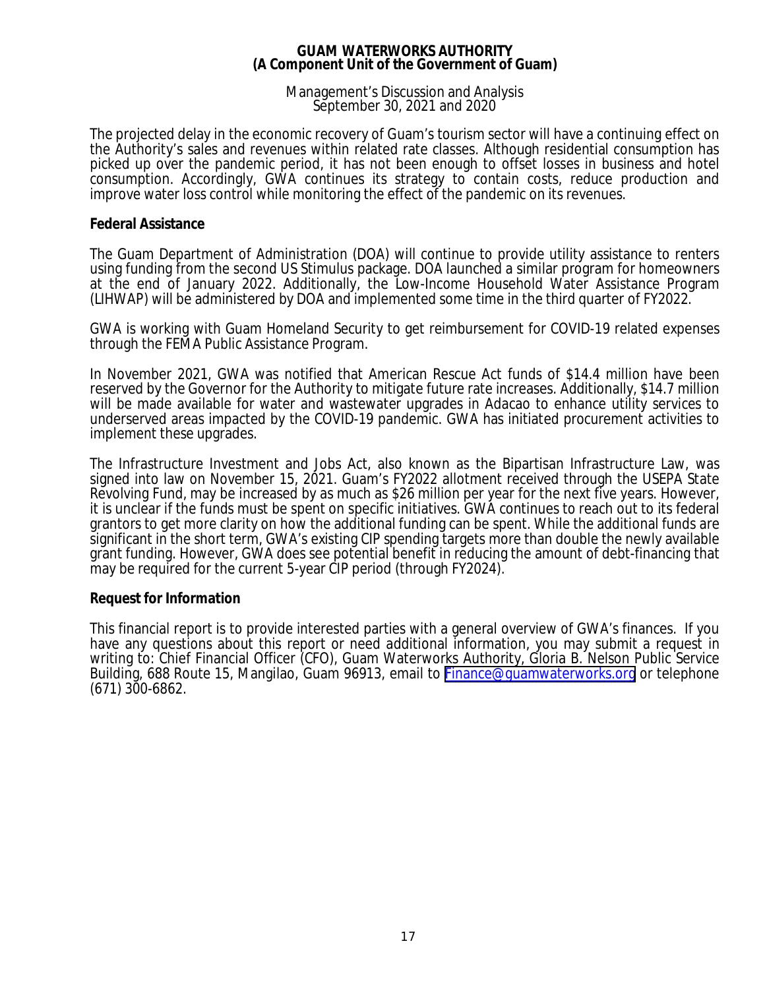### Management's Discussion and Analysis September 30, 2021 and 2020

The projected delay in the economic recovery of Guam's tourism sector will have a continuing effect on the Authority's sales and revenues within related rate classes. Although residential consumption has picked up over the pandemic period, it has not been enough to offset losses in business and hotel consumption. Accordingly, GWA continues its strategy to contain costs, reduce production and improve water loss control while monitoring the effect of the pandemic on its revenues.

### **Federal Assistance**

The Guam Department of Administration (DOA) will continue to provide utility assistance to renters using funding from the second US Stimulus package. DOA launched a similar program for homeowners at the end of January 2022. Additionally, the Low-Income Household Water Assistance Program (LIHWAP) will be administered by DOA and implemented some time in the third quarter of FY2022.

GWA is working with Guam Homeland Security to get reimbursement for COVID-19 related expenses through the FEMA Public Assistance Program.

In November 2021, GWA was notified that American Rescue Act funds of \$14.4 million have been reserved by the Governor for the Authority to mitigate future rate increases. Additionally, \$14.7 million will be made available for water and wastewater upgrades in Adacao to enhance utility services to underserved areas impacted by the COVID-19 pandemic. GWA has initiated procurement activities to implement these upgrades.

The Infrastructure Investment and Jobs Act, also known as the Bipartisan Infrastructure Law, was signed into law on November 15, 2021. Guam's FY2022 allotment received through the USEPA State Revolving Fund, may be increased by as much as \$26 million per year for the next five years. However, it is unclear if the funds must be spent on specific initiatives. GWA continues to reach out to its federal grantors to get more clarity on how the additional funding can be spent. While the additional funds are significant in the short term, GWA's existing CIP spending targets more than double the newly available grant funding. However, GWA does see potential benefit in reducing the amount of debt-financing that may be required for the current 5-year CIP period (through FY2024).

# **Request for Information**

This financial report is to provide interested parties with a general overview of GWA's finances. If you have any questions about this report or need additional information, you may submit a request in writing to: Chief Financial Officer (CFO), Guam Waterworks Authority, Gloria B. Nelson Public Service Building, 688 Route 15, Mangilao, Guam 96913, email to [Finance@guamwaterworks.org](mailto:Finance@guamwaterworks.org) or telephone (671) 300-6862.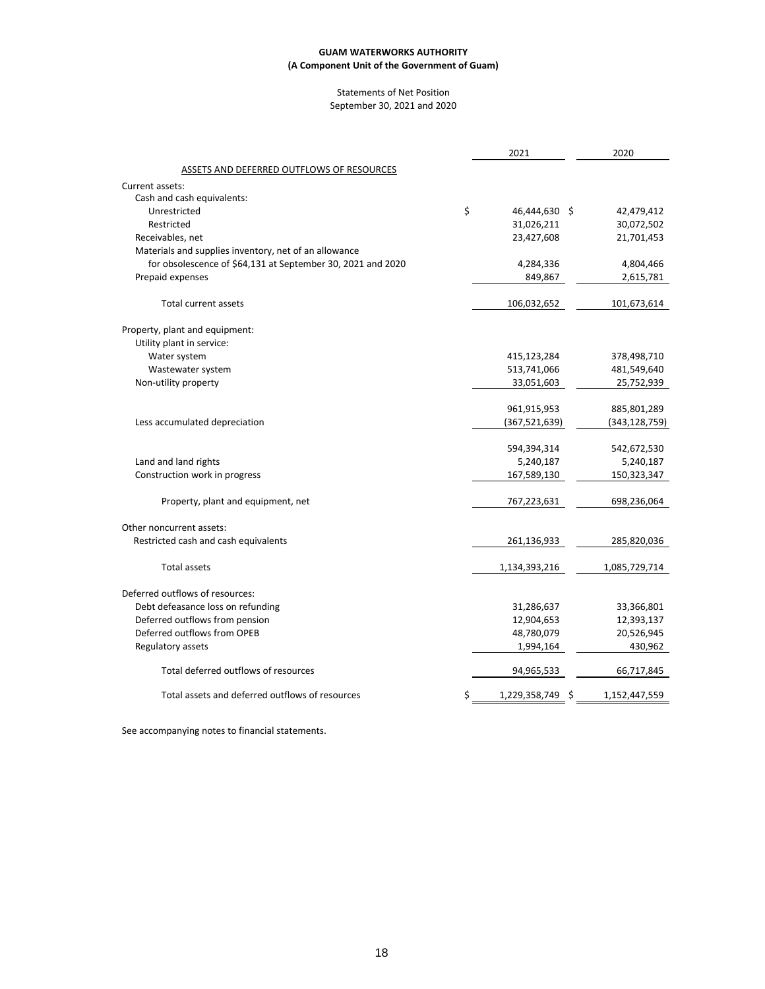#### Statements of Net Position September 30, 2021 and 2020

|                                                             | 2021                |    | 2020            |
|-------------------------------------------------------------|---------------------|----|-----------------|
| ASSETS AND DEFERRED OUTFLOWS OF RESOURCES                   |                     |    |                 |
| Current assets:                                             |                     |    |                 |
| Cash and cash equivalents:                                  |                     |    |                 |
| Unrestricted                                                | \$<br>46,444,630 \$ |    | 42,479,412      |
| Restricted                                                  | 31,026,211          |    | 30,072,502      |
| Receivables, net                                            | 23,427,608          |    | 21,701,453      |
| Materials and supplies inventory, net of an allowance       |                     |    |                 |
| for obsolescence of \$64,131 at September 30, 2021 and 2020 | 4,284,336           |    | 4,804,466       |
| Prepaid expenses                                            | 849,867             |    | 2,615,781       |
| <b>Total current assets</b>                                 | 106,032,652         |    | 101,673,614     |
| Property, plant and equipment:                              |                     |    |                 |
| Utility plant in service:                                   |                     |    |                 |
| Water system                                                | 415,123,284         |    | 378,498,710     |
| Wastewater system                                           | 513,741,066         |    | 481,549,640     |
| Non-utility property                                        | 33,051,603          |    | 25,752,939      |
|                                                             | 961,915,953         |    | 885,801,289     |
| Less accumulated depreciation                               | (367, 521, 639)     |    | (343, 128, 759) |
|                                                             | 594,394,314         |    | 542,672,530     |
| Land and land rights                                        | 5,240,187           |    | 5,240,187       |
| Construction work in progress                               | 167,589,130         |    | 150,323,347     |
| Property, plant and equipment, net                          | 767,223,631         |    | 698,236,064     |
| Other noncurrent assets:                                    |                     |    |                 |
| Restricted cash and cash equivalents                        | 261,136,933         |    | 285,820,036     |
| <b>Total assets</b>                                         | 1,134,393,216       |    | 1,085,729,714   |
| Deferred outflows of resources:                             |                     |    |                 |
| Debt defeasance loss on refunding                           | 31,286,637          |    | 33,366,801      |
| Deferred outflows from pension                              | 12,904,653          |    | 12,393,137      |
| Deferred outflows from OPEB                                 | 48,780,079          |    | 20,526,945      |
| Regulatory assets                                           | 1,994,164           |    | 430,962         |
| Total deferred outflows of resources                        | 94,965,533          |    | 66,717,845      |
| Total assets and deferred outflows of resources             | \$<br>1,229,358,749 | -S | 1,152,447,559   |
|                                                             |                     |    |                 |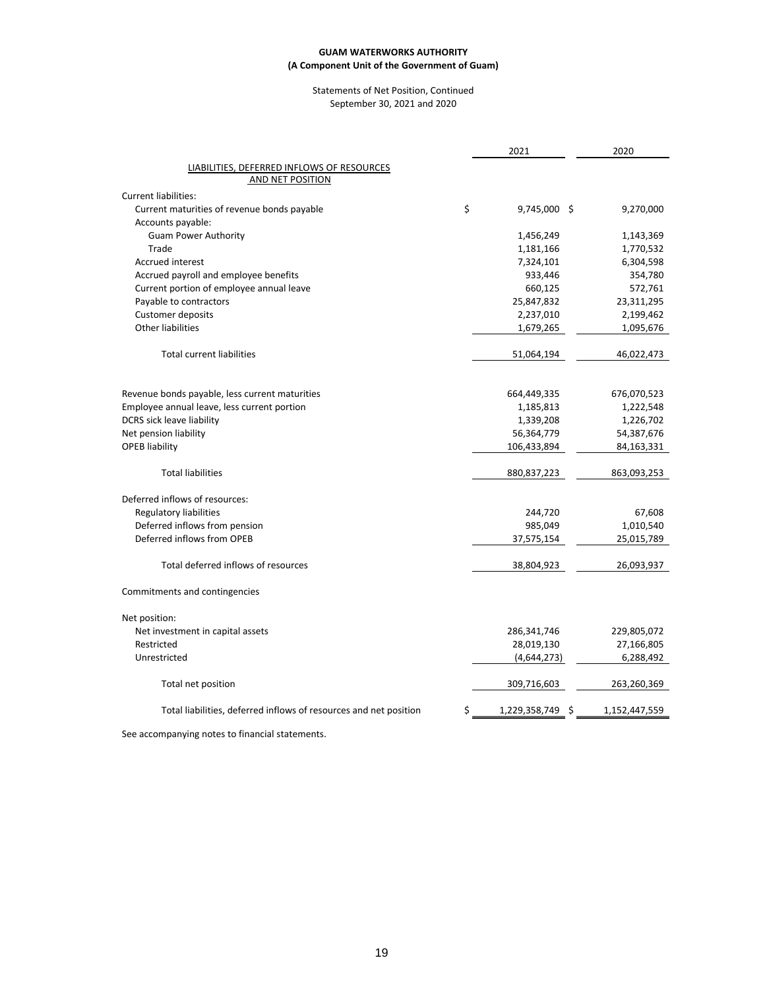#### Statements of Net Position, Continued September 30, 2021 and 2020

|                                                                   | 2021                |   | 2020          |
|-------------------------------------------------------------------|---------------------|---|---------------|
| LIABILITIES, DEFERRED INFLOWS OF RESOURCES                        |                     |   |               |
| AND NET POSITION                                                  |                     |   |               |
| <b>Current liabilities:</b>                                       |                     |   |               |
| Current maturities of revenue bonds payable                       | \$<br>9,745,000 \$  |   | 9,270,000     |
| Accounts payable:                                                 |                     |   |               |
| <b>Guam Power Authority</b>                                       | 1,456,249           |   | 1,143,369     |
| Trade                                                             | 1,181,166           |   | 1,770,532     |
| <b>Accrued interest</b>                                           | 7,324,101           |   | 6,304,598     |
| Accrued payroll and employee benefits                             | 933,446             |   | 354,780       |
| Current portion of employee annual leave                          | 660,125             |   | 572,761       |
| Payable to contractors                                            | 25,847,832          |   | 23,311,295    |
| Customer deposits                                                 | 2,237,010           |   | 2,199,462     |
| Other liabilities                                                 | 1,679,265           |   | 1,095,676     |
| <b>Total current liabilities</b>                                  | 51,064,194          |   | 46,022,473    |
|                                                                   |                     |   |               |
| Revenue bonds payable, less current maturities                    | 664,449,335         |   | 676,070,523   |
| Employee annual leave, less current portion                       | 1,185,813           |   | 1,222,548     |
| DCRS sick leave liability                                         | 1,339,208           |   | 1,226,702     |
| Net pension liability                                             | 56,364,779          |   | 54,387,676    |
| <b>OPEB liability</b>                                             | 106,433,894         |   | 84,163,331    |
| <b>Total liabilities</b>                                          | 880,837,223         |   | 863,093,253   |
| Deferred inflows of resources:                                    |                     |   |               |
| <b>Regulatory liabilities</b>                                     | 244,720             |   | 67,608        |
| Deferred inflows from pension                                     | 985,049             |   | 1,010,540     |
| Deferred inflows from OPEB                                        | 37,575,154          |   | 25,015,789    |
| Total deferred inflows of resources                               | 38,804,923          |   | 26,093,937    |
| Commitments and contingencies                                     |                     |   |               |
| Net position:                                                     |                     |   |               |
| Net investment in capital assets                                  | 286,341,746         |   | 229,805,072   |
| Restricted                                                        | 28,019,130          |   | 27,166,805    |
| Unrestricted                                                      | (4,644,273)         |   | 6,288,492     |
| Total net position                                                | 309,716,603         |   | 263,260,369   |
| Total liabilities, deferred inflows of resources and net position | \$<br>1,229,358,749 | S | 1,152,447,559 |
|                                                                   |                     |   |               |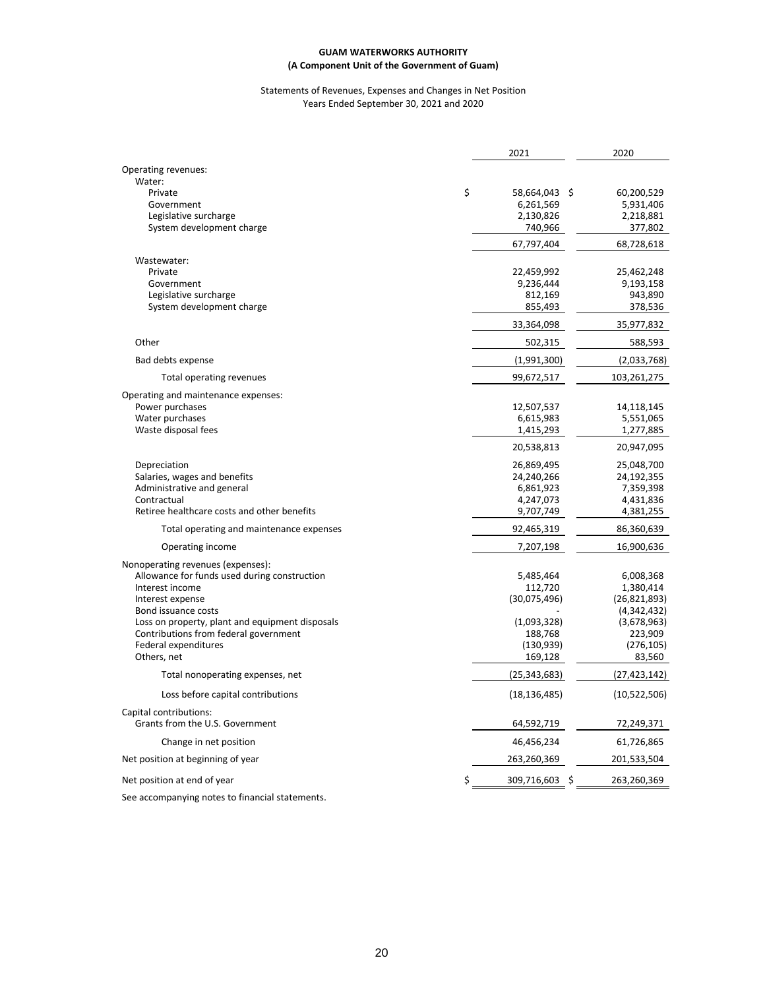#### Statements of Revenues, Expenses and Changes in Net Position Years Ended September 30, 2021 and 2020

|                                                 | 2021                 | 2020           |
|-------------------------------------------------|----------------------|----------------|
| Operating revenues:                             |                      |                |
| Water:                                          |                      |                |
| Private                                         | \$<br>58,664,043 \$  | 60,200,529     |
| Government                                      | 6,261,569            | 5,931,406      |
| Legislative surcharge                           | 2,130,826            | 2,218,881      |
| System development charge                       | 740,966              | 377,802        |
|                                                 | 67,797,404           | 68,728,618     |
| Wastewater:                                     |                      |                |
| Private                                         | 22,459,992           | 25,462,248     |
| Government                                      | 9,236,444            | 9,193,158      |
| Legislative surcharge                           | 812,169              | 943,890        |
| System development charge                       | 855,493              | 378,536        |
|                                                 | 33,364,098           | 35,977,832     |
| Other                                           | 502,315              | 588,593        |
| Bad debts expense                               | (1,991,300)          | (2,033,768)    |
| Total operating revenues                        | 99,672,517           | 103,261,275    |
| Operating and maintenance expenses:             |                      |                |
| Power purchases                                 | 12,507,537           | 14,118,145     |
| Water purchases                                 | 6,615,983            | 5,551,065      |
| Waste disposal fees                             | 1,415,293            | 1,277,885      |
|                                                 | 20,538,813           | 20,947,095     |
| Depreciation                                    | 26,869,495           | 25,048,700     |
| Salaries, wages and benefits                    | 24,240,266           | 24,192,355     |
| Administrative and general                      | 6,861,923            | 7,359,398      |
| Contractual                                     | 4,247,073            | 4,431,836      |
| Retiree healthcare costs and other benefits     | 9,707,749            | 4,381,255      |
| Total operating and maintenance expenses        | 92,465,319           | 86,360,639     |
| Operating income                                | 7,207,198            | 16,900,636     |
| Nonoperating revenues (expenses):               |                      |                |
| Allowance for funds used during construction    | 5,485,464            | 6,008,368      |
| Interest income                                 | 112,720              | 1,380,414      |
| Interest expense                                | (30,075,496)         | (26, 821, 893) |
| Bond issuance costs                             |                      | (4,342,432)    |
| Loss on property, plant and equipment disposals | (1,093,328)          | (3,678,963)    |
| Contributions from federal government           | 188,768              | 223,909        |
| Federal expenditures                            | (130, 939)           | (276, 105)     |
| Others, net                                     | 169,128              | 83,560         |
| Total nonoperating expenses, net                | (25, 343, 683)       | (27, 423, 142) |
| Loss before capital contributions               | (18, 136, 485)       | (10,522,506)   |
| Capital contributions:                          |                      |                |
| Grants from the U.S. Government                 | 64,592,719           | 72,249,371     |
| Change in net position                          | 46,456,234           | 61,726,865     |
| Net position at beginning of year               | 263,260,369          | 201,533,504    |
| Net position at end of year                     | \$<br>309,716,603 \$ | 263,260,369    |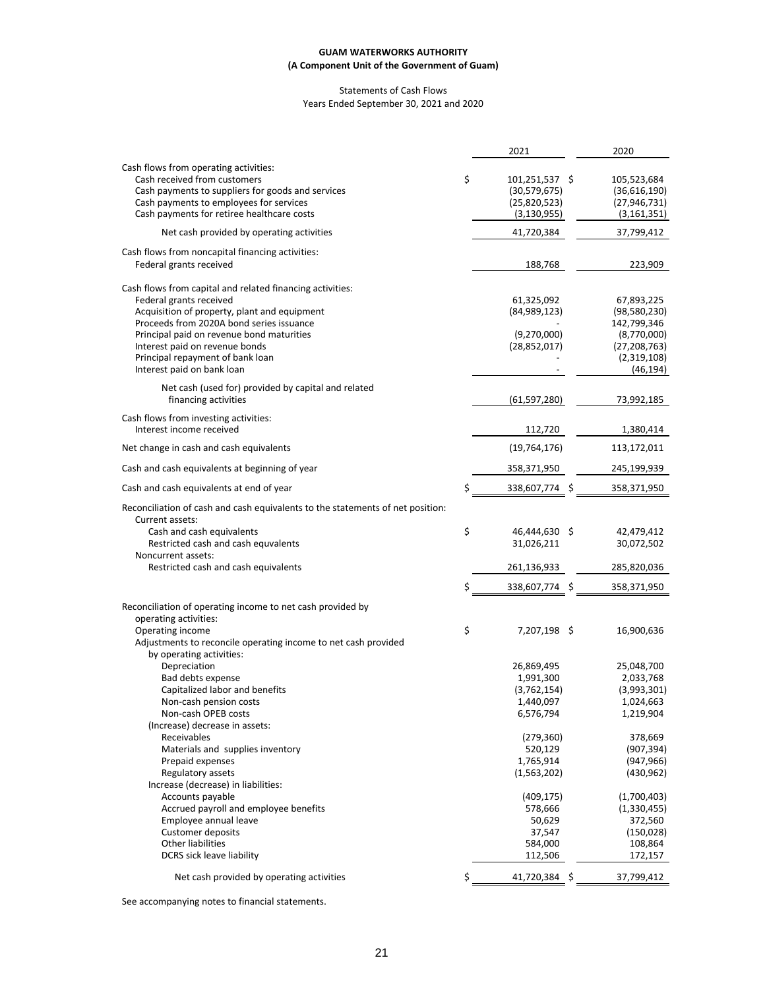#### Statements of Cash Flows Years Ended September 30, 2021 and 2020

|                                                                                                                                                                                                                                                                                                                                   |          | 2021                                                              | 2020                                                                                                   |
|-----------------------------------------------------------------------------------------------------------------------------------------------------------------------------------------------------------------------------------------------------------------------------------------------------------------------------------|----------|-------------------------------------------------------------------|--------------------------------------------------------------------------------------------------------|
| Cash flows from operating activities:<br>Cash received from customers<br>Cash payments to suppliers for goods and services<br>Cash payments to employees for services<br>Cash payments for retiree healthcare costs                                                                                                               | \$       | 101,251,537 \$<br>(30, 579, 675)<br>(25,820,523)<br>(3, 130, 955) | 105,523,684<br>(36,616,190)<br>(27, 946, 731)<br>(3, 161, 351)                                         |
| Net cash provided by operating activities                                                                                                                                                                                                                                                                                         |          | 41,720,384                                                        | 37,799,412                                                                                             |
| Cash flows from noncapital financing activities:<br>Federal grants received                                                                                                                                                                                                                                                       |          | 188,768                                                           | 223,909                                                                                                |
| Cash flows from capital and related financing activities:<br>Federal grants received<br>Acquisition of property, plant and equipment<br>Proceeds from 2020A bond series issuance<br>Principal paid on revenue bond maturities<br>Interest paid on revenue bonds<br>Principal repayment of bank loan<br>Interest paid on bank loan |          | 61,325,092<br>(84,989,123)<br>(9,270,000)<br>(28, 852, 017)       | 67,893,225<br>(98,580,230)<br>142,799,346<br>(8,770,000)<br>(27, 208, 763)<br>(2,319,108)<br>(46, 194) |
| Net cash (used for) provided by capital and related<br>financing activities                                                                                                                                                                                                                                                       |          | (61, 597, 280)                                                    | 73,992,185                                                                                             |
| Cash flows from investing activities:<br>Interest income received                                                                                                                                                                                                                                                                 |          | 112,720                                                           | 1,380,414                                                                                              |
| Net change in cash and cash equivalents                                                                                                                                                                                                                                                                                           |          | (19, 764, 176)                                                    | 113,172,011                                                                                            |
| Cash and cash equivalents at beginning of year                                                                                                                                                                                                                                                                                    |          | 358,371,950                                                       | 245,199,939                                                                                            |
| Cash and cash equivalents at end of year                                                                                                                                                                                                                                                                                          | \$       | 338,607,774 \$                                                    | 358,371,950                                                                                            |
| Reconciliation of cash and cash equivalents to the statements of net position:<br>Current assets:<br>Cash and cash equivalents<br>Restricted cash and cash equvalents<br>Noncurrent assets:<br>Restricted cash and cash equivalents                                                                                               | \$<br>\$ | 46,444,630 \$<br>31,026,211<br>261,136,933<br>338,607,774 \$      | 42,479,412<br>30,072,502<br>285,820,036<br>358,371,950                                                 |
| Reconciliation of operating income to net cash provided by                                                                                                                                                                                                                                                                        |          |                                                                   |                                                                                                        |
| operating activities:<br>Operating income<br>Adjustments to reconcile operating income to net cash provided<br>by operating activities:                                                                                                                                                                                           | \$       | 7,207,198 \$                                                      | 16,900,636                                                                                             |
| Depreciation<br>Bad debts expense<br>Capitalized labor and benefits<br>Non-cash pension costs<br>Non-cash OPEB costs                                                                                                                                                                                                              |          | 26,869,495<br>1,991,300<br>(3,762,154)<br>1,440,097<br>6,576,794  | 25,048,700<br>2,033,768<br>(3,993,301)<br>1,024,663<br>1,219,904                                       |
| (Increase) decrease in assets:<br>Receivables<br>Materials and supplies inventory<br>Prepaid expenses<br>Regulatory assets<br>Increase (decrease) in liabilities:                                                                                                                                                                 |          | (279, 360)<br>520,129<br>1,765,914<br>(1,563,202)                 | 378,669<br>(907, 394)<br>(947, 966)<br>(430, 962)                                                      |
| Accounts payable<br>Accrued payroll and employee benefits<br>Employee annual leave<br><b>Customer deposits</b><br><b>Other liabilities</b>                                                                                                                                                                                        |          | (409, 175)<br>578,666<br>50,629<br>37,547<br>584,000              | (1,700,403)<br>(1,330,455)<br>372,560<br>(150, 028)<br>108,864                                         |
| <b>DCRS</b> sick leave liability                                                                                                                                                                                                                                                                                                  |          | 112,506                                                           | 172,157                                                                                                |
| Net cash provided by operating activities                                                                                                                                                                                                                                                                                         | \$       | 41,720,384 \$                                                     | 37,799,412                                                                                             |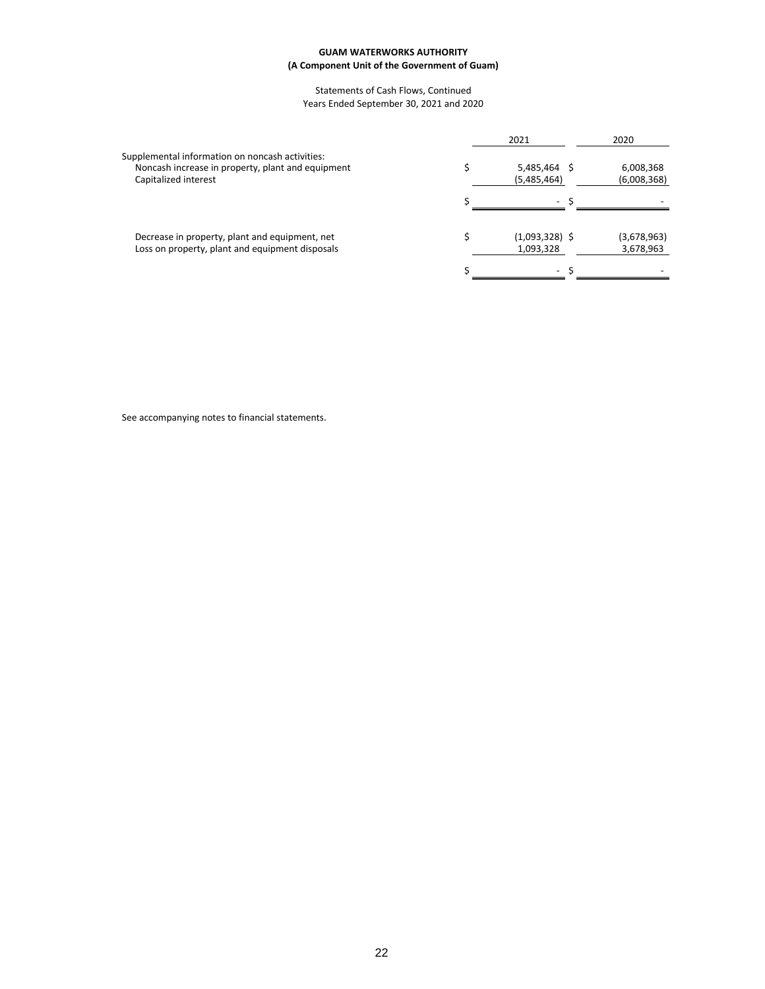#### Statements of Cash Flows, Continued Years Ended September 30, 2021 and 2020

|                                                                                                                              | 2021                          | 2020                     |
|------------------------------------------------------------------------------------------------------------------------------|-------------------------------|--------------------------|
| Supplemental information on noncash activities:<br>Noncash increase in property, plant and equipment<br>Capitalized interest | 5,485,464<br>(5,485,464)      | 6,008,368<br>(6,008,368) |
|                                                                                                                              | $\overline{\phantom{a}}$      |                          |
| Decrease in property, plant and equipment, net<br>Loss on property, plant and equipment disposals                            | $(1,093,328)$ \$<br>1,093,328 | (3,678,963)<br>3,678,963 |
|                                                                                                                              | $\overline{\phantom{0}}$      |                          |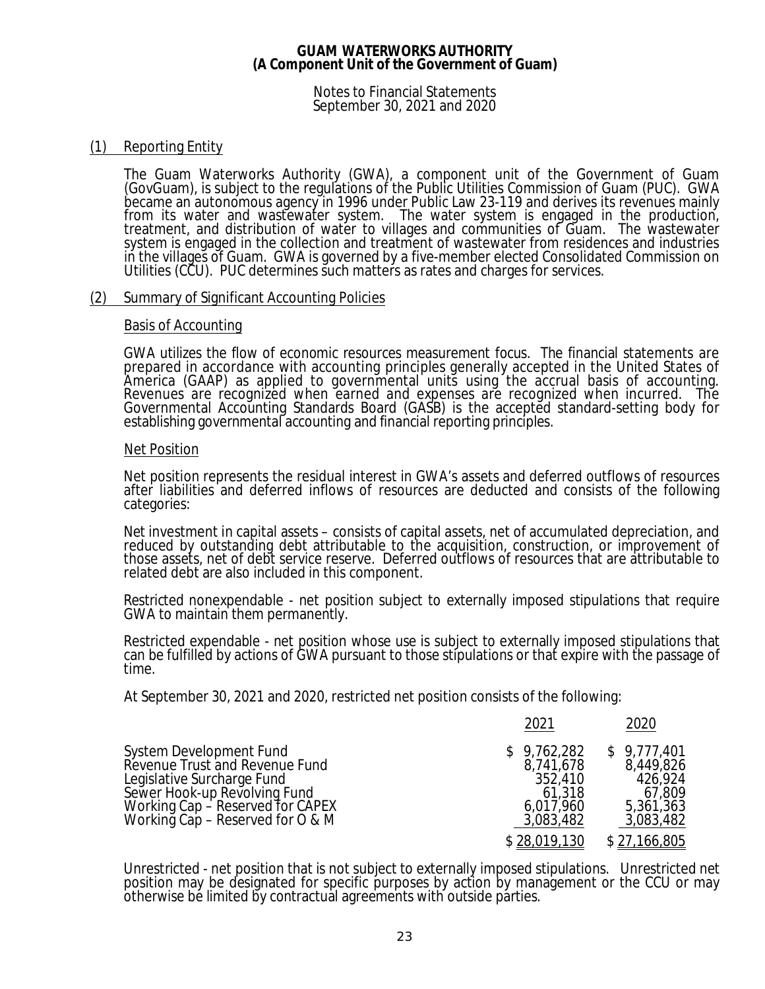Notes to Financial Statements September 30, 2021 and 2020

# (1) Reporting Entity

The Guam Waterworks Authority (GWA), a component unit of the Government of Guam (GovGuam), is subject to the regulations of the Public Utilities Commission of Guam (PUC). GWA became an autonomous agency in 1996 under Public Law 23-119 and derives its revenues mainly from its water and wastewater system. The water system is engaged in the production, treatment, and distribution of water to villages and communities of Guam. The wastewater system is engaged in the collection and treatment of wastewater from residences and industries in the villages of Guam. GWA is governed by a five-member elected Consolidated Commission on Utilities (CCU). PUC determines such matters as rates and charges for services.

### (2) Summary of Significant Accounting Policies

### Basis of Accounting

GWA utilizes the flow of economic resources measurement focus. The financial statements are prepared in accordance with accounting principles generally accepted in the United States of America (GAAP) as applied to governmental units using the accrual basis of accounting. Revenues are recognized when earned and expenses are recognized when incurred. The Governmental Accounting Standards Board (GASB) is the accepted standard-setting body for establishing governmental accounting and financial reporting principles.

### Net Position

Net position represents the residual interest in GWA's assets and deferred outflows of resources after liabilities and deferred inflows of resources are deducted and consists of the following categories:

Net investment in capital assets – consists of capital assets, net of accumulated depreciation, and reduced by outstanding debt attributable to the acquisition, construction, or improvement of those assets, net of debt service reserve. Deferred outflows of resources that are attributable to related debt are also included in this component.

Restricted nonexpendable - net position subject to externally imposed stipulations that require GWA to maintain them permanently.

Restricted expendable - net position whose use is subject to externally imposed stipulations that can be fulfilled by actions of GWA pursuant to those stipulations or that expire with the passage of time.

At September 30, 2021 and 2020, restricted net position consists of the following:

|                                                                                                                                                                                                     | 2021                                                                                    | 2020                                                                                    |
|-----------------------------------------------------------------------------------------------------------------------------------------------------------------------------------------------------|-----------------------------------------------------------------------------------------|-----------------------------------------------------------------------------------------|
| System Development Fund<br>Revenue Trust and Revenue Fund<br>Legislative Surcharge Fund<br>Sewer Hook-up Revolving Fund<br>Working $Cap -$ Reserved for $CAPEX$<br>Working Cap – Reserved for O & M | \$9,762,282<br>8,741,678<br>352,410<br>61,318<br>6,017,960<br>3,083,482<br>\$28,019,130 | \$9,777,401<br>8,449,826<br>426,924<br>67,809<br>5,361,363<br>3,083,482<br>\$27,166,805 |
|                                                                                                                                                                                                     |                                                                                         |                                                                                         |

Unrestricted - net position that is not subject to externally imposed stipulations. Unrestricted net position may be designated for specific purposes by action by management or the CCU or may otherwise be limited by contractual agreements with outside parties.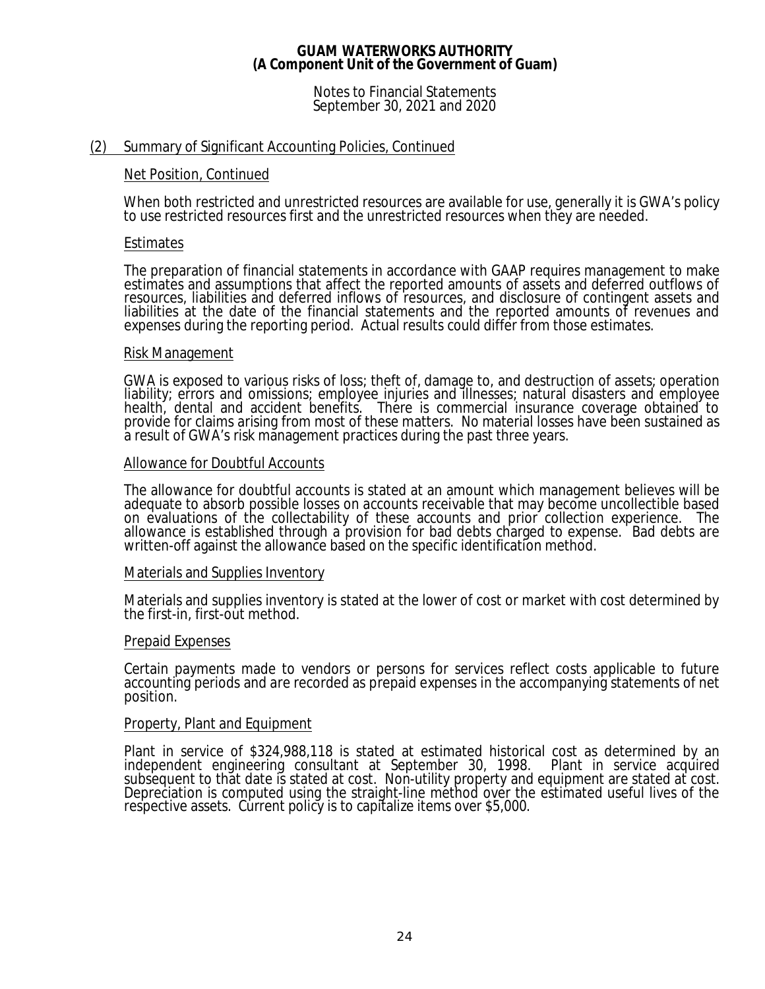Notes to Financial Statements September 30, 2021 and 2020

### (2) Summary of Significant Accounting Policies, Continued

### Net Position, Continued

When both restricted and unrestricted resources are available for use, generally it is GWA's policy to use restricted resources first and the unrestricted resources when they are needed.

### Estimates

The preparation of financial statements in accordance with GAAP requires management to make estimates and assumptions that affect the reported amounts of assets and deferred outflows of resources, liabilities and deferred inflows of resources, and disclosure of contingent assets and liabilities at the date of the financial statements and the reported amounts of revenues and expenses during the reporting period. Actual results could differ from those estimates.

### Risk Management

GWA is exposed to various risks of loss; theft of, damage to, and destruction of assets; operation liability; errors and omissions; employee injuries and illnesses; natural disasters and employee health, dental and accident benefits. There is commercial insurance coverage obtained to provide for claims arising from most of these matters. No material losses have been sustained as a result of GWA's risk management practices during the past three years.

### Allowance for Doubtful Accounts

The allowance for doubtful accounts is stated at an amount which management believes will be adequate to absorb possible losses on accounts receivable that may become uncollectible based on evaluations of the collectability of these accounts and prior collection experience. The allowance is established through a provision for bad debts charged to expense. Bad debts are written-off against the allowance based on the specific identification method.

### Materials and Supplies Inventory

Materials and supplies inventory is stated at the lower of cost or market with cost determined by the first-in, first-out method.

### Prepaid Expenses

Certain payments made to vendors or persons for services reflect costs applicable to future accounting periods and are recorded as prepaid expenses in the accompanying statements of net position.

### Property, Plant and Equipment

Plant in service of \$324,988,118 is stated at estimated historical cost as determined by an independent engineering consultant at September 30, 1998. Plant in service acquired subsequent to that date is stated at cost. Non-utility property and equipment are stated at cost. Depreciation is computed using the straight-line method over the estimated useful lives of the respective assets. Current policy is to capitalize items over \$5,000.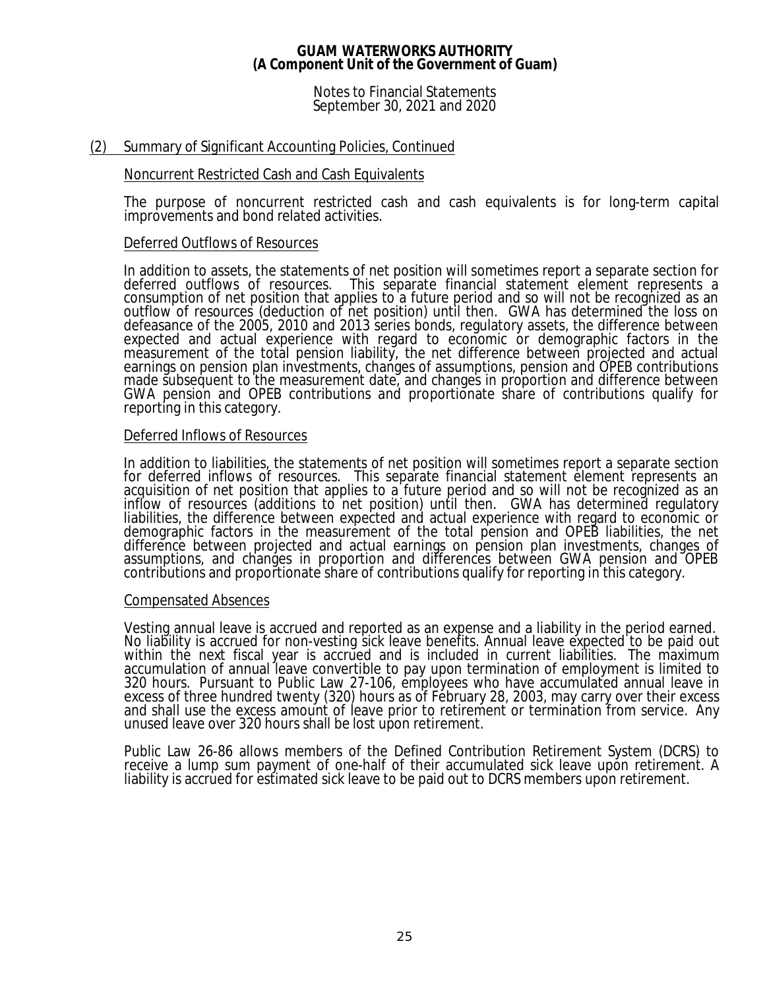Notes to Financial Statements September 30, 2021 and 2020

# (2) Summary of Significant Accounting Policies, Continued

### Noncurrent Restricted Cash and Cash Equivalents

The purpose of noncurrent restricted cash and cash equivalents is for long-term capital improvements and bond related activities.

### Deferred Outflows of Resources

In addition to assets, the statements of net position will sometimes report a separate section for deferred outflows of resources. This separate financial statement element represents a consumption of net position that applies to a future period and so will not be recognized as an outflow of resources (deduction of net position) until then. GWA has determined the loss on defeasance of the 2005, 2010 and 2013 series bonds, regulatory assets, the difference between expected and actual experience with regard to economic or demographic factors in the measurement of the total pension liability, the net difference between projected and actual earnings on pension plan investments, changes of assumptions, pension and OPEB contributions made subsequent to the measurement date, and changes in proportion and difference between GWA pension and OPEB contributions and proportionate share of contributions qualify for reporting in this category.

### Deferred Inflows of Resources

In addition to liabilities, the statements of net position will sometimes report a separate section for deferred inflows of resources. This separate financial statement element represents an acquisition of net position that applies to a future period and so will not be recognized as an inflow of resources (additions to net position) until then. GWA has determined regulatory liabilities, the difference between expected and actual experience with regard to economic or demographic factors in the measurement of the total pension and OPEB liabilities, the net difference between projected and actual earnings on pension plan investments, changes of assumptions, and changes in proportion and differences between GWA pension and OPEB contributions and proportionate share of contributions qualify for reporting in this category.

### Compensated Absences

Vesting annual leave is accrued and reported as an expense and a liability in the period earned. No liability is accrued for non-vesting sick leave benefits. Annual leave expected to be paid out within the next fiscal year is accrued and is included in current liabilities. The maximum accumulation of annual leave convertible to pay upon termination of employment is limited to 320 hours. Pursuant to Public Law 27-106, employees who have accumulated annual leave in excess of three hundred twenty (320) hours as of February 28, 2003, may carry over their excess and shall use the excess amount of leave prior to retirement or termination from service. Any unused leave over 320 hours shall be lost upon retirement.

Public Law 26-86 allows members of the Defined Contribution Retirement System (DCRS) to receive a lump sum payment of one-half of their accumulated sick leave upon retirement. A liability is accrued for estimated sick leave to be paid out to DCRS members upon retirement.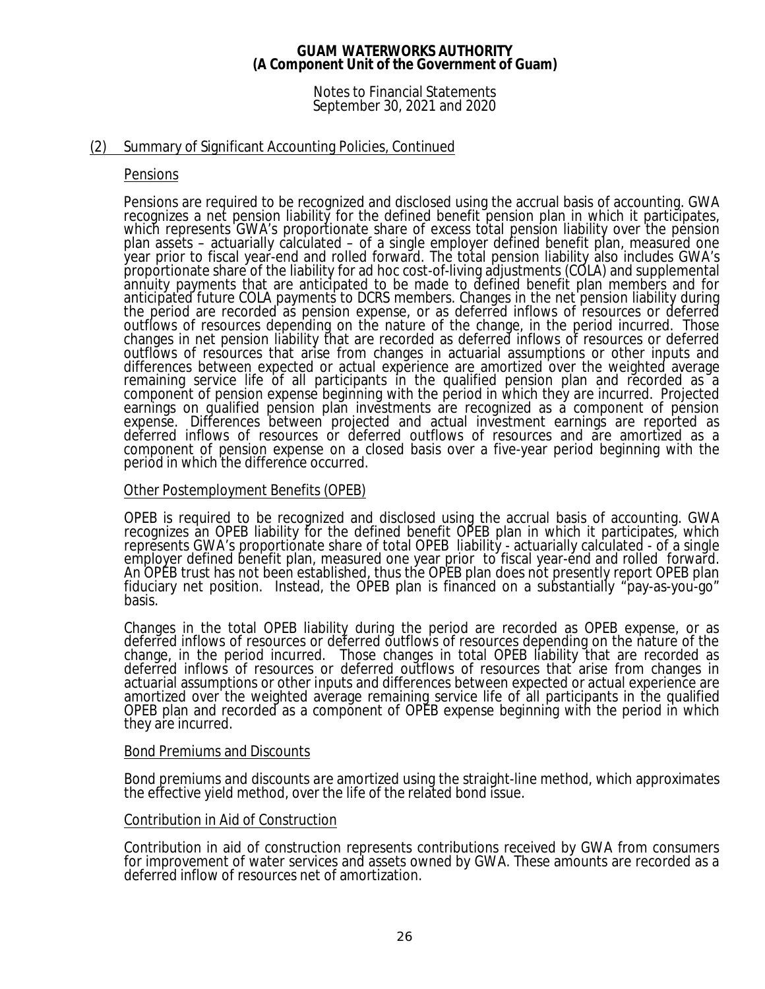### Notes to Financial Statements September 30, 2021 and 2020

## (2) Summary of Significant Accounting Policies, Continued

### Pensions

Pensions are required to be recognized and disclosed using the accrual basis of accounting. GWA recognizes a net pension liability for the defined benefit pension plan in which it participates, which represents GWA's proportionate share of excess total pension liability over the pension plan assets – actuarially calculated – of a single employer defined benefit plan, measured one year prior to fiscal year-end and rolled forward. The total pension liability also includes GWA's proportionate share of the liability for ad hoc cost-of-living adjustments (COLA) and supplemental annuity payments that are anticipated to be made to defined benefit plan members and for anticipated future COLA payments to DCRS members. Changes in the net pension liability during the period are recorded as pension expense, or as deferred inflows of resources or deferred outflows of resources depending on the nature of the change, in the period incurred. Those changes in net pension liability that are recorded as deferred inflows of resources or deferred outflows of resources that arise from changes in actuarial assumptions or other inputs and differences between expected or actual experience are amortized over the weighted average remaining service life of all participants in the qualified pension plan and recorded as a component of pension expense beginning with the period in which they are incurred. Projected earnings on qualified pension plan investments are recognized as a component of pension expense. Differences between projected and actual investment earnings are reported as deferred inflows of resources or deferred outflows of resources and are amortized as a component of pension expense on a closed basis over a five-year period beginning with the period in which the difference occurred.

### Other Postemployment Benefits (OPEB)

OPEB is required to be recognized and disclosed using the accrual basis of accounting. GWA recognizes an OPEB liability for the defined benefit OPEB plan in which it participates, which represents GWA's proportionate share of total OPEB liability - actuarially calculated - of a single employer defined benefit plan, measured one year prior to fiscal year-end and rolled forward. An OPEB trust has not been established, thus the OPEB plan does not presently report OPEB plan fiduciary net position. Instead, the OPEB plan is financed on a substantially "pay-as-you-go" basis.

Changes in the total OPEB liability during the period are recorded as OPEB expense, or as deferred inflows of resources or deferred outflows of resources depending on the nature of the change, in the period incurred. Those changes in total OPEB liability that are recorded as deferred inflows of resources or deferred outflows of resources that arise from changes in actuarial assumptions or other inputs and differences between expected or actual experience are amortized over the weighted average remaining service life of all participants in the qualified OPEB plan and recorded as a component of OPEB expense beginning with the period in which they are incurred.

### Bond Premiums and Discounts

Bond premiums and discounts are amortized using the straight-line method, which approximates the effective yield method, over the life of the related bond issue.

### Contribution in Aid of Construction

Contribution in aid of construction represents contributions received by GWA from consumers for improvement of water services and assets owned by GWA. These amounts are recorded as a deferred inflow of resources net of amortization.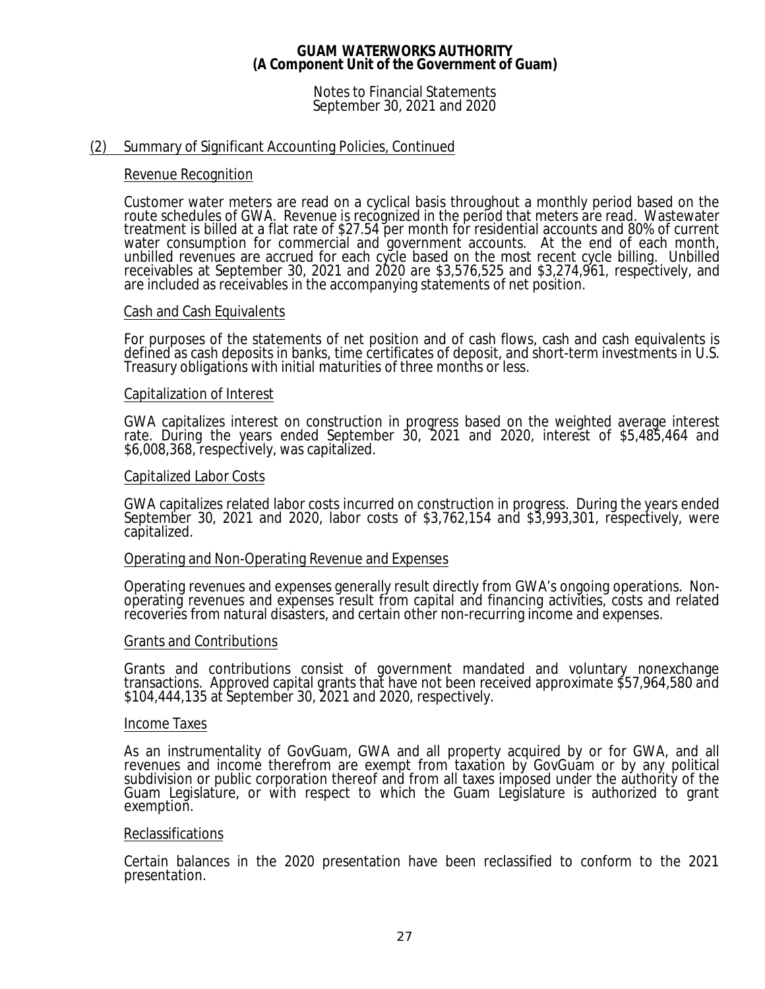Notes to Financial Statements September 30, 2021 and 2020

### (2) Summary of Significant Accounting Policies, Continued

### Revenue Recognition

Customer water meters are read on a cyclical basis throughout a monthly period based on the route schedules of GWA. Revenue is recognized in the period that meters are read. Wastewater treatment is billed at a flat rate of \$27.54 per month for residential accounts and 80% of current water consumption for commercial and government accounts. At the end of each month, unbilled revenues are accrued for each cycle based on the most recent cycle billing. Unbilled receivables at September 30, 2021 and 2020 are \$3,576,525 and \$3,274,961, respectively, and are included as receivables in the accompanying statements of net position.

### Cash and Cash Equivalents

For purposes of the statements of net position and of cash flows, cash and cash equivalents is defined as cash deposits in banks, time certificates of deposit, and short-term investments in U.S. Treasury obligations with initial maturities of three months or less.

### Capitalization of Interest

GWA capitalizes interest on construction in progress based on the weighted average interest rate. During the years ended September 30, 2021 and 2020, interest of \$5,485,464 and \$6,008,368, respectively, was capitalized.

### Capitalized Labor Costs

GWA capitalizes related labor costs incurred on construction in progress. During the years ended September 30, 2021 and 2020, labor costs of \$3,762,154 and \$3,993,301, respectively, were capitalized.

### Operating and Non-Operating Revenue and Expenses

Operating revenues and expenses generally result directly from GWA's ongoing operations. Nonoperating revenues and expenses result from capital and financing activities, costs and related recoveries from natural disasters, and certain other non-recurring income and expenses.

### Grants and Contributions

Grants and contributions consist of government mandated and voluntary nonexchange transactions. Approved capital grants that have not been received approximate \$57,964,580 and \$104,444,135 at September 30, 2021 and 2020, respectively.

### Income Taxes

As an instrumentality of GovGuam, GWA and all property acquired by or for GWA, and all revenues and income therefrom are exempt from taxation by GovGuam or by any political subdivision or public corporation thereof and from all taxes imposed under the authority of the Guam Legislature, or with respect to which the Guam Legislature is authorized to grant exemption.

### Reclassifications

Certain balances in the 2020 presentation have been reclassified to conform to the 2021 presentation.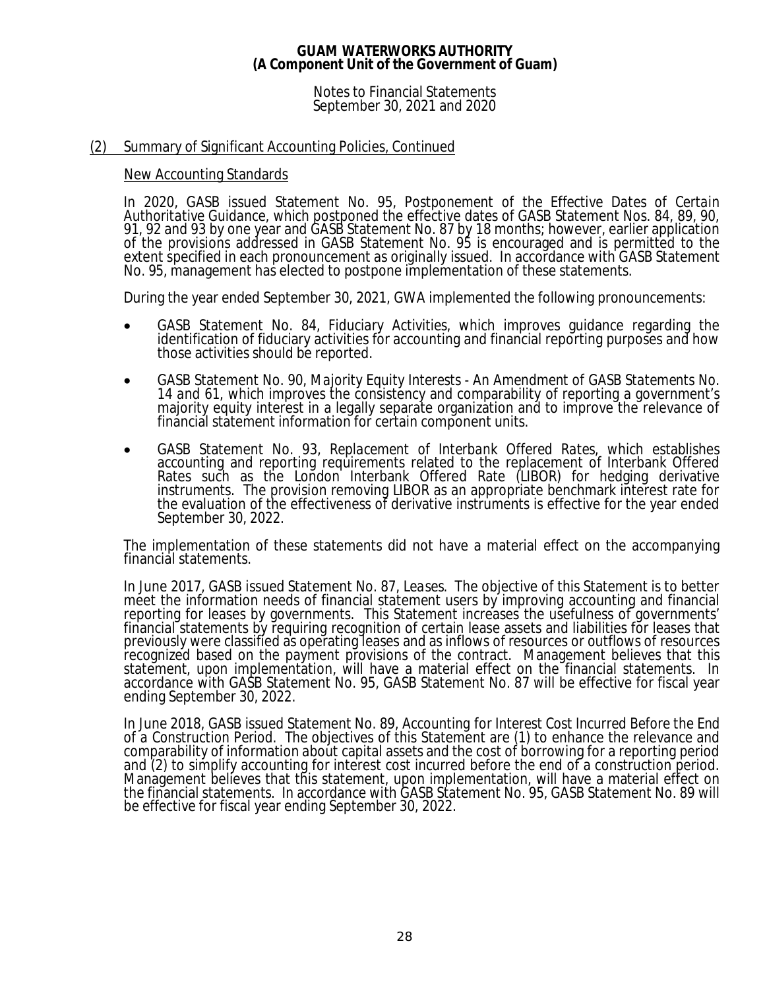Notes to Financial Statements September 30, 2021 and 2020

## (2) Summary of Significant Accounting Policies, Continued

### New Accounting Standards

In 2020, GASB issued Statement No. 95, *Postponement of the Effective Dates of Certain Authoritative Guidance*, which postponed the effective dates of GASB Statement Nos. 84, 89, 90, 91, 92 and 93 by one year and GASB Statement No. 87 by 18 months; however, earlier application of the provisions addressed in GASB Statement No. 95 is encouraged and is permitted to the extent specified in each pronouncement as originally issued. In accordance with GASB Statement No. 95, management has elected to postpone implementation of these statements.

During the year ended September 30, 2021, GWA implemented the following pronouncements:

- · GASB Statement No. 84, *Fiduciary Activities*, which improves guidance regarding the identification of fiduciary activities for accounting and financial reporting purposes and how those activities should be reported.
- · GASB Statement No. 90, *Majority Equity Interests An Amendment of GASB Statements No. 14 and 61*, which improves the consistency and comparability of reporting a government's majority equity interest in a legally separate organization and to improve the relevance of financial statement information for certain component units.
- · GASB Statement No. 93, *Replacement of Interbank Offered Rates*, which establishes accounting and reporting requirements related to the replacement of Interbank Offered Rates such as the London Interbank Offered Rate (LIBOR) for hedging derivative instruments. The provision removing LIBOR as an appropriate benchmark interest rate for the evaluation of the effectiveness of derivative instruments is effective for the year ended September 30, 2022.

The implementation of these statements did not have a material effect on the accompanying financial statements.

In June 2017, GASB issued Statement No. 87, *Leases*. The objective of this Statement is to better meet the information needs of financial statement users by improving accounting and financial reporting for leases by governments. This Statement increases the usefulness of governments' financial statements by requiring recognition of certain lease assets and liabilities for leases that previously were classified as operating leases and as inflows of resources or outflows of resources recognized based on the payment provisions of the contract. Management believes that this statement, upon implementation, will have a material effect on the financial statements. In accordance with GASB Statement No. 95, GASB Statement No. 87 will be effective for fiscal year ending September 30, 2022.

In June 2018, GASB issued Statement No. 89, *Accounting for Interest Cost Incurred Before the End of a Construction Period*. The objectives of this Statement are (1) to enhance the relevance and comparability of information about capital assets and the cost of borrowing for a reporting period and (2) to simplify accounting for interest cost incurred before the end of a construction period. Management believes that this statement, upon implementation, will have a material effect on the financial statements. In accordance with GASB Statement No. 95, GASB Statement No. 89 will be effective for fiscal year ending September 30, 2022.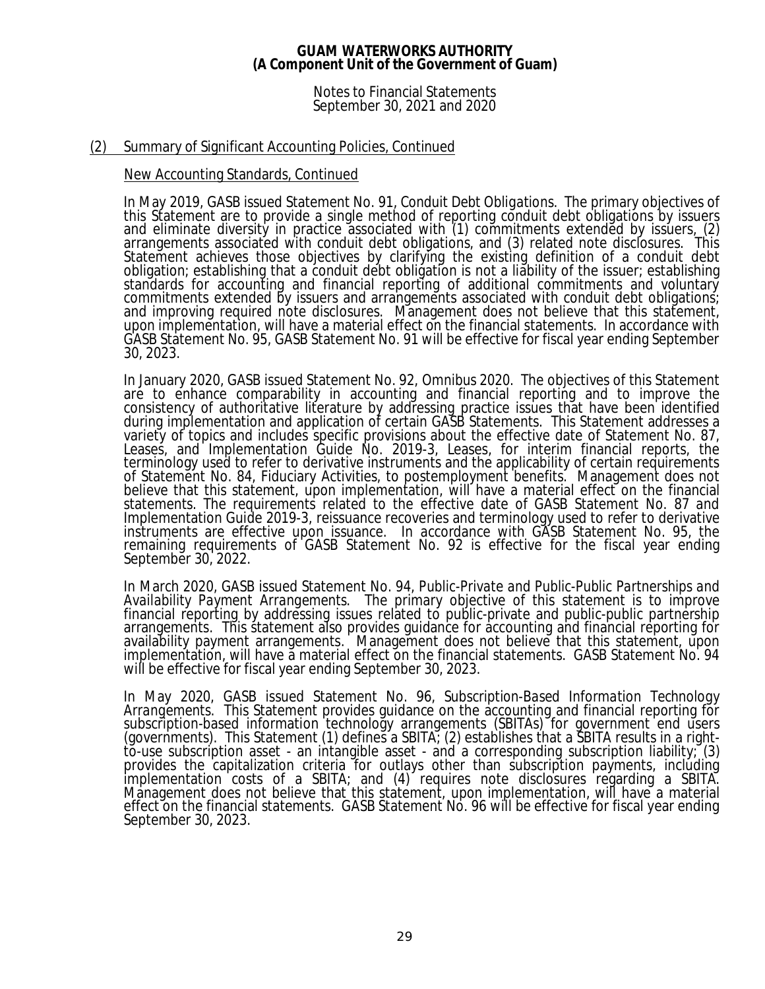### Notes to Financial Statements September 30, 2021 and 2020

# (2) Summary of Significant Accounting Policies, Continued

### New Accounting Standards, Continued

In May 2019, GASB issued Statement No. 91, *Conduit Debt Obligations*. The primary objectives of this Statement are to provide a single method of reporting conduit debt obligations by issuers and eliminate diversity in practice associated with (1) commitments extended by issuers, (2) arrangements associated with conduit debt obligations, and (3) related note disclosures. This Statement achieves those objectives by clarifying the existing definition of a conduit debt obligation; establishing that a conduit debt obligation is not a liability of the issuer; establishing standards for accounting and financial reporting of additional commitments and voluntary commitments extended by issuers and arrangements associated with conduit debt obligations; and improving required note disclosures. Management does not believe that this statement, upon implementation, will have a material effect on the financial statements. In accordance with GASB Statement No. 95, GASB Statement No. 91 will be effective for fiscal year ending September 30, 2023.

In January 2020, GASB issued Statement No. 92, *Omnibus 2020*. The objectives of this Statement are to enhance comparability in accounting and financial reporting and to improve the consistency of authoritative literature by addressing practice issues that have been identified during implementation and application of certain GASB Statements. This Statement addresses a variety of topics and includes specific provisions about the effective date of Statement No. 87, Leases, and Implementation Guide No. 2019-3, Leases, for interim financial reports, the terminology used to refer to derivative instruments and the applicability of certain requirements of Statement No. 84, Fiduciary Activities, to postemployment benefits. Management does not believe that this statement, upon implementation, will have a material effect on the financial statements. The requirements related to the effective date of GASB Statement No. 87 and Implementation Guide 2019-3, reissuance recoveries and terminology used to refer to derivative instruments are effective upon issuance. In accordance with GASB Statement No. 95, the remaining requirements of GASB Statement No. 92 is effective for the fiscal year ending September 30, 2022.

In March 2020, GASB issued Statement No. 94, *Public-Private and Public-Public Partnerships and Availability Payment Arrangements*. The primary objective of this statement is to improve financial reporting by addressing issues related to public-private and public-public partnership arrangements. This statement also provides guidance for accounting and financial reporting for availability payment arrangements. Management does not believe that this statement, upon implementation, will have a material effect on the financial statements. GASB Statement No. 94 will be effective for fiscal year ending September 30, 2023.

In May 2020, GASB issued Statement No. 96, *Subscription-Based Information Technology Arrangements*. This Statement provides guidance on the accounting and financial reporting for subscription-based information technology arrangements (SBITAs) for government end users (governments). This Statement (1) defines a SBITA; (2) establishes that a SBITA results in a rightto-use subscription asset - an intangible asset - and a corresponding subscription liability; (3) provides the capitalization criteria for outlays other than subscription payments, including implementation costs of a SBITA; and (4) requires note disclosures regarding a SBITA. Management does not believe that this statement, upon implementation, will have a material effect on the financial statements. GASB Statement No. 96 will be effective for fiscal year ending September 30, 2023.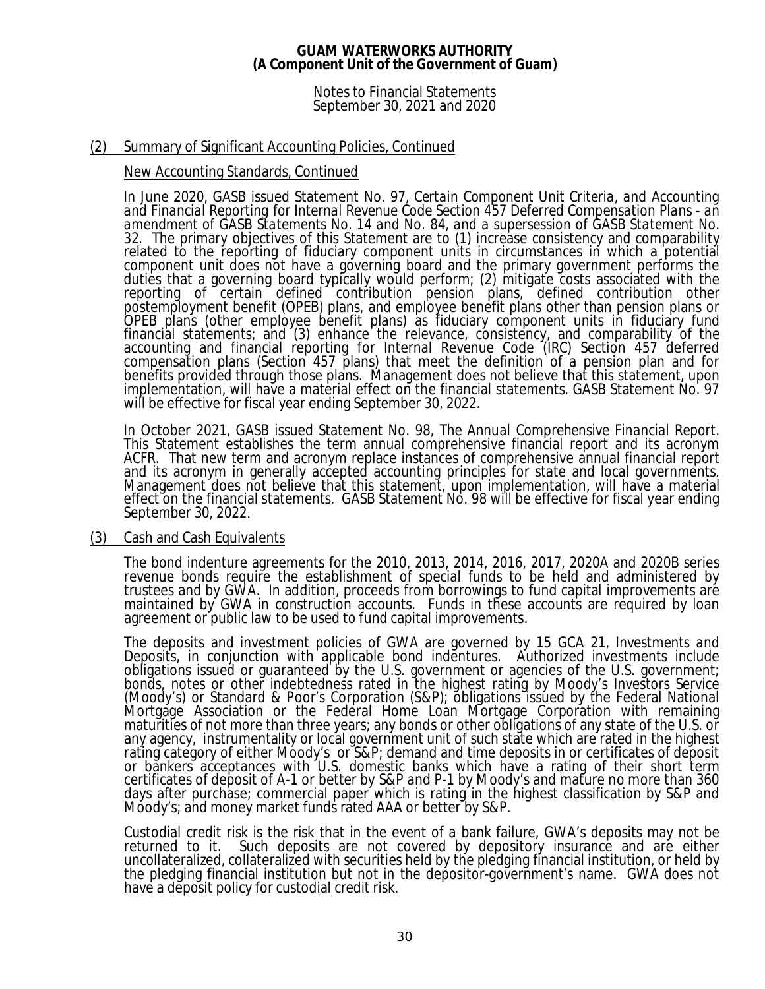### Notes to Financial Statements September 30, 2021 and 2020

# (2) Summary of Significant Accounting Policies, Continued

### New Accounting Standards, Continued

In June 2020, GASB issued Statement No. 97, *Certain Component Unit Criteria, and Accounting and Financial Reporting for Internal Revenue Code Section 457 Deferred Compensation Plans - an amendment of GASB Statements No. 14 and No. 84, and a supersession of GASB Statement No. 32.* The primary objectives of this Statement are to (1) increase consistency and comparability related to the reporting of fiduciary component units in circumstances in which a potential component unit does not have a governing board and the primary government performs the duties that a governing board typically would perform; (2) mitigate costs associated with the reporting of certain defined contribution pension plans, defined contribution other postemployment benefit (OPEB) plans, and employee benefit plans other than pension plans or OPEB plans (other employee benefit plans) as fiduciary component units in fiduciary fund financial statements; and (3) enhance the relevance, consistency, and comparability of the accounting and financial reporting for Internal Revenue Code (IRC) Section 457 deferred compensation plans (Section 457 plans) that meet the definition of a pension plan and for benefits provided through those plans. Management does not believe that this statement, upon implementation, will have a material effect on the financial statements. GASB Statement No. 97 will be effective for fiscal year ending September 30, 2022.

In October 2021, GASB issued Statement No. 98, *The Annual Comprehensive Financial Report*. This Statement establishes the term annual comprehensive financial report and its acronym ACFR. That new term and acronym replace instances of comprehensive annual financial report and its acronym in generally accepted accounting principles for state and local governments. Management does not believe that this statement, upon implementation, will have a material effect on the financial statements. GASB Statement No. 98 will be effective for fiscal year ending September 30, 2022.

### (3) Cash and Cash Equivalents

The bond indenture agreements for the 2010, 2013, 2014, 2016, 2017, 2020A and 2020B series revenue bonds require the establishment of special funds to be held and administered by trustees and by GWA. In addition, proceeds from borrowings to fund capital improvements are maintained by GWA in construction accounts. Funds in these accounts are required by loan agreement or public law to be used to fund capital improvements.

The deposits and investment policies of GWA are governed by 15 GCA 21, *Investments and Deposits*, in conjunction with applicable bond indentures. Authorized investments include obligations issued or guaranteed by the U.S. government or agencies of the U.S. government; bonds, notes or other indebtedness rated in the highest rating by Moody's Investors Service (Moody's) or Standard & Poor's Corporation (S&P); obligations issued by the Federal National Mortgage Association or the Federal Home Loan Mortgage Corporation with remaining maturities of not more than three years; any bonds or other obligations of any state of the U.S. or any agency, instrumentality or local government unit of such state which are rated in the highest rating category of either Moody's or S&P; demand and time deposits in or certificates of deposit or bankers acceptances with U.S. domestic banks which have a rating of their short term certificates of deposit of A-1 or better by S&P and P-1 by Moody's and mature no more than 360 days after purchase; commercial paper which is rating in the highest classification by S&P and Moody's; and money market funds rated AAA or better by S&P.

Custodial credit risk is the risk that in the event of a bank failure, GWA's deposits may not be Such deposits are not covered by depository insurance and are either uncollateralized, collateralized with securities held by the pledging financial institution, or held by the pledging financial institution but not in the depositor-government's name. GWA does not have a deposit policy for custodial credit risk.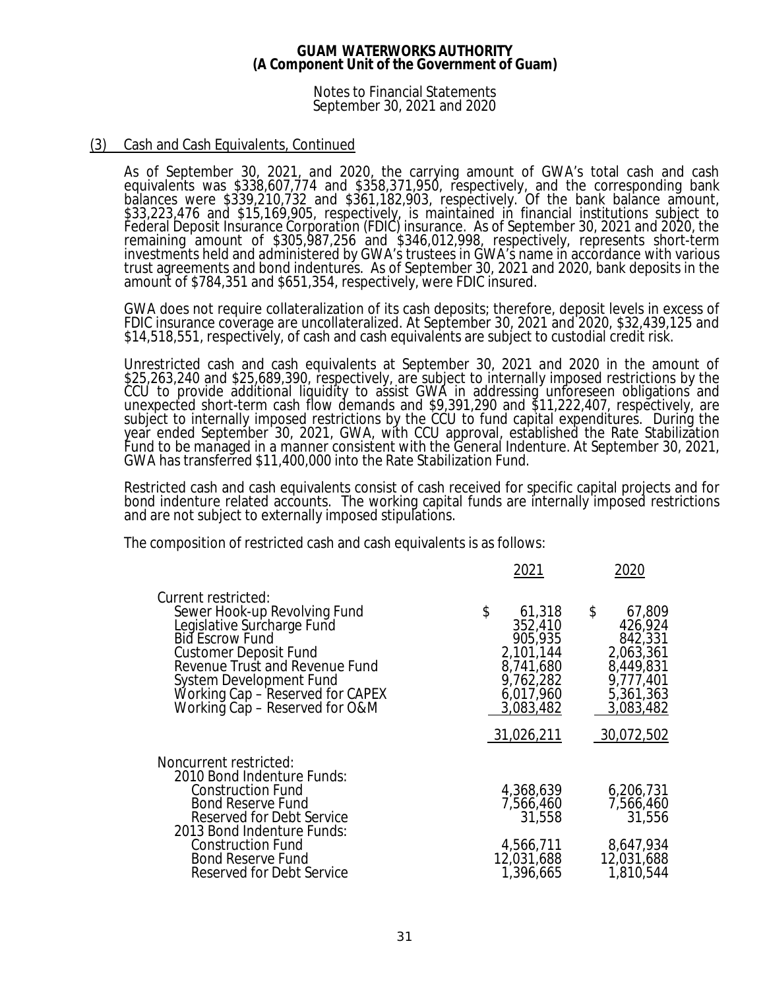Notes to Financial Statements September 30, 2021 and 2020

## (3) Cash and Cash Equivalents, Continued

As of September 30, 2021, and 2020, the carrying amount of GWA's total cash and cash equivalents was \$338,607,774 and \$358,371,950, respectively, and the corresponding bank balances were \$339,210,732 and \$361,182,903, respectively. Of the bank balance amount, \$33,223,476 and \$15,169,905, respectively, is maintained in financial institutions subject to Federal Deposit Insurance Corporation (FDIC) insurance. As of September 30, 2021 and 2020, the remaining amount of \$305,987,256 and \$346,012,998, respectively, represents short-term investments held and administered by GWA's trustees in GWA's name in accordance with various trust agreements and bond indentures. As of September 30, 2021 and 2020, bank deposits in the amount of \$784,351 and \$651,354, respectively, were FDIC insured.

GWA does not require collateralization of its cash deposits; therefore, deposit levels in excess of FDIC insurance coverage are uncollateralized. At September 30, 2021 and 2020, \$32,439,125 and \$14,518,551, respectively, of cash and cash equivalents are subject to custodial credit risk.

Unrestricted cash and cash equivalents at September 30, 2021 and 2020 in the amount of \$25,263,240 and \$25,689,390, respectively, are subject to internally imposed restrictions by the CCU to provide additional liquidity to assist GWA in addressing unforeseen obligations and unexpected short-term cash flow demands and \$9,391,290 and \$11,222,407, respectively, are subject to internally imposed restrictions by the CCU to fund capital expenditures. During the year ended September 30, 2021, GWA, with CCU approval, established the Rate Stabilization Fund to be managed in a manner consistent with the General Indenture. At September 30, 2021, GWA has transferred \$11,400,000 into the Rate Stabilization Fund.

Restricted cash and cash equivalents consist of cash received for specific capital projects and for bond indenture related accounts. The working capital funds are internally imposed restrictions and are not subject to externally imposed stipulations.

The composition of restricted cash and cash equivalents is as follows:

|                                                                                                                                                                                                                                                                         | 2021                                                                                                              | 2020                                                                                                              |
|-------------------------------------------------------------------------------------------------------------------------------------------------------------------------------------------------------------------------------------------------------------------------|-------------------------------------------------------------------------------------------------------------------|-------------------------------------------------------------------------------------------------------------------|
| Current restricted:<br>Sewer Hook-up Revolving Fund<br>Legislative Surcharge Fund<br>Bid Escrow Fund<br><b>Customer Deposit Fund</b><br>Revenue Trust and Revenue Fund<br>System Development Fund<br>Working Cap – Reserved for CAPEX<br>Working Cap - Reserved for O&M | \$<br>61,318<br>352,410<br>905,935<br>2,101,144<br>8,741,680<br>9,762,282<br>6,017,960<br>3,083,482<br>31,026,211 | \$<br>67,809<br>426,924<br>842,331<br>2,063,361<br>8,449,831<br>9,777,401<br>5,361,363<br>3,083,482<br>30,072,502 |
| Noncurrent restricted:<br>2010 Bond Indenture Funds:                                                                                                                                                                                                                    |                                                                                                                   |                                                                                                                   |
| <b>Construction Fund</b><br><b>Bond Reserve Fund</b><br><b>Reserved for Debt Service</b><br>2013 Bond Indenture Funds:                                                                                                                                                  | 4,368,639<br>7,566,460<br>31,558                                                                                  | 6,206,731<br>7,566,460<br>31,556                                                                                  |
| <b>Construction Fund</b><br><b>Bond Reserve Fund</b><br>Reserved for Debt Service                                                                                                                                                                                       | 4,566,711<br>12,031,688<br>1,396,665                                                                              | 8,647,934<br>12,031,688<br>1,810,544                                                                              |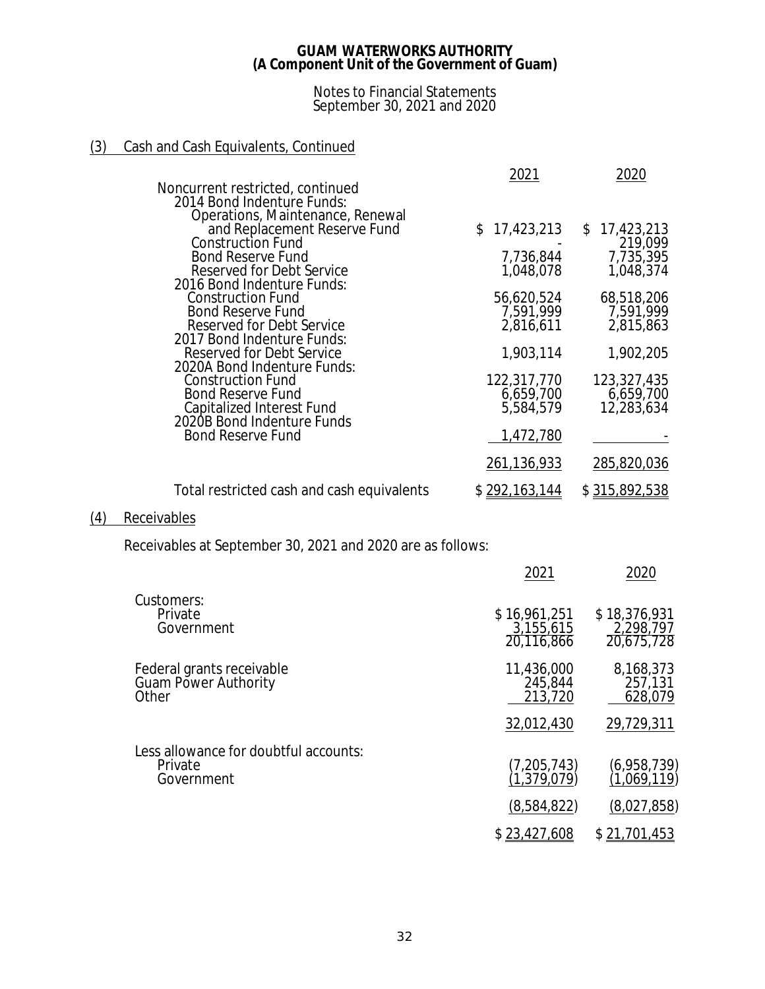### Notes to Financial Statements September 30, 2021 and 2020

# (3) Cash and Cash Equivalents, Continued

|                                                                                        | 2021                    | 2020                    |
|----------------------------------------------------------------------------------------|-------------------------|-------------------------|
| Noncurrent restricted, continued<br>2014 Bond Indenture Funds:                         |                         |                         |
| Operations, Maintenance, Renewal<br>and Replacement Reserve Fund                       | 17,423,213<br>S.        | 17,423,213<br>\$        |
| Construction Fund                                                                      |                         | 219,099                 |
| <b>Bond Reserve Fund</b>                                                               | 7,736,844               | 7,735,395               |
| Reserved for Debt Service<br>2016 Bond Indenture Funds:                                | 1,048,078               | 1,048,374               |
| <b>Construction Fund</b><br><b>Bond Reserve Fund</b>                                   | 56,620,524<br>7,591,999 | 68,518,206<br>7,591,999 |
| Reserved for Debt Service                                                              | 2,816,611               | 2,815,863               |
| 2017 Bond Indenture Funds:<br>Reserved for Debt Service<br>2020A Bond Indenture Funds: | 1,903,114               | 1,902,205               |
| <b>Construction Fund</b>                                                               | 122,317,770             | 123,327,435             |
| <b>Bond Reserve Fund</b>                                                               | 6,659,700               | 6,659,700               |
| <b>Capitalized Interest Fund</b><br>2020B Bond Indenture Funds                         | 5,584,579               | 12,283,634              |
| <b>Bond Reserve Fund</b>                                                               | 1,472,780               |                         |
|                                                                                        | 261,136,933             | 285,820,036             |
| Total restricted cash and cash equivalents                                             | \$ <u>292,163,144</u>   | \$315,892,538           |

# (4) Receivables

Receivables at September 30, 2021 and 2020 are as follows:

|                                                                   | 2021                                    | 2020                                    |
|-------------------------------------------------------------------|-----------------------------------------|-----------------------------------------|
| Customers:<br>Private<br>Government                               | \$16,961,251<br>3,155,615<br>20,116,866 | \$18,376,931<br>2,298,797<br>20,675,728 |
| Federal grants receivable<br><b>Guam Power Authority</b><br>Other | 11,436,000<br>245,844<br>213,720        | 8,168,373<br>257,131<br>628,079         |
|                                                                   | 32,012,430                              | 29,729,311                              |
| Less allowance for doubtful accounts:<br>Private<br>Government    | (7,205,743)<br>(1,379,079)              | (6,958,739)<br>(1,069,119)              |
|                                                                   | (8,584,822)                             | (8,027,858)                             |
|                                                                   | \$23,427,608                            | \$21,701,453                            |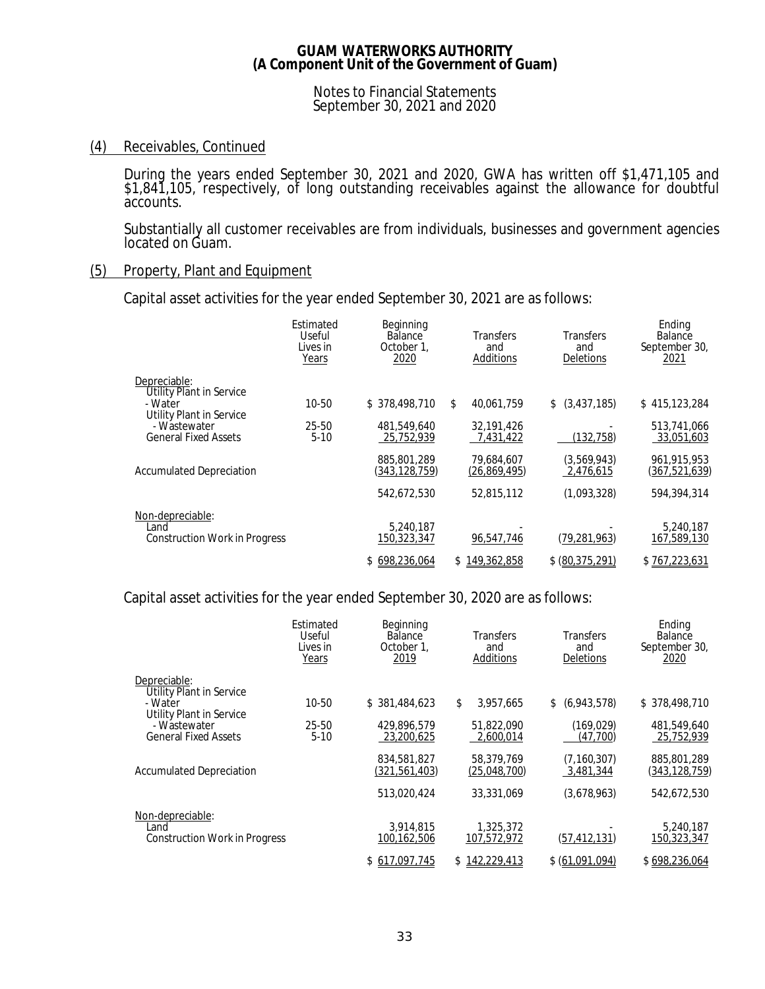Notes to Financial Statements September 30, 2021 and 2020

# (4) Receivables, Continued

During the years ended September 30, 2021 and 2020, GWA has written off \$1,471,105 and \$1,841,105, respectively, of long outstanding receivables against the allowance for doubtful accounts.

Substantially all customer receivables are from individuals, businesses and government agencies located on Guam.

### (5) Property, Plant and Equipment

Capital asset activities for the year ended September 30, 2021 are as follows:

|                                                                         | Estimated<br>Useful<br>Lives in<br>Years | Beginning<br><b>Balance</b><br>October 1,<br>2020 | Transfers<br>and<br>Additions | Transfers<br>and<br>Deletions | Ending<br><b>Balance</b><br>September 30,<br>2021 |
|-------------------------------------------------------------------------|------------------------------------------|---------------------------------------------------|-------------------------------|-------------------------------|---------------------------------------------------|
| Depreciable:<br><b>Utility Plant in Service</b><br>- Water              | 10-50                                    | \$378,498,710                                     | \$<br>40,061,759              | (3,437,185)<br>\$             | \$415,123,284                                     |
| Utility Plant in Service<br>- Wastewater<br><b>General Fixed Assets</b> | 25-50<br>$5-10$                          | 481,549,640<br>25,752,939                         | 32.191.426<br>7,431,422       | (132,758)                     | 513,741,066<br>33,051,603                         |
| <b>Accumulated Depreciation</b>                                         |                                          | 885,801,289<br>(343, 128, 759)                    | 79,684,607<br>(26, 869, 495)  | (3,569,943)<br>2,476,615      | 961,915,953<br>(367, 521, 639)                    |
|                                                                         |                                          | 542,672,530                                       | 52,815,112                    | (1,093,328)                   | 594,394,314                                       |
| Non-depreciable:<br>Land<br><b>Construction Work in Progress</b>        |                                          | 5,240,187<br>150,323,347                          | 96,547,746                    | (79, 281, 963)                | 5,240,187<br>167,589,130                          |
|                                                                         |                                          | \$698,236,064                                     | \$149,362,858                 | \$ (80, 375, 291)             | \$767,223,631                                     |

Capital asset activities for the year ended September 30, 2020 are as follows:

|                                                                         | Estimated<br>Useful<br>Lives in<br>Years | Beginning<br><b>Balance</b><br>October 1.<br>2019 | <b>Transfers</b><br>and<br>Additions | Transfers<br>and<br><b>Deletions</b> | Ending<br>Balance<br>September 30,<br>2020 |
|-------------------------------------------------------------------------|------------------------------------------|---------------------------------------------------|--------------------------------------|--------------------------------------|--------------------------------------------|
| Depreciable:<br><b>Utility Plant in Service</b><br>- Water              | 10-50                                    | \$381,484,623                                     | \$<br>3,957,665                      | \$ (6,943,578)                       | \$378,498,710                              |
| Utility Plant in Service<br>- Wastewater<br><b>General Fixed Assets</b> | 25-50<br>$5-10$                          | 429.896.579<br>23,200,625                         | 51.822.090<br>2.600.014              | (169, 029)<br>(47.700)               | 481,549,640<br>25.752.939                  |
| <b>Accumulated Depreciation</b>                                         |                                          | 834.581.827<br>(321, 561, 403)                    | 58.379.769<br>(25,048,700)           | (7, 160, 307)<br>3,481,344           | 885,801,289<br>(343, 128, 759)             |
|                                                                         |                                          | 513,020,424                                       | 33,331,069                           | (3,678,963)                          | 542,672,530                                |
| Non-depreciable:<br>Land<br><b>Construction Work in Progress</b>        |                                          | 3.914.815<br>100,162,506                          | 1,325,372<br>107,572,972             | (57, 412, 131)                       | 5,240,187<br>150,323,347                   |
|                                                                         |                                          | \$617,097,745                                     | \$142,229,413                        | \$ (61,091,094)                      | \$698,236,064                              |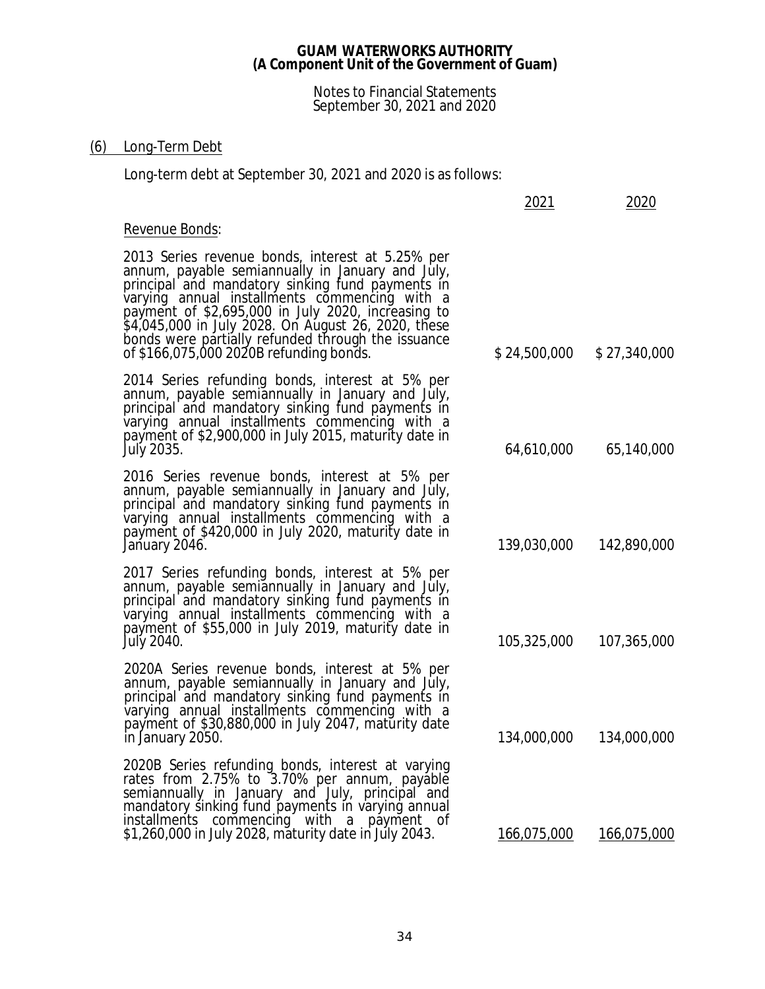### Notes to Financial Statements September 30, 2021 and 2020

# (6) Long-Term Debt

Long-term debt at September 30, 2021 and 2020 is as follows:

|                                                                                                                                                                                                                                                                                                                                                                                                                         | 2021         | 2020         |
|-------------------------------------------------------------------------------------------------------------------------------------------------------------------------------------------------------------------------------------------------------------------------------------------------------------------------------------------------------------------------------------------------------------------------|--------------|--------------|
| Revenue Bonds:                                                                                                                                                                                                                                                                                                                                                                                                          |              |              |
| 2013 Series revenue bonds, interest at 5.25% per<br>annum, payable semiannually in January and July,<br>principal and mandatory sinking fund payments in<br>varying annual installments commencing with a<br>payment of \$2,695,000 in July 2020, increasing to<br>\$4,045,000 in July 2028. On August 26, 2020, these<br>bonds were partially refunded through the issuance<br>of \$166,075,000 2020B refunding bonds. | \$24,500,000 | \$27,340,000 |
| 2014 Series refunding bonds, interest at 5% per<br>annum, payable semiannually in January and July,<br>principal and mandatory sinking fund payments in<br>varying annual installments commencing with a<br>payment of \$2,900,000 in July 2015, maturity date in<br>July 2035.                                                                                                                                         | 64,610,000   | 65,140,000   |
| 2016 Series revenue bonds, interest at 5% per<br>annum, payable semiannually in January and July,<br>principal and mandatory sinking fund payments in<br>varying annual installments commencing with a<br>payment of \$420,000 in July 2020, maturity date in<br>January 2046.                                                                                                                                          | 139,030,000  | 142,890,000  |
| 2017 Series refunding bonds, interest at 5% per<br>annum, payable semiannually in January and July,<br>principal and mandatory sinking fund payments in<br>varying annual installments commencing with a<br>payment of \$55,000 in July 2019, maturity date in<br>July 2040.                                                                                                                                            | 105,325,000  | 107,365,000  |
| 2020A Series revenue bonds, interest at 5% per<br>annum, payable semiannually in January and July,<br>principal and mandatory sinking fund payments in<br>varying annual installments commencing with a<br>payment of \$30,880,000 in July 2047, maturity date<br>in January 2050.                                                                                                                                      | 134,000,000  | 134,000,000  |
| 2020B Series refunding bonds, interest at varying<br>rates from 2.75% to 3.70% per annum, payable<br>semiannually in January and July, principal and<br>mandatory sinking fund payments in varying annual<br>installments commencing with a payment of<br>\$1,260,000 in July 2028, maturity date in July 2043.                                                                                                         | 166,075,000  | 166,075,000  |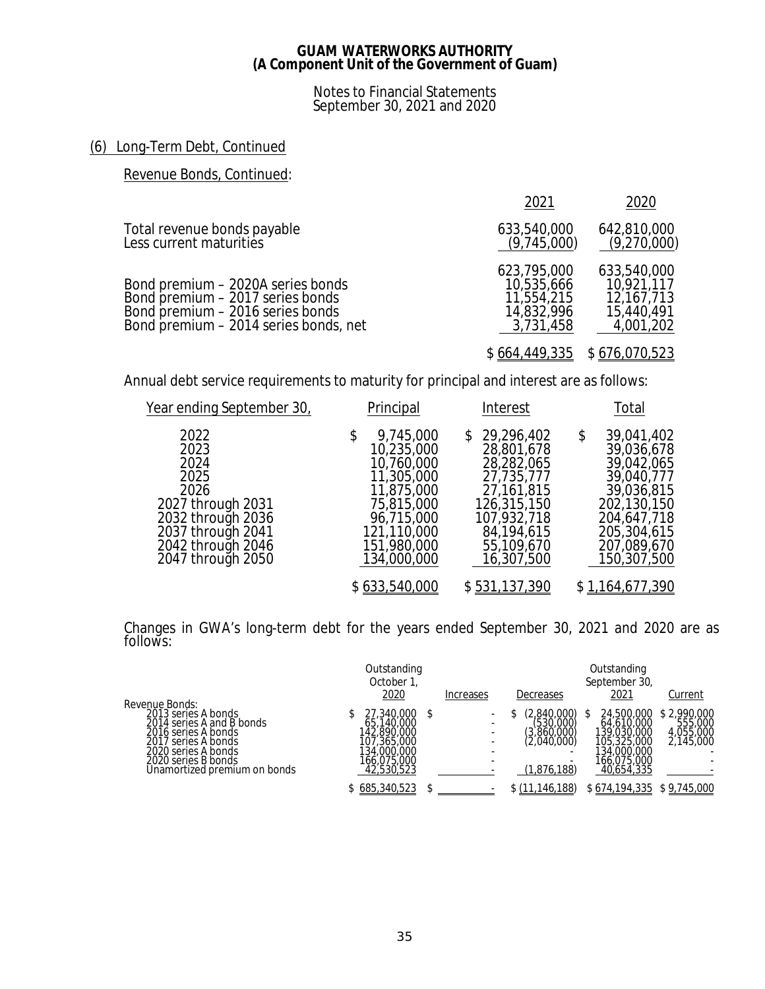Notes to Financial Statements September 30, 2021 and 2020

# (6) Long-Term Debt, Continued

# Revenue Bonds, Continued:

|                                                                                                                                                    | 2021                                                               | 2020                                                               |
|----------------------------------------------------------------------------------------------------------------------------------------------------|--------------------------------------------------------------------|--------------------------------------------------------------------|
| Total revenue bonds payable<br>Less current maturities                                                                                             | 633,540,000<br>(9,745,000)                                         | 642,810,000<br>(9,270,000)                                         |
| Bond premium - 2020A series bonds<br>Bond premium - 2017 series bonds<br>Bond premium – 2016 series bonds<br>Bond premium - 2014 series bonds, net | 623,795,000<br>10,535,666<br>11,554,215<br>14,832,996<br>3,731,458 | 633,540,000<br>10,921,117<br>12,167,713<br>15,440,491<br>4,001,202 |
|                                                                                                                                                    |                                                                    | $$664,449,335$ $$676,070,523$                                      |

Annual debt service requirements to maturity for principal and interest are as follows:

| <u>Year ending September 30,</u>                                                                                                              | Principal                                                                                                                                        | Interest                                                                                                                                             | Total                                                                                                                                               |
|-----------------------------------------------------------------------------------------------------------------------------------------------|--------------------------------------------------------------------------------------------------------------------------------------------------|------------------------------------------------------------------------------------------------------------------------------------------------------|-----------------------------------------------------------------------------------------------------------------------------------------------------|
| 2022<br>2023<br>2024<br>2025<br>2026<br>2027 through 2031<br>2032 through 2036<br>2037 through 2041<br>2042 through 2046<br>2047 through 2050 | 9,745,000<br>\$<br>10,235,000<br>10,760,000<br>11,305,000<br>11,875,000<br>75,815,000<br>96,715,000<br>121,110,000<br>151,980,000<br>134,000,000 | 29,296,402<br>S.<br>28,801,678<br>28,282,065<br>27,735,777<br>27, 161, 815<br>126,315,150<br>107,932,718<br>84, 194, 615<br>55,109,670<br>16,307,500 | 39,041,402<br>\$<br>39,036,678<br>39,042,065<br>39,040,777<br>39,036,815<br>202,130,150<br>204,647,718<br>205,304,615<br>207,089,670<br>150,307,500 |
|                                                                                                                                               | \$633,540,000                                                                                                                                    | \$531,137,390                                                                                                                                        | \$1,164,677,390                                                                                                                                     |

Changes in GWA's long-term debt for the years ended September 30, 2021 and 2020 are as follows:

|                                                                                                                                                                              | Outstanding<br>October 1                                                                           |           |                                                                      | Outstanding<br>September 30,                                                                       |                                                       |
|------------------------------------------------------------------------------------------------------------------------------------------------------------------------------|----------------------------------------------------------------------------------------------------|-----------|----------------------------------------------------------------------|----------------------------------------------------------------------------------------------------|-------------------------------------------------------|
| Revenue Bonds:                                                                                                                                                               | 2020                                                                                               | Increases | Decreases                                                            | 2021                                                                                               | Current                                               |
| 2013 series A bonds<br>2014 series A and B bonds<br>2016 series A bonds<br>2017 series A bonds<br>2020 series A bonds<br>2020 series B bonds<br>Unamortized premium on bonds | 27,340,000<br>65,140,000<br>142,890,000<br>107,365,000<br>134,000,000<br>166.075.000<br>42,530,523 | $\sim$    | (2,840,000)<br>(530,000)<br>(3)860,000<br>(2,040,000)<br>(1.876.188) | 24,500,000<br>64,610,000<br>139,030,000<br>105,325,000<br>134,000,000<br>166.075.000<br>40.654.335 | \$2,990,000<br>555,000<br>4,055,000<br>2,145,000<br>۰ |
|                                                                                                                                                                              | \$685,340,523                                                                                      |           | \$ (11, 146, 188)                                                    | \$674,194,335                                                                                      | \$9,745,000                                           |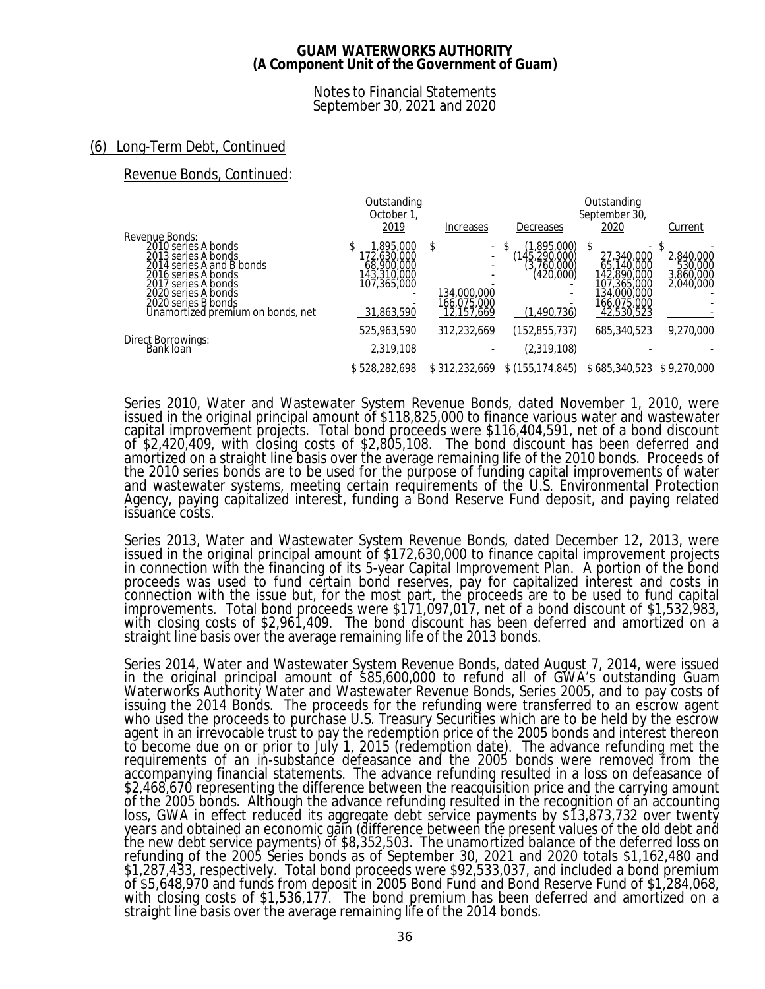### Notes to Financial Statements September 30, 2021 and 2020

# (6) Long-Term Debt, Continued

Revenue Bonds, Continued:

|                                                                                                                                                                                                                            | Outstanding<br>October 1,<br>2019                                                  | Increases                                                | Decreases                                                                 | Outstanding<br>September 30,<br>2020                                                                     | Current                                        |
|----------------------------------------------------------------------------------------------------------------------------------------------------------------------------------------------------------------------------|------------------------------------------------------------------------------------|----------------------------------------------------------|---------------------------------------------------------------------------|----------------------------------------------------------------------------------------------------------|------------------------------------------------|
| Revenue Bonds:<br>2010 series A bonds<br>2013 series A bonds<br>2014 series A and B bonds<br>2016 series A bonds<br>2017 series A bonds<br>2020 series A bonds<br>2020 series B bonds<br>Unamortized premium on bonds, net | 1,895,000<br>172,630,000<br>68,900,000<br>143,310,000<br>107,365,000<br>31,863,590 | \$<br>$\sim$<br>134,000,000<br>166.075.000<br>12,157,669 | (1.895.000)<br>(145, 290, 000)<br>(3,760,000)<br>(420,000)<br>(1,490,736) | ۰.<br>27,340,000<br>65,140,000<br>142,890,000<br>107,365,000<br>134,000,000<br>166,075,000<br>42,530,523 | 2,840,000<br>530,000<br>3,860,000<br>2,040,000 |
| <b>Direct Borrowings:</b><br>Bank loan                                                                                                                                                                                     | 525,963,590<br>2,319,108                                                           | 312,232,669                                              | (152,855,737)<br>(2,319,108)                                              | 685,340,523                                                                                              | 9,270,000                                      |
|                                                                                                                                                                                                                            | \$528,282,698                                                                      | \$312,232,669                                            | \$ (155, 174, 845)                                                        | \$685,340,523                                                                                            | \$9,270,000                                    |

Series 2010, Water and Wastewater System Revenue Bonds, dated November 1, 2010, were issued in the original principal amount of \$118,825,000 to finance various water and wastewater capital improvement projects. Total bond proceeds were \$116,404,591, net of a bond discount of \$2,420,409, with closing costs of \$2,805,108. The bond discount has been deferred and amortized on a straight line basis over the average remaining life of the 2010 bonds. Proceeds of the 2010 series bonds are to be used for the purpose of funding capital improvements of water and wastewater systems, meeting certain requirements of the U.S. Environmental Protection Agency, paying capitalized interest, funding a Bond Reserve Fund deposit, and paying related issuance costs.

Series 2013, Water and Wastewater System Revenue Bonds, dated December 12, 2013, were issued in the original principal amount of \$172,630,000 to finance capital improvement projects in connection with the financing of its 5-year Capital Improvement Plan. A portion of the bond proceeds was used to fund certain bond reserves, pay for capitalized interest and costs in connection with the issue but, for the most part, the proceeds are to be used to fund capital improvements. Total bond proceeds were \$171,097,017, net of a bond discount of \$1,532,983, with closing costs of \$2,961,409. The bond discount has been deferred and amortized on a straight line basis over the average remaining life of the 2013 bonds.

Series 2014, Water and Wastewater System Revenue Bonds, dated August 7, 2014, were issued in the original principal amount of \$85,600,000 to refund all of GWA's outstanding Guam Waterworks Authority Water and Wastewater Revenue Bonds, Series 2005, and to pay costs of issuing the 2014 Bonds. The proceeds for the refunding were transferred to an escrow agent who used the proceeds to purchase U.S. Treasury Securities which are to be held by the escrow agent in an irrevocable trust to pay the redemption price of the 2005 bonds and interest thereon to become due on or prior to July 1, 2015 (redemption date). The advance refunding met the requirements of an in-substance defeasance and the 2005 bonds were removed from the accompanying financial statements. The advance refunding resulted in a loss on defeasance of \$2,468,670 representing the difference between the reacquisition price and the carrying amount of the 2005 bonds. Although the advance refunding resulted in the recognition of an accounting loss, GWA in effect reduced its aggregate debt service payments by \$13,873,732 over twenty years and obtained an economic gain (difference between the present values of the old debt and the new debt service payments) of \$8,352,503. The unamortized balance of the deferred loss on refunding of the 2005 Series bonds as of September 30, 2021 and 2020 totals \$1,162,480 and \$1,287,433, respectively. Total bond proceeds were \$92,533,037, and included a bond premium of \$5,648,970 and funds from deposit in 2005 Bond Fund and Bond Reserve Fund of \$1,284,068, with closing costs of \$1,536,177. The bond premium has been deferred and amortized on a straight line basis over the average remaining life of the 2014 bonds.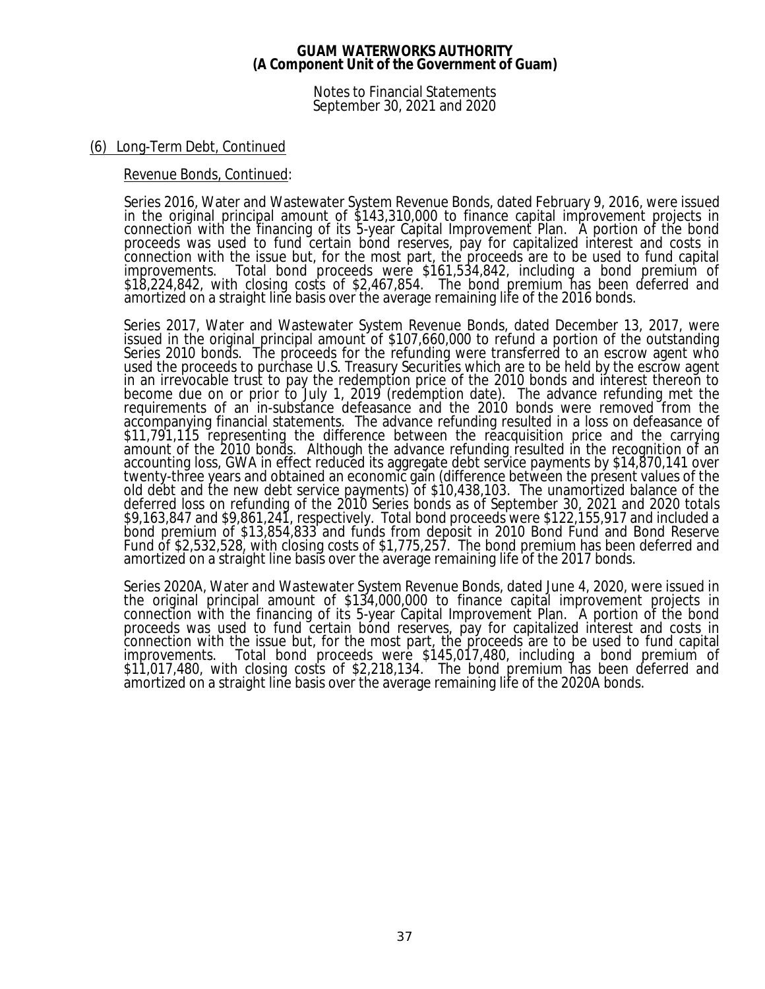Notes to Financial Statements September 30, 2021 and 2020

### (6) Long-Term Debt, Continued

### Revenue Bonds, Continued:

Series 2016, Water and Wastewater System Revenue Bonds, dated February 9, 2016, were issued in the original principal amount of \$143,310,000 to finance capital improvement projects in connection with the financing of its 5-year Capital Improvement Plan. A portion of the bond proceeds was used to fund certain bond reserves, pay for capitalized interest and costs in connection with the issue but, for the most part, the proceeds are to be used to fund capital improvements. Total bond proceeds were \$161,534,842, including a bond premium of \$18,224,842, with closing costs of \$2,467,854. The bond premium has been deferred and amortized on a straight line basis over the average remaining life of the 2016 bonds.

Series 2017, Water and Wastewater System Revenue Bonds, dated December 13, 2017, were issued in the original principal amount of \$107,660,000 to refund a portion of the outstanding Series 2010 bonds. The proceeds for the refunding were transferred to an escrow agent who used the proceeds to purchase U.S. Treasury Securities which are to be held by the escrow agent in an irrevocable trust to pay the redemption price of the 2010 bonds and interest thereon to become due on or prior to July 1, 2019 (redemption date). The advance refunding met the requirements of an in-substance defeasance and the 2010 bonds were removed from the accompanying financial statements. The advance refunding resulted in a loss on defeasance of \$11,791,115 representing the difference between the reacquisition price and the carrying amount of the 2010 bonds. Although the advance refunding resulted in the recognition of an accounting loss, GWA in effect reduced its aggregate debt service payments by \$14,870,141 over twenty-three years and obtained an economic gain (difference between the present values of the old debt and the new debt service payments) of \$10,438,103. The unamortized balance of the deferred loss on refunding of the 2010 Series bonds as of September 30, 2021 and 2020 totals \$9,163,847 and \$9,861,241, respectively. Total bond proceeds were \$122,155,917 and included a bond premium of \$13,854,833 and funds from deposit in 2010 Bond Fund and Bond Reserve Fund of \$2,532,528, with closing costs of \$1,775,257. The bond premium has been deferred and amortized on a straight line basis over the average remaining life of the 2017 bonds.

Series 2020A, Water and Wastewater System Revenue Bonds, dated June 4, 2020, were issued in the original principal amount of \$134,000,000 to finance capital improvement projects in connection with the financing of its 5-year Capital Improvement Plan. A portion of the bond proceeds was used to fund certain bond reserves, pay for capitalized interest and costs in connection with the issue but, for the most part, the proceeds are to be used to fund capital improvements. Total bond proceeds were \$145,017,480, including a bond premium of \$11,017,480, with closing costs of \$2,218,134. The bond premium has been deferred and amortized on a straight line basis over the average remaining life of the 2020A bonds.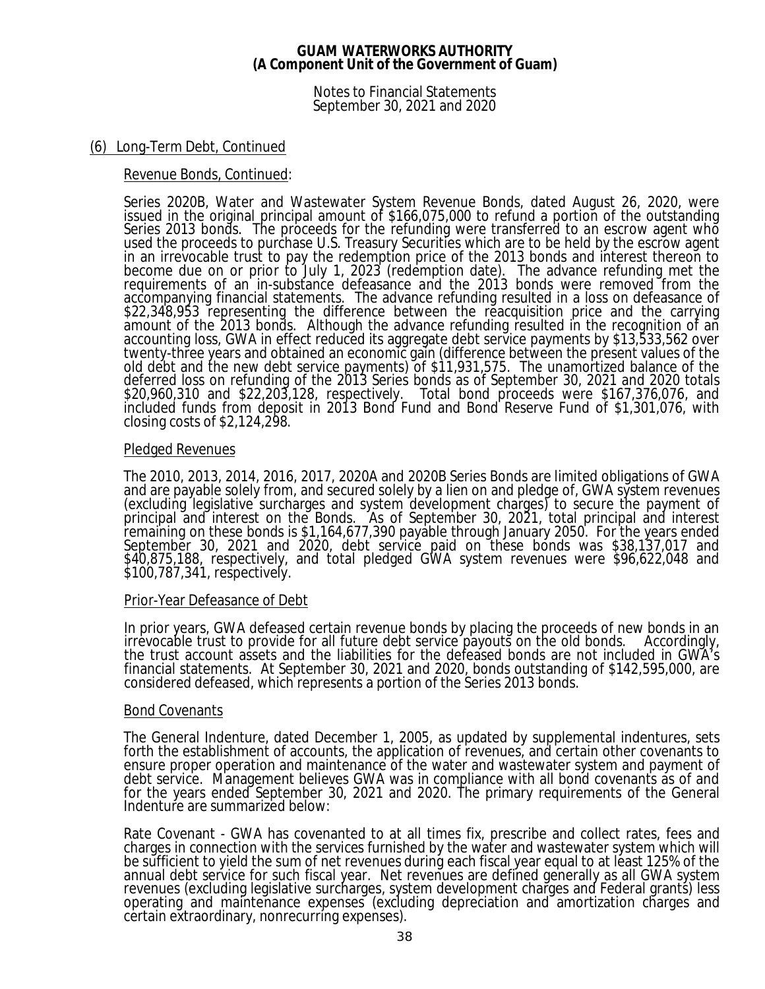Notes to Financial Statements September 30, 2021 and 2020

## (6) Long-Term Debt, Continued

## Revenue Bonds, Continued:

Series 2020B, Water and Wastewater System Revenue Bonds, dated August 26, 2020, were issued in the original principal amount of \$166,075,000 to refund a portion of the outstanding Series 2013 bonds. The proceeds for the refunding were transferred to an escrow agent who used the proceeds to purchase U.S. Treasury Securities which are to be held by the escrow agent in an irrevocable trust to pay the redemption price of the 2013 bonds and interest thereon to become due on or prior to July 1, 2023 (redemption date). The advance refunding met the requirements of an in-substance defeasance and the 2013 bonds were removed from the accompanying financial statements. The advance refunding resulted in a loss on defeasance of \$22,348,953 representing the difference between the reacquisition price and the carrying amount of the 2013 bonds. Although the advance refunding resulted in the recognition of an accounting loss, GWA in effect reduced its aggregate debt service payments by \$13,533,562 over twenty-three years and obtained an economic gain (difference between the present values of the old debt and the new debt service payments) of \$11,931,575. The unamortized balance of the deferred loss on refunding of the 2013 Series bonds as of September 30, 2021 and 2020 totals \$20,960,310 and \$22,203,128, respectively. Total bond proceeds were \$167,376,076, and included funds from deposit in 2013 Bond Fund and Bond Reserve Fund of \$1,301,076, with closing costs of \$2,124,298.

### Pledged Revenues

The 2010, 2013, 2014, 2016, 2017, 2020A and 2020B Series Bonds are limited obligations of GWA and are payable solely from, and secured solely by a lien on and pledge of, GWA system revenues (excluding legislative surcharges and system development charges) to secure the payment of principal and interest on the Bonds. As of September 30, 2021, total principal and interest remaining on these bonds is \$1,164,677,390 payable through January 2050. For the years ended September 30, 2021 and 2020, debt service paid on these bonds was \$38,137,017 and \$40,875,188, respectively, and total pledged GWA system revenues were \$96,622,048 and \$100,787,341, respectively.

### Prior-Year Defeasance of Debt

In prior years, GWA defeased certain revenue bonds by placing the proceeds of new bonds in an irrevocable trust to provide for all future debt service payouts on the old bonds. Accordingly, the trust account assets and the liabilities for the defeased bonds are not included in GWA's financial statements. At September 30, 2021 and 2020, bonds outstanding of \$142,595,000, are considered defeased, which represents a portion of the Series 2013 bonds.

### Bond Covenants

The General Indenture, dated December 1, 2005, as updated by supplemental indentures, sets forth the establishment of accounts, the application of revenues, and certain other covenants to ensure proper operation and maintenance of the water and wastewater system and payment of debt service. Management believes GWA was in compliance with all bond covenants as of and for the years ended September 30, 2021 and 2020. The primary requirements of the General Indenture are summarized below:

Rate Covenant - GWA has covenanted to at all times fix, prescribe and collect rates, fees and charges in connection with the services furnished by the water and wastewater system which will be sufficient to yield the sum of net revenues during each fiscal year equal to at least 125% of the annual debt service for such fiscal year. Net revenues are defined generally as all GWA system revenues (excluding legislative surcharges, system development charges and Federal grants) less operating and maintenance expenses (excluding depreciation and amortization charges and certain extraordinary, nonrecurring expenses).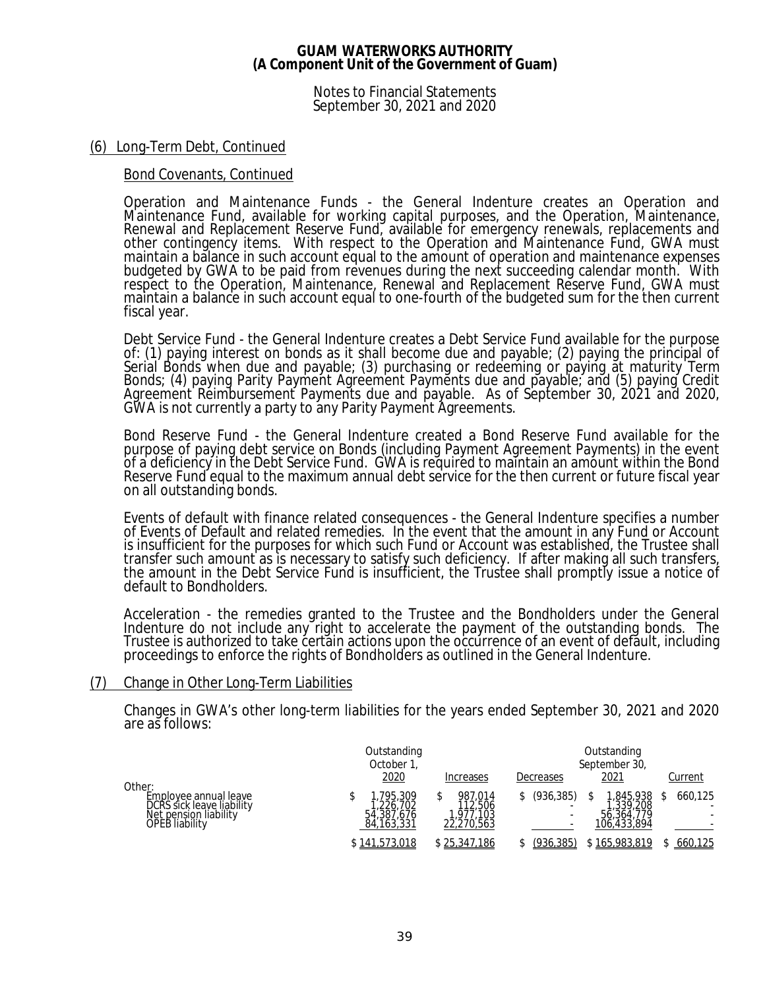Notes to Financial Statements September 30, 2021 and 2020

### (6) Long-Term Debt, Continued

### Bond Covenants, Continued

Operation and Maintenance Funds - the General Indenture creates an Operation and Maintenance Fund, available for working capital purposes, and the Operation, Maintenance, Renewal and Replacement Reserve Fund, available for emergency renewals, replacements and other contingency items. With respect to the Operation and Maintenance Fund, GWA must maintain a balance in such account equal to the amount of operation and maintenance expenses budgeted by GWA to be paid from revenues during the next succeeding calendar month. With respect to the Operation, Maintenance, Renewal and Replacement Reserve Fund, GWA must maintain a balance in such account equal to one-fourth of the budgeted sum for the then current fiscal year.

Debt Service Fund - the General Indenture creates a Debt Service Fund available for the purpose of: (1) paying interest on bonds as it shall become due and payable; (2) paying the principal of Serial Bonds when due and payable; (3) purchasing or redeeming or paying at maturity Term Bonds; (4) paying Parity Payment Agreement Payments due and payable; and (5) paying Credit Agreement Reimbursement Payments due and payable. As of September 30, 2021 and 2020, GWA is not currently a party to any Parity Payment Agreements.

Bond Reserve Fund - the General Indenture created a Bond Reserve Fund available for the purpose of paying debt service on Bonds (including Payment Agreement Payments) in the event of a deficiency in the Debt Service Fund. GWA is required to maintain an amount within the Bond Reserve Fund equal to the maximum annual debt service for the then current or future fiscal year on all outstanding bonds.

Events of default with finance related consequences - the General Indenture specifies a number of Events of Default and related remedies. In the event that the amount in any Fund or Account is insufficient for the purposes for which such Fund or Account was established, the Trustee shall transfer such amount as is necessary to satisfy such deficiency. If after making all such transfers, the amount in the Debt Service Fund is insufficient, the Trustee shall promptly issue a notice of default to Bondholders.

Acceleration - the remedies granted to the Trustee and the Bondholders under the General Indenture do not include any right to accelerate the payment of the outstanding bonds. The Trustee is authorized to take certain actions upon the occurrence of an event of default, including proceedings to enforce the rights of Bondholders as outlined in the General Indenture.

### (7) Change in Other Long-Term Liabilities

Changes in GWA's other long-term liabilities for the years ended September 30, 2021 and 2020 are as follows:

|                                                                                               | Outstanding<br>October 1,                       |                                              |                                            | Outstanding<br>September 30,                     |         |
|-----------------------------------------------------------------------------------------------|-------------------------------------------------|----------------------------------------------|--------------------------------------------|--------------------------------------------------|---------|
| Other:                                                                                        | 2020                                            | <b>Increases</b>                             | Decreases                                  | 2021                                             | Current |
| Employee annual leave<br>DCRS sick leave liability<br>Net pension liability<br>OPEB liability | .795.309<br>226.702<br>54,387,676<br>84,163,331 | 987.014<br>12,506<br>1,977,103<br>22,270,563 | (936.385)<br>$\overline{\phantom{a}}$<br>- | ,845,938<br>339.208<br>56,364,779<br>106,433,894 | 660.125 |
|                                                                                               | \$141,573,018                                   | <u>\$25,347,186</u>                          | (936,385)                                  | \$165,983,819                                    | 660,125 |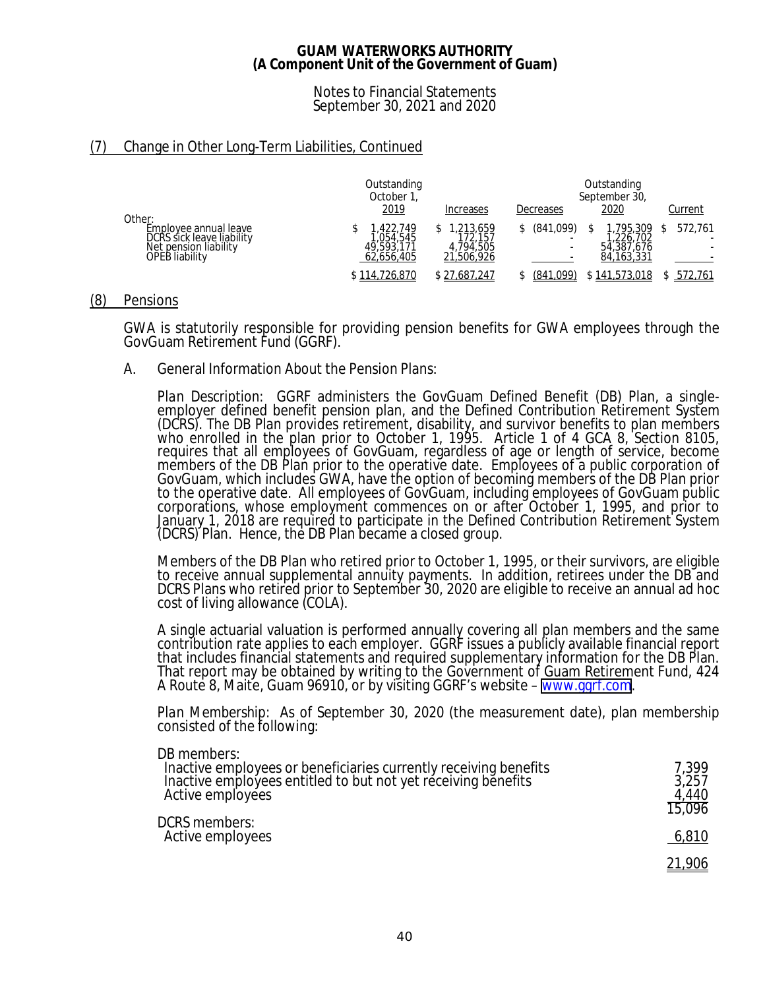Notes to Financial Statements September 30, 2021 and 2020

# (7) Change in Other Long-Term Liabilities, Continued

|                                                                                               | Outstanding<br>October 1,                       |                                                | Outstanding<br>September 30, |                                                |                   |
|-----------------------------------------------------------------------------------------------|-------------------------------------------------|------------------------------------------------|------------------------------|------------------------------------------------|-------------------|
| Other:                                                                                        | 2019                                            | Increases                                      | Decreases                    | <u> 2020</u>                                   | Current           |
| Employee annual leave<br>DCRS sick leave liability<br>Net pension liability<br>OPEB liability | .422.749<br>054.545<br>49,593,171<br>62.656.405 | 1,213,659<br>72.157<br>4.794.505<br>21,506,926 | (841,099)                    | 795,309<br>226,702<br>54,387,676<br>84,163,331 | 572,761<br>۰<br>۰ |
|                                                                                               | \$114,726,870                                   | \$27,687,247                                   | (841,099)                    | \$141,573,018                                  | 572,761           |

### (8) Pensions

GWA is statutorily responsible for providing pension benefits for GWA employees through the GovGuam Retirement Fund (GGRF).

A. General Information About the Pension Plans:

*Plan Description:* GGRF administers the GovGuam Defined Benefit (DB) Plan, a singleemployer defined benefit pension plan, and the Defined Contribution Retirement System (DCRS). The DB Plan provides retirement, disability, and survivor benefits to plan members who enrolled in the plan prior to October 1, 1995. Article 1 of 4 GCA 8, Section 8105, requires that all employees of GovGuam, regardless of age or length of service, become members of the DB Plan prior to the operative date. Employees of a public corporation of GovGuam, which includes GWA, have the option of becoming members of the DB Plan prior to the operative date. All employees of GovGuam, including employees of GovGuam public corporations, whose employment commences on or after October 1, 1995, and prior to January 1, 2018 are required to participate in the Defined Contribution Retirement System (DCRS) Plan. Hence, the DB Plan became a closed group.

Members of the DB Plan who retired prior to October 1, 1995, or their survivors, are eligible to receive annual supplemental annuity payments. In addition, retirees under the DB and DCRS Plans who retired prior to September 30, 2020 are eligible to receive an annual ad hoc cost of living allowance (COLA).

A single actuarial valuation is performed annually covering all plan members and the same contribution rate applies to each employer. GGRF issues a publicly available financial report that includes financial statements and required supplementary information for the DB Plan. That report may be obtained by writing to the Government of Guam Retirement Fund, 424 A Route 8, Maite, Guam 96910, or by visiting GGRF's website – <u>www.ggrf.com</u>.

*Plan Membership:* As of September 30, 2020 (the measurement date), plan membership consisted of the following:

| DB members:                       |  |
|-----------------------------------|--|
| the company of the company of the |  |

| Inactive employees or beneficiaries currently receiving benefits<br>Inactive employees entitled to but not yet receiving benefits<br>Active employees | 7.399<br>3,257<br>4.440<br>15,096 |
|-------------------------------------------------------------------------------------------------------------------------------------------------------|-----------------------------------|
| DCRS members:<br>Active employees                                                                                                                     | 6,810                             |
|                                                                                                                                                       | <u> 21,906 </u>                   |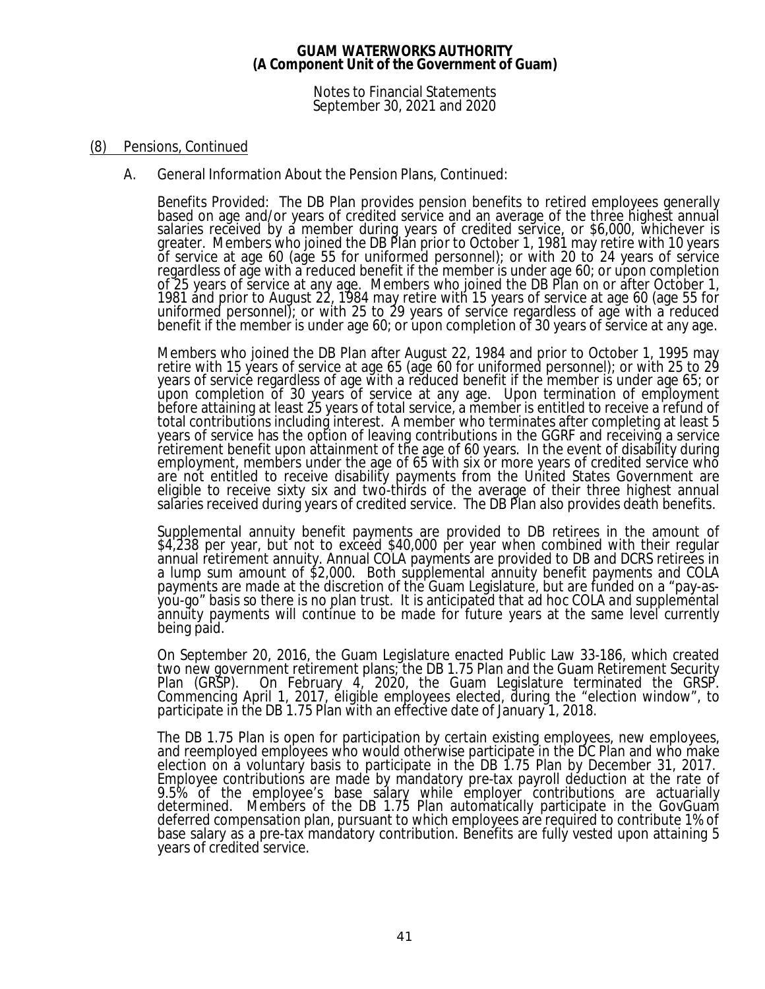Notes to Financial Statements September 30, 2021 and 2020

### (8) Pensions, Continued

A. General Information About the Pension Plans, Continued:

*Benefits Provided:* The DB Plan provides pension benefits to retired employees generally based on age and/or years of credited service and an average of the three highest annual salaries received by a member during years of credited service, or \$6,000, whichever is greater. Members who joined the DB Plan prior to October 1, 1981 may retire with 10 years of service at age 60 (age 55 for uniformed personnel); or with 20 to 24 years of service regardless of age with a reduced benefit if the member is under age 60; or upon completion of 25 years of service at any age. Members who joined the DB Plan on or after October 1, 1981 and prior to August 22, 1984 may retire with 15 years of service at age 60 (age 55 for uniformed personnel); or with 25 to 29 years of service regardless of age with a reduced benefit if the member is under age 60; or upon completion of 30 years of service at any age.

Members who joined the DB Plan after August 22, 1984 and prior to October 1, 1995 may retire with 15 years of service at age 65 (age 60 for uniformed personnel); or with 25 to 29 years of service regardless of age with a reduced benefit if the member is under age 65; or upon completion of 30 years of service at any age. Upon termination of employment before attaining at least 25 years of total service, a member is entitled to receive a refund of total contributions including interest. A member who terminates after completing at least 5 years of service has the option of leaving contributions in the GGRF and receiving a service retirement benefit upon attainment of the age of 60 years. In the event of disability during employment, members under the age of 65 with six or more years of credited service who are not entitled to receive disability payments from the United States Government are eligible to receive sixty six and two-thirds of the average of their three highest annual salaries received during years of credited service. The DB Plan also provides death benefits.

Supplemental annuity benefit payments are provided to DB retirees in the amount of \$4,238 per year, but not to exceed \$40,000 per year when combined with their regular annual retirement annuity. Annual COLA payments are provided to DB and DCRS retirees in a lump sum amount of \$2,000. Both supplemental annuity benefit payments and COLA payments are made at the discretion of the Guam Legislature, but are funded on a "pay-asyou-go" basis so there is no plan trust. It is anticipated that ad hoc COLA and supplemental annuity payments will continue to be made for future years at the same level currently being paid.

On September 20, 2016, the Guam Legislature enacted Public Law 33-186, which created two new government retirement plans; the DB 1.75 Plan and the Guam Retirement Security<br>Plan (GRSP). On February 4, 2020, the Guam Legislature terminated the GRSP. On February 4, 2020, the Guam Legislature terminated the GRSP. Commencing April 1, 2017, eligible employees elected, during the "election window", to participate in the DB 1.75 Plan with an effective date of January 1, 2018.

The DB 1.75 Plan is open for participation by certain existing employees, new employees, and reemployed employees who would otherwise participate in the DC Plan and who make election on a voluntary basis to participate in the DB 1.75 Plan by December 31, 2017. Employee contributions are made by mandatory pre-tax payroll deduction at the rate of 9.5% of the employee's base salary while employer contributions are actuarially determined. Members of the DB 1.75 Plan automatically participate in the GovGuam deferred compensation plan, pursuant to which employees are required to contribute 1% of base salary as a pre-tax mandatory contribution. Benefits are fully vested upon attaining 5 years of credited service.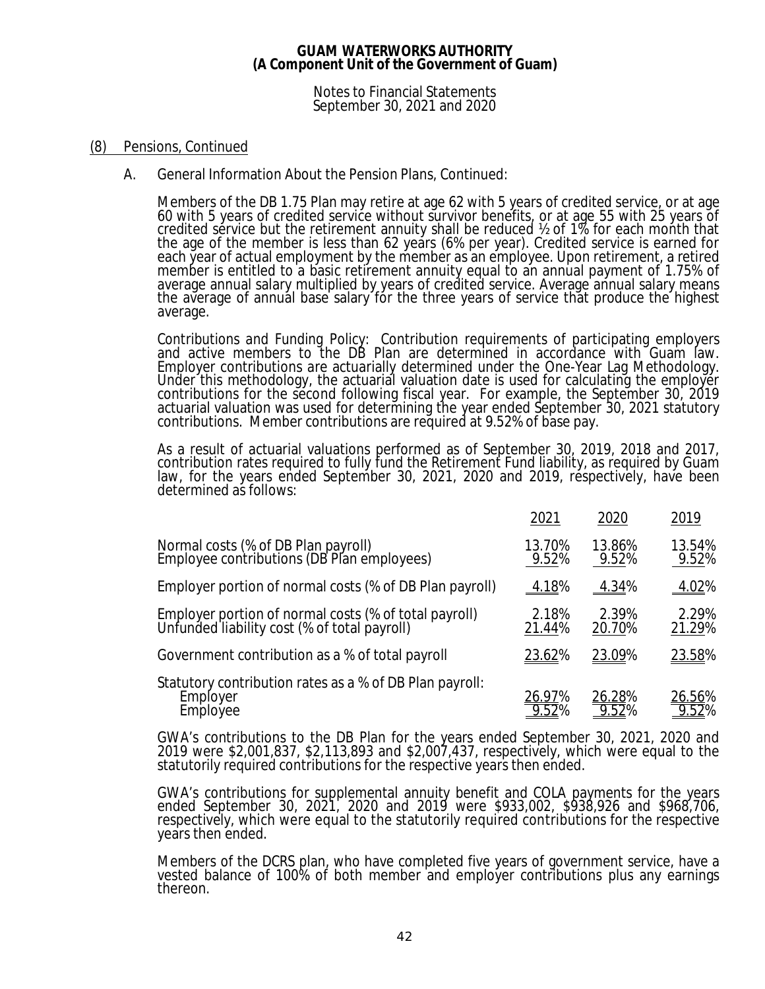Notes to Financial Statements September 30, 2021 and 2020

### (8) Pensions, Continued

A. General Information About the Pension Plans, Continued:

Members of the DB 1.75 Plan may retire at age 62 with 5 years of credited service, or at age 60 with 5 years of credited service without survivor benefits, or at age 55 with 25 years of credited service but the retirement annuity shall be reduced ½ of 1% for each month that the age of the member is less than 62 years (6% per year). Credited service is earned for each year of actual employment by the member as an employee. Upon retirement, a retired member is entitled to a basic retirement annuity equal to an annual payment of 1.75% of average annual salary multiplied by years of credited service. Average annual salary means the average of annual base salary for the three years of service that produce the highest average.

*Contributions and Funding Policy:* Contribution requirements of participating employers and active members to the DB Plan are determined in accordance with Guam law. Employer contributions are actuarially determined under the One-Year Lag Methodology. Under this methodology, the actuarial valuation date is used for calculating the employer contributions for the second following fiscal year. For example, the September 30, 2019 actuarial valuation was used for determining the year ended September 30, 2021 statutory contributions. Member contributions are required at 9.52% of base pay.

As a result of actuarial valuations performed as of September 30, 2019, 2018 and 2017, contribution rates required to fully fund the Retirement Fund liability, as required by Guam law, for the years ended September 30, 2021, 2020 and 2019, respectively, have been determined as follows:

|                                                                                                       | 2021            | 2020            | 2019                    |
|-------------------------------------------------------------------------------------------------------|-----------------|-----------------|-------------------------|
| Normal costs (% of DB Plan payroll)<br>Employee contributions (DB Plan employees)                     | 13.70%<br>9.52% | 13.86%<br>9.52% | 13.54%<br>9.52%         |
| Employer portion of normal costs (% of DB Plan payroll)                                               | 4.18%           | 4.34%           | 4.02%                   |
| Employer portion of normal costs (% of total payroll)<br>Unfunded liability cost (% of total payroll) | 2.18%<br>21.44% | 2.39%<br>20.70% | 2.29%<br>21.29%         |
| Government contribution as a % of total payroll                                                       | 23.62%          | <u>23.09%</u>   | 23.58%                  |
| Statutory contribution rates as a % of DB Plan payroll:<br>Employer<br>Employee                       | 26.97%          | 26.28%          | 26.56%<br><u>9.52</u> % |

GWA's contributions to the DB Plan for the years ended September 30, 2021, 2020 and 2019 were \$2,001,837, \$2,113,893 and \$2,007,437, respectively, which were equal to the statutorily required contributions for the respective years then ended.

GWA's contributions for supplemental annuity benefit and COLA payments for the years ended September 30, 2021, 2020 and 2019 were \$933,002, \$938,926 and \$968,706, respectively, which were equal to the statutorily required contributions for the respective years then ended.

Members of the DCRS plan, who have completed five years of government service, have a vested balance of 100% of both member and employer contributions plus any earnings thereon.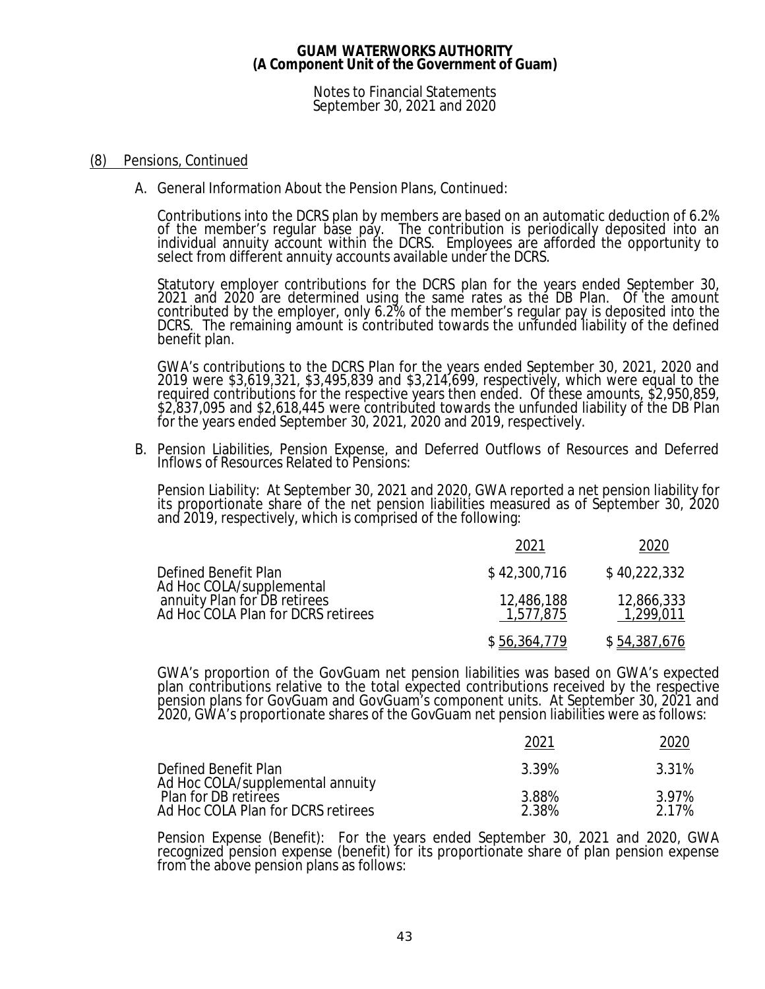Notes to Financial Statements September 30, 2021 and 2020

### (8) Pensions, Continued

A. General Information About the Pension Plans, Continued:

Contributions into the DCRS plan by members are based on an automatic deduction of 6.2% of the member's regular base pay. The contribution is periodically deposited into an individual annuity account within the DCRS. Employees are afforded the opportunity to select from different annuity accounts available under the DCRS.

Statutory employer contributions for the DCRS plan for the years ended September 30, 2021 and 2020 are determined using the same rates as the DB Plan. Of the amount contributed by the employer, only 6.2% of the member's regular pay is deposited into the DCRS. The remaining amount is contributed towards the unfunded liability of the defined benefit plan.

GWA's contributions to the DCRS Plan for the years ended September 30, 2021, 2020 and 2019 were \$3,619,321, \$3,495,839 and \$3,214,699, respectively, which were equal to the required contributions for the respective years then ended. Of these amounts, \$2,950,859, \$2,837,095 and \$2,618,445 were contributed towards the unfunded liability of the DB Plan for the years ended September 30, 2021, 2020 and 2019, respectively.

B. Pension Liabilities, Pension Expense, and Deferred Outflows of Resources and Deferred Inflows of Resources Related to Pensions:

*Pension Liability:* At September 30, 2021 and 2020, GWA reported a net pension liability for its proportionate share of the net pension liabilities measured as of September 30, 2020 and 2019, respectively, which is comprised of the following:

|                                                                                                | 2021                    | 2020                    |
|------------------------------------------------------------------------------------------------|-------------------------|-------------------------|
| Defined Benefit Plan                                                                           | \$42,300,716            | \$40,222,332            |
| Ad Hoc COLA/supplemental<br>annuity Plan for DB retirees<br>Ad Hoc COLA Plan for DCRS retirees | 12,486,188<br>1,577,875 | 12,866,333<br>1,299,011 |
|                                                                                                | \$56,364,779            | \$54,387,676            |

GWA's proportion of the GovGuam net pension liabilities was based on GWA's expected plan contributions relative to the total expected contributions received by the respective pension plans for GovGuam and GovGuam's component units. At September 30, 2021 and 2020, GWA's proportionate shares of the GovGuam net pension liabilities were as follows:

|                                                            | 202.           | 2020           |
|------------------------------------------------------------|----------------|----------------|
| Defined Benefit Plan<br>Ad Hoc COLA/supplemental annuity   | 3.39%          | 3.31%          |
| Plan for DB retirees<br>Ad Hoc COLA Plan for DCRS retirees | 3.88%<br>2.38% | 3.97%<br>2.17% |

*Pension Expense (Benefit):* For the years ended September 30, 2021 and 2020, GWA recognized pension expense (benefit) for its proportionate share of plan pension expense from the above pension plans as follows: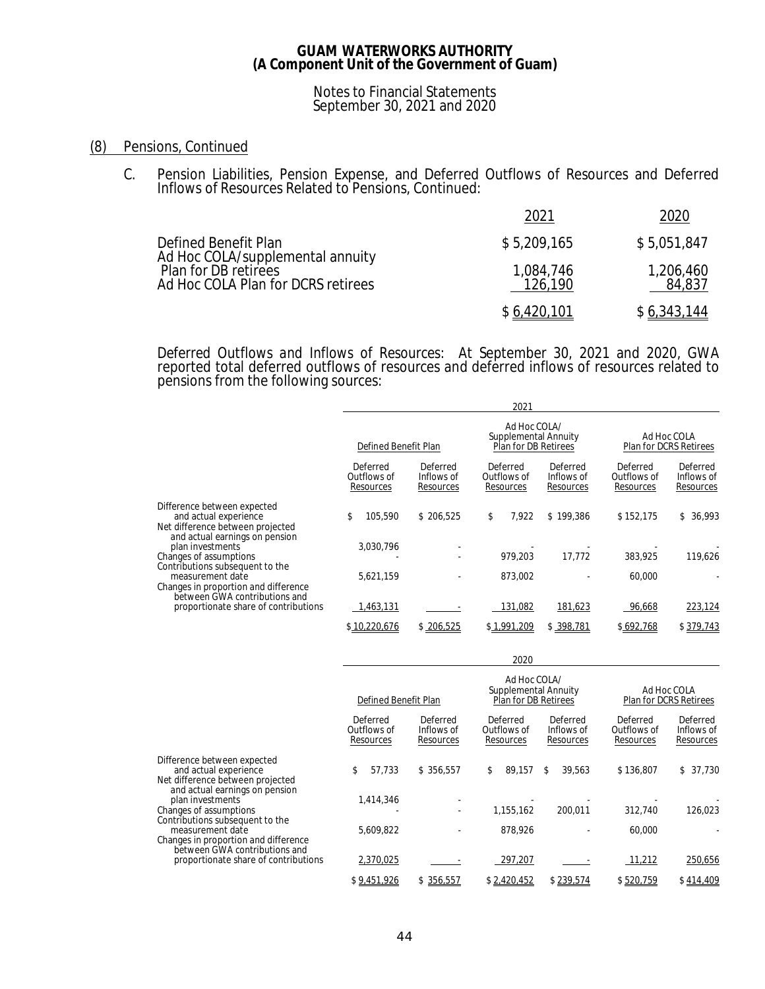### Notes to Financial Statements September 30, 2021 and 2020

### (8) Pensions, Continued

C. Pension Liabilities, Pension Expense, and Deferred Outflows of Resources and Deferred Inflows of Resources Related to Pensions, Continued:

|                                                                                                                        | 202´                 | 2020                |
|------------------------------------------------------------------------------------------------------------------------|----------------------|---------------------|
| Defined Benefit Plan<br>Ad Hoc COLA/supplemental annuity<br>Plan for DB retirees<br>Ad Hoc COLA Plan for DCRS retirees | \$5,209,165          | \$5,051,847         |
|                                                                                                                        | 1,084,746<br>126,190 | 1,206,460<br>84,837 |
|                                                                                                                        | \$6,420,101          | \$6,343,144         |

*Deferred Outflows and Inflows of Resources:* At September 30, 2021 and 2020, GWA reported total deferred outflows of resources and deferred inflows of resources related to pensions from the following sources:

|                                                                                                                            | 2021                                 |                                     |                                                              |                                     |                                      |                                       |
|----------------------------------------------------------------------------------------------------------------------------|--------------------------------------|-------------------------------------|--------------------------------------------------------------|-------------------------------------|--------------------------------------|---------------------------------------|
|                                                                                                                            | Defined Benefit Plan                 |                                     | Ad Hoc COLA/<br>Supplemental Annuity<br>Plan for DB Retirees |                                     |                                      | Ad Hoc COLA<br>Plan for DCRS Retirees |
|                                                                                                                            | Deferred<br>Outflows of<br>Resources | Deferred<br>Inflows of<br>Resources | Deferred<br>Outflows of<br>Resources                         | Deferred<br>Inflows of<br>Resources | Deferred<br>Outflows of<br>Resources | Deferred<br>Inflows of<br>Resources   |
| Difference between expected<br>and actual experience<br>Net difference between projected<br>and actual earnings on pension | 105.590                              | \$206,525                           | 7,922<br>\$                                                  | \$199,386                           | \$152,175                            | 36,993<br>\$                          |
| plan investments<br>Changes of assumptions                                                                                 | 3,030,796                            |                                     | 979.203                                                      | 17.772                              | 383,925                              | 119,626                               |
| Contributions subsequent to the<br>measurement date<br>Changes in proportion and difference                                | 5,621,159                            |                                     | 873,002                                                      |                                     | 60,000                               |                                       |
| between GWA contributions and<br>proportionate share of contributions                                                      | 1,463,131                            |                                     | 131,082                                                      | 181,623                             | 96,668                               | 223,124                               |
|                                                                                                                            | \$10,220,676                         | \$206,525                           | \$1,991,209                                                  | \$398,781                           | \$692,768                            | \$379,743                             |

|                                                                                                                            |                                      |                                     | 2020                                                         |                                     |                                      |                                       |
|----------------------------------------------------------------------------------------------------------------------------|--------------------------------------|-------------------------------------|--------------------------------------------------------------|-------------------------------------|--------------------------------------|---------------------------------------|
|                                                                                                                            | Defined Benefit Plan                 |                                     | Ad Hoc COLA/<br>Supplemental Annuity<br>Plan for DB Retirees |                                     |                                      | Ad Hoc COLA<br>Plan for DCRS Retirees |
|                                                                                                                            | Deferred<br>Outflows of<br>Resources | Deferred<br>Inflows of<br>Resources | Deferred<br>Outflows of<br>Resources                         | Deferred<br>Inflows of<br>Resources | Deferred<br>Outflows of<br>Resources | Deferred<br>Inflows of<br>Resources   |
| Difference between expected<br>and actual experience<br>Net difference between projected<br>and actual earnings on pension | 57,733<br>\$                         | \$356,557                           | 89,157<br>\$                                                 | \$<br>39.563                        | \$136,807                            | \$37,730                              |
| plan investments<br>Changes of assumptions<br>Contributions subsequent to the                                              | 1,414,346                            |                                     | 1.155.162                                                    | 200.011                             | 312,740                              | 126,023                               |
| measurement date<br>Changes in proportion and difference<br>between GWA contributions and                                  | 5,609,822                            |                                     | 878,926                                                      |                                     | 60,000                               |                                       |
| proportionate share of contributions                                                                                       | 2,370,025                            |                                     | 297,207                                                      |                                     | 11,212                               | 250,656                               |
|                                                                                                                            | \$9,451,926                          | \$356,557                           | \$2,420,452                                                  | \$239,574                           | \$520,759                            | \$414,409                             |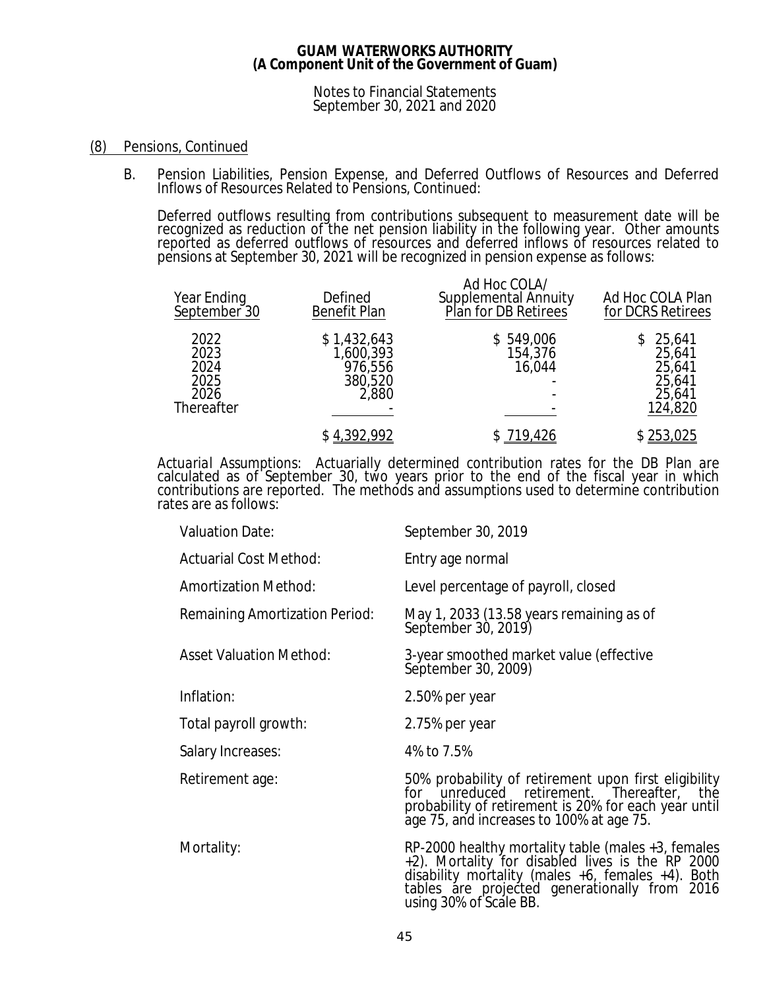### Notes to Financial Statements September 30, 2021 and 2020

### (8) Pensions, Continued

B. Pension Liabilities, Pension Expense, and Deferred Outflows of Resources and Deferred Inflows of Resources Related to Pensions, Continued:

Deferred outflows resulting from contributions subsequent to measurement date will be recognized as reduction of the net pension liability in the following year. Other amounts reported as deferred outflows of resources and deferred inflows of resources related to pensions at September 30, 2021 will be recognized in pension expense as follows:

| Year Ending<br>September <sup>30</sup>             | Defined<br><b>Benefit Plan</b>                          | Ad Hoc COLA/<br>Supplemental Annuity<br>Plan for DB Retirees | Ad Hoc COLA Plan<br>for DCRS Retirees                     |
|----------------------------------------------------|---------------------------------------------------------|--------------------------------------------------------------|-----------------------------------------------------------|
| 2022<br>2023<br>2024<br>2025<br>2026<br>Thereafter | \$1,432,643<br>1,600,393<br>976,556<br>380,520<br>2,880 | \$549,006<br>154,376<br>16,044                               | 25,641<br>25,641<br>25,641<br>25,641<br>25,641<br>124,820 |
|                                                    | \$4,392,992                                             | 719,426                                                      | \$253,025                                                 |

*Actuarial Assumptions:* Actuarially determined contribution rates for the DB Plan are calculated as of September 30, two years prior to the end of the fiscal year in which contributions are reported. The methods and assumptions used to determine contribution rates are as follows:

| <b>Valuation Date:</b>         | September 30, 2019                                                                                                                                                                                                                        |
|--------------------------------|-------------------------------------------------------------------------------------------------------------------------------------------------------------------------------------------------------------------------------------------|
| <b>Actuarial Cost Method:</b>  | Entry age normal                                                                                                                                                                                                                          |
| <b>Amortization Method:</b>    | Level percentage of payroll, closed                                                                                                                                                                                                       |
| Remaining Amortization Period: | May 1, 2033 (13.58 years remaining as of<br>September 30, 2019)                                                                                                                                                                           |
| <b>Asset Valuation Method:</b> | 3-year smoothed market value (effective<br>September 30, 2009)                                                                                                                                                                            |
| Inflation:                     | 2.50% per year                                                                                                                                                                                                                            |
| Total payroll growth:          | 2.75% per year                                                                                                                                                                                                                            |
| Salary Increases:              | 4% to 7.5%                                                                                                                                                                                                                                |
| Retirement age:                | 50% probability of retirement upon first eligibility<br>for unreduced retirement. Thereafter, the<br>probability of retirement is 20% for each year until<br>age 75, and increases to 100% at age 75.                                     |
| Mortality:                     | RP-2000 healthy mortality table (males +3, females +2). Mortality for disabled lives is the RP 2000<br>disability mortality (males $+6$ , females $+4$ ). Both<br>tables are projected generationally from 2016<br>using 30% of Scale BB. |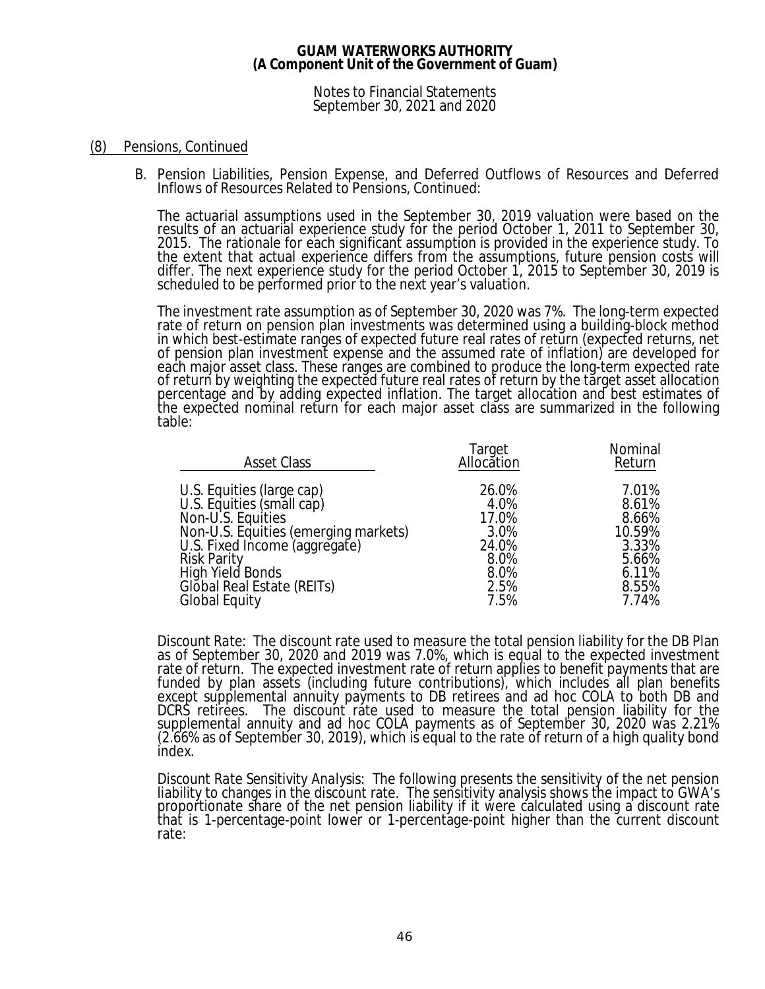Notes to Financial Statements September 30, 2021 and 2020

### (8) Pensions, Continued

B. Pension Liabilities, Pension Expense, and Deferred Outflows of Resources and Deferred Inflows of Resources Related to Pensions, Continued:

The actuarial assumptions used in the September 30, 2019 valuation were based on the results of an actuarial experience study for the period October 1, 2011 to September 30, 2015. The rationale for each significant assumption is provided in the experience study. To the extent that actual experience differs from the assumptions, future pension costs will differ. The next experience study for the period October 1, 2015 to September 30, 2019 is scheduled to be performed prior to the next year's valuation.

The investment rate assumption as of September 30, 2020 was 7%. The long-term expected rate of return on pension plan investments was determined using a building-block method in which best-estimate ranges of expected future real rates of return (expected returns, net of pension plan investment expense and the assumed rate of inflation) are developed for each major asset class. These ranges are combined to produce the long-term expected rate of return by weighting the expected future real rates of return by the target asset allocation percentage and by adding expected inflation. The target allocation and best estimates of the expected nominal return for each major asset class are summarized in the following table:

| <b>Asset Class</b>                                                                                                                                                                                                                                   | Target<br>Allocation                                                    | Nominal<br>Return                                                              |
|------------------------------------------------------------------------------------------------------------------------------------------------------------------------------------------------------------------------------------------------------|-------------------------------------------------------------------------|--------------------------------------------------------------------------------|
| U.S. Equities (large cap)<br>U.S. Equities (small cap)<br>Non-U.S. Equities<br>Non-U.S. Equities (emerging markets)<br>U.S. Fixed Income (aggregate)<br><b>Risk Parity</b><br>High Yield Bonds<br>Global Real Estate (REITs)<br><b>Global Equity</b> | 26.0%<br>4.0%<br>17.0%<br>3.0%<br>24.0%<br>8.0%<br>8.0%<br>2.5%<br>7.5% | 7.01%<br>8.61%<br>8.66%<br>10.59%<br>3.33%<br>5.66%<br>6.11%<br>8.55%<br>7.74% |
|                                                                                                                                                                                                                                                      |                                                                         |                                                                                |

*Discount Rate:* The discount rate used to measure the total pension liability for the DB Plan as of September 30, 2020 and 2019 was 7.0%, which is equal to the expected investment rate of return. The expected investment rate of return applies to benefit payments that are funded by plan assets (including future contributions), which includes all plan benefits except supplemental annuity payments to DB retirees and ad hoc COLA to both DB and DCRS retirees. The discount rate used to measure the total pension liability for the supplemental annuity and ad hoc COLA payments as of September 30, 2020 was 2.21% (2.66% as of September 30, 2019), which is equal to the rate of return of a high quality bond index.

*Discount Rate Sensitivity Analysis:* The following presents the sensitivity of the net pension liability to changes in the discount rate. The sensitivity analysis shows the impact to GWA's proportionate share of the net pension liability if it were calculated using a discount rate that is 1-percentage-point lower or 1-percentage-point higher than the current discount rate: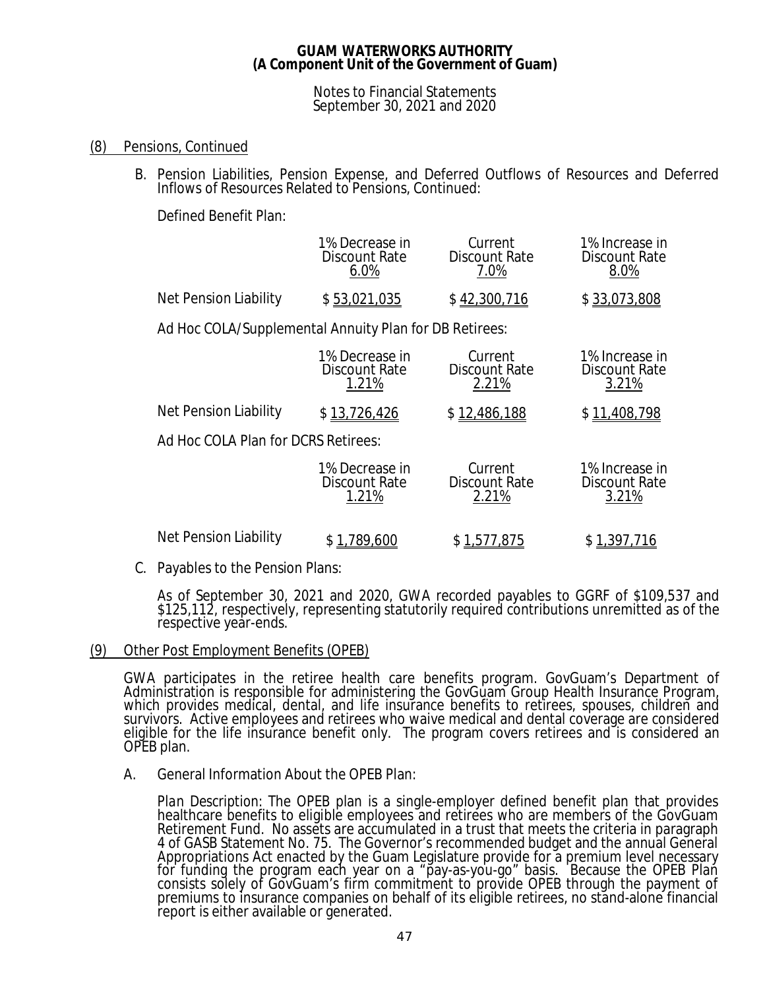### Notes to Financial Statements September 30, 2021 and 2020

# (8) Pensions, Continued

B. Pension Liabilities, Pension Expense, and Deferred Outflows of Resources and Deferred Inflows of Resources Related to Pensions, Continued:

Defined Benefit Plan:

|                       | 1% Decrease in | Current       | 1% Increase in |
|-----------------------|----------------|---------------|----------------|
|                       | Discount Rate  | Discount Rate | Discount Rate  |
|                       | 6.በ%           | 7.0%          | 8.0%           |
| Net Pension Liability | \$53,021,035   | \$42,300,716  | \$33,073,808   |

Ad Hoc COLA/Supplemental Annuity Plan for DB Retirees:

|                                     | 1% Decrease in<br>Discount Rate<br>1.21%        | Current<br><b>Discount Rate</b><br>2.21% | 1% Increase in<br>Discount Rate<br>3.21%        |
|-------------------------------------|-------------------------------------------------|------------------------------------------|-------------------------------------------------|
| Net Pension Liability               | \$13,726,426                                    | \$12,486,188                             | \$11,408,798                                    |
| Ad Hoc COLA Plan for DCRS Retirees: |                                                 |                                          |                                                 |
|                                     | 1% Decrease in<br><b>Discount Rate</b><br>1.21% | Current<br><b>Discount Rate</b><br>2.21% | 1% Increase in<br><b>Discount Rate</b><br>3.21% |
| Net Pension Liability               | .789.600                                        | \$1,577,875                              | \$1,397.                                        |

C. Payables to the Pension Plans:

As of September 30, 2021 and 2020, GWA recorded payables to GGRF of \$109,537 and \$125,112, respectively, representing statutorily required contributions unremitted as of the respective year-ends.

### (9) Other Post Employment Benefits (OPEB)

GWA participates in the retiree health care benefits program. GovGuam's Department of Administration is responsible for administering the GovGuam Group Health Insurance Program, which provides medical, dental, and life insurance benefits to retirees, spouses, children and survivors. Active employees and retirees who waive medical and dental coverage are considered eligible for the life insurance benefit only. The program covers retirees and is considered an OPEB plan.

A. General Information About the OPEB Plan:

*Plan Description:* The OPEB plan is a single-employer defined benefit plan that provides healthcare benefits to eligible employees and retirees who are members of the GovGuam Retirement Fund. No assets are accumulated in a trust that meets the criteria in paragraph 4 of GASB Statement No. 75. The Governor's recommended budget and the annual General Appropriations Act enacted by the Guam Legislature provide for a premium level necessary for funding the program each year on a "pay-as-you-go" basis. Because the OPEB Plan consists solely of GovGuam's firm commitment to provide OPEB through the payment of premiums to insurance companies on behalf of its eligible retirees, no stand-alone financial report is either available or generated.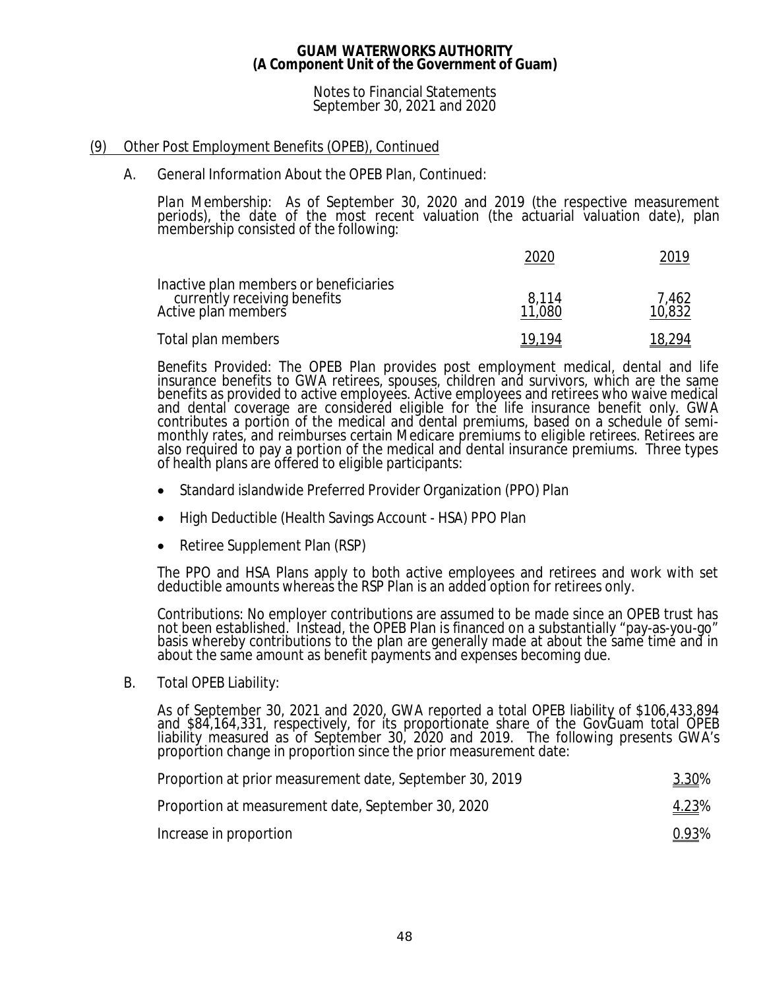### Notes to Financial Statements September 30, 2021 and 2020

# (9) Other Post Employment Benefits (OPEB), Continued

### A. General Information About the OPEB Plan, Continued:

*Plan Membership:* As of September 30, 2020 and 2019 (the respective measurement periods), the date of the most recent valuation (the actuarial valuation date), plan membership consisted of the following:

|                                                                                               |                 | 2019            |
|-----------------------------------------------------------------------------------------------|-----------------|-----------------|
| Inactive plan members or beneficiaries<br>currently receiving benefits<br>Active plan members | 8,114<br>11,080 | 7,462<br>10,832 |
| Total plan members                                                                            | 19.194          | 18.294          |

*Benefits Provided:* The OPEB Plan provides post employment medical, dental and life insurance benefits to GWA retirees, spouses, children and survivors, which are the same benefits as provided to active employees. Active employees and retirees who waive medical and dental coverage are considered eligible for the life insurance benefit only. GWA contributes a portion of the medical and dental premiums, based on a schedule of semimonthly rates, and reimburses certain Medicare premiums to eligible retirees. Retirees are also required to pay a portion of the medical and dental insurance premiums. Three types of health plans are offered to eligible participants:

- · Standard islandwide Preferred Provider Organization (PPO) Plan
- · High Deductible (Health Savings Account HSA) PPO Plan
- Retiree Supplement Plan (RSP)

The PPO and HSA Plans apply to both active employees and retirees and work with set deductible amounts whereas the RSP Plan is an added option for retirees only.

*Contributions:* No employer contributions are assumed to be made since an OPEB trust has not been established. Instead, the OPEB Plan is financed on a substantially "pay-as-you-go" basis whereby contributions to the plan are generally made at about the same time and in about the same amount as benefit payments and expenses becoming due.

B. Total OPEB Liability:

As of September 30, 2021 and 2020, GWA reported a total OPEB liability of \$106,433,894 and \$84,164,331, respectively, for its proportionate share of the GovGuam total OPEB liability measured as of September 30, 2020 and 2019. The following presents GWA's propořtion change in proportion since the prior measurement date:

| Proportion at prior measurement date, September 30, 2019 | <u>3.30</u> % |
|----------------------------------------------------------|---------------|
| Proportion at measurement date, September 30, 2020       | <u>4.23</u> % |
| Increase in proportion                                   | <u>0.93</u> % |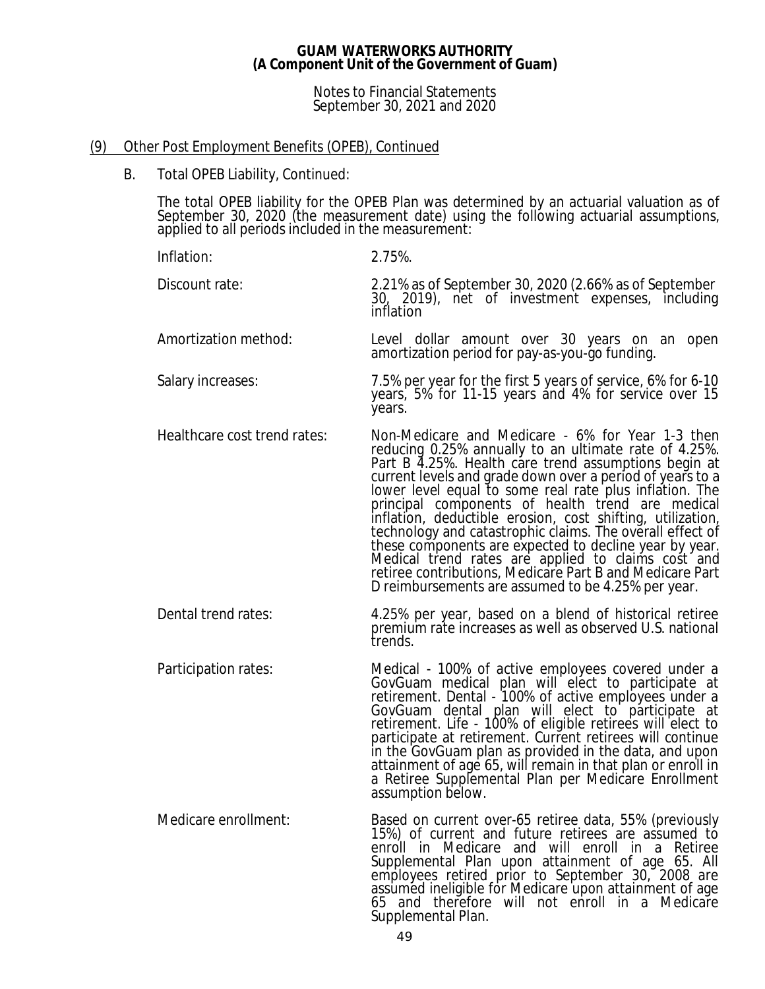Notes to Financial Statements September 30, 2021 and 2020

# (9) Other Post Employment Benefits (OPEB), Continued

B. Total OPEB Liability, Continued:

The total OPEB liability for the OPEB Plan was determined by an actuarial valuation as of September 30, 2020 (the measurement date) using the following actuarial assumptions, applied to all periods included in the measurement:

- Inflation: 2.75%. Discount rate: 2.21% as of September 30, 2020 (2.66% as of September 30, 2019), net of investment expenses, including inflation Amortization method: Level dollar amount over 30 years on an open amortization period for pay-as-you-go funding. Salary increases: 7.5% per year for the first 5 years of service, 6% for 6-10 years, 5% for 11-15 years and 4% for service over 15 years. Healthcare cost trend rates: Non-Medicare and Medicare - 6% for Year 1-3 then reducing 0.25% annually to an ultimate rate of 4.25%. Part B 4.25%. Health care trend assumptions begin at current levels and grade down over a period of years to a lower level equal to some real rate plus inflation. The principal components of health trend are medical inflation, deductible erosion, cost shifting, utilization, technology and catastrophic claims. The overall effect of these components are expected to decline year by year. Medical trend rates are applied to claims cost and retiree contributions, Medicare Part B and Medicare Part D reimbursements are assumed to be 4.25% per year. Dental trend rates: 4.25% per year, based on a blend of historical retiree premium rate increases as well as observed U.S. national trends.
- Participation rates: Medical 100% of active employees covered under a GovGuam medical plan will elect to participate at retirement. Dental - 100% of active employees under a GovGuam dental plan will elect to participate at retirement. Life - 100% of eligible retirees will elect to participate at retirement. Current retirees will continue in the GovGuam plan as provided in the data, and upon attainment of age 65, will remain in that plan or enroll in a Retiree Supplemental Plan per Medicare Enrollment assumption below.
- Medicare enrollment: Based on current over-65 retiree data, 55% (previously 15%) of current and future retirees are assumed to enroll in Medicare and will enroll in a Retiree Supplemental Plan upon attainment of age 65. All employees retired prior to September 30, 2008 are assumed ineligible for Medicare upon attainment of age 65 and therefore will not enroll in a Medicare Supplemental Plan.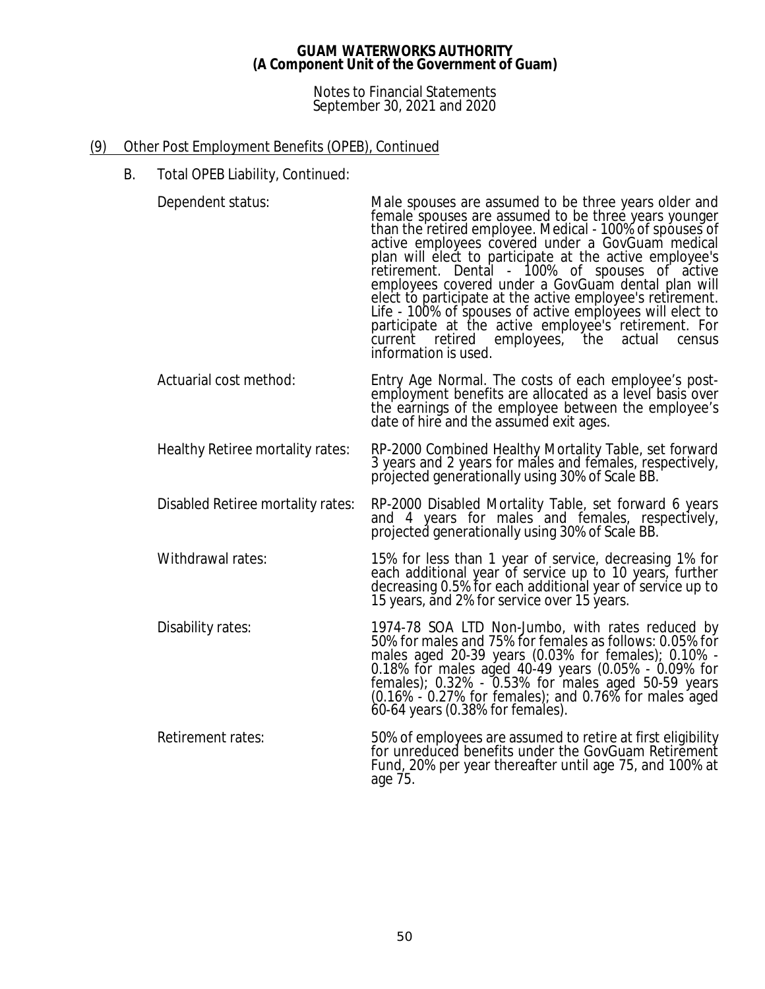### Notes to Financial Statements September 30, 2021 and 2020

# (9) Other Post Employment Benefits (OPEB), Continued

B. Total OPEB Liability, Continued:

Dependent status: Male spouses are assumed to be three years older and

| Dependent status.                 | ividity spouses are assumed to be three years older and<br>female spouses are assumed to be three years younger<br>than the retired employee. Medical - 100% of spouses of<br>active employees covered under a GovGuam medical<br>plan will elect to participate at the active employee's<br>retirement. Dental - 100% of spouses of active<br>employees covered under a GovGuam dental plan will<br>elect to participate at the active employee's retirement.<br>Life - 100% of spouses of active employees will elect to<br>participate at the active employee's retirement. For<br>current retired employees, the actual<br>census<br>information is used. |
|-----------------------------------|---------------------------------------------------------------------------------------------------------------------------------------------------------------------------------------------------------------------------------------------------------------------------------------------------------------------------------------------------------------------------------------------------------------------------------------------------------------------------------------------------------------------------------------------------------------------------------------------------------------------------------------------------------------|
| Actuarial cost method:            | Entry Age Normal. The costs of each employee's post-<br>employment benefits are allocated as a level basis over<br>the earnings of the employee between the employee's<br>date of hire and the assumed exit ages.                                                                                                                                                                                                                                                                                                                                                                                                                                             |
| Healthy Retiree mortality rates:  | RP-2000 Combined Healthy Mortality Table, set forward<br>3 years and 2 years for males and females, respectively,<br>projected generationally using 30% of Scale BB.                                                                                                                                                                                                                                                                                                                                                                                                                                                                                          |
| Disabled Retiree mortality rates: | RP-2000 Disabled Mortality Table, set forward 6 years<br>and 4 years for males and females, respectively,<br>projected generationally using 30% of Scale BB.                                                                                                                                                                                                                                                                                                                                                                                                                                                                                                  |
| Withdrawal rates:                 | 15% for less than 1 year of service, decreasing 1% for<br>each additional year of service up to 10 years, further<br>decreasing 0.5% for each additional year of service up to<br>15 years, and 2% for service over 15 years.                                                                                                                                                                                                                                                                                                                                                                                                                                 |
| Disability rates:                 | 1974-78 SOA LTD Non-Jumbo, with rates reduced by<br>50% for males and 75% for females as follows: 0.05% for<br>males aged 20-39 years (0.03% for females); 0.10% -<br>0.18% for males aged 40-49 years (0.05% - 0.09% for<br>females); $0.32\%$ - $0.53\%$ for males aged 50-59 years<br>$(0.16\% \div 0.27\%$ for females); and 0.76% for males aged<br>60-64 years (0.38% for females).                                                                                                                                                                                                                                                                     |
| Retirement rates:                 | 50% of employees are assumed to retire at first eligibility<br>for unreduced benefits under the GovGuam Retirement<br>Fund, 20% per year thereafter until age 75, and 100% at<br>age 75.                                                                                                                                                                                                                                                                                                                                                                                                                                                                      |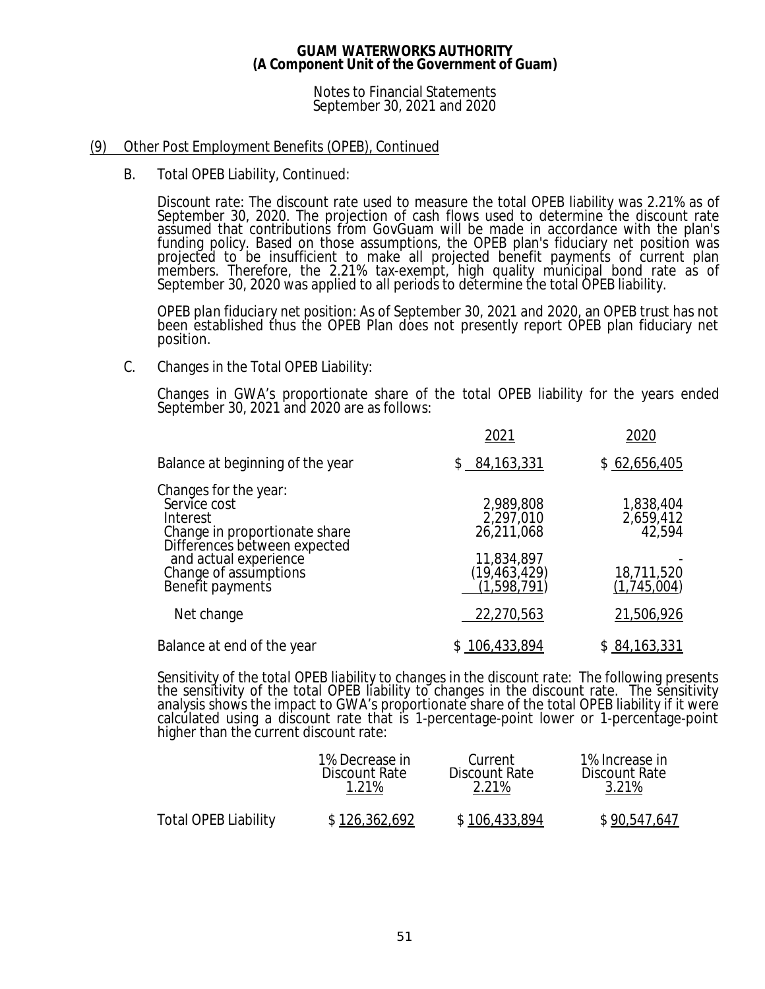### Notes to Financial Statements September 30, 2021 and 2020

### (9) Other Post Employment Benefits (OPEB), Continued

B. Total OPEB Liability, Continued:

*Discount rate:* The discount rate used to measure the total OPEB liability was 2.21% as of September 30, 2020. The projection of cash flows used to determine the discount rate assumed that contributions from GovGuam will be made in accordance with the plan's funding policy. Based on those assumptions, the OPEB plan's fiduciary net position was projected to be insufficient to make all projected benefit payments of current plan members. Therefore, the 2.21% tax-exempt, high quality municipal bond rate as of September 30, 2020 was applied to all periods to determine the total OPEB liability.

*OPEB plan fiduciary net position:* As of September 30, 2021 and 2020, an OPEB trust has not been established thus the OPEB Plan does not presently report OPEB plan fiduciary net position.

C. Changes in the Total OPEB Liability:

Changes in GWA's proportionate share of the total OPEB liability for the years ended September 30, 2021 and 2020 are as follows:

|                                                                                                                                             | 2021                                               | 2020                             |
|---------------------------------------------------------------------------------------------------------------------------------------------|----------------------------------------------------|----------------------------------|
| Balance at beginning of the year                                                                                                            | \$84,163,331                                       | \$62,656,405                     |
| Changes for the year:<br>Service cost<br>Interest<br>Change in proportionate share<br>Differences between expected<br>and actual experience | 2,989,808<br>2,297,010<br>26,211,068<br>11,834,897 | 1,838,404<br>2,659,412<br>42,594 |
| Change of assumptions<br>Benefit payments                                                                                                   | $(19, 463, 429)$<br>(1,598,791)                    | 18,711,520<br>(1,745,004)        |
| Net change                                                                                                                                  | 22,270,563                                         | 21,506,926                       |
| Balance at end of the year                                                                                                                  | \$106,433,894                                      | \$84,163,331                     |

*Sensitivity of the total OPEB liability to changes in the discount rate:* The following presents the sensitivity of the total OPEB liability to changes in the discount rate. The sensitivity analysis shows the impact to GWA's proportionate share of the total OPEB liability if it were calculated using a discount rate that is 1-percentage-point lower or 1-percentage-point higher than the current discount rate:

|                             | 1% Decrease in<br>Discount Rate | Current<br>Discount Rate<br>2.21% | 1% Increase in<br>Discount Rate<br>3.21% |
|-----------------------------|---------------------------------|-----------------------------------|------------------------------------------|
| <b>Total OPEB Liability</b> | \$126,362,692                   | \$106,433,894                     | \$90.547.647                             |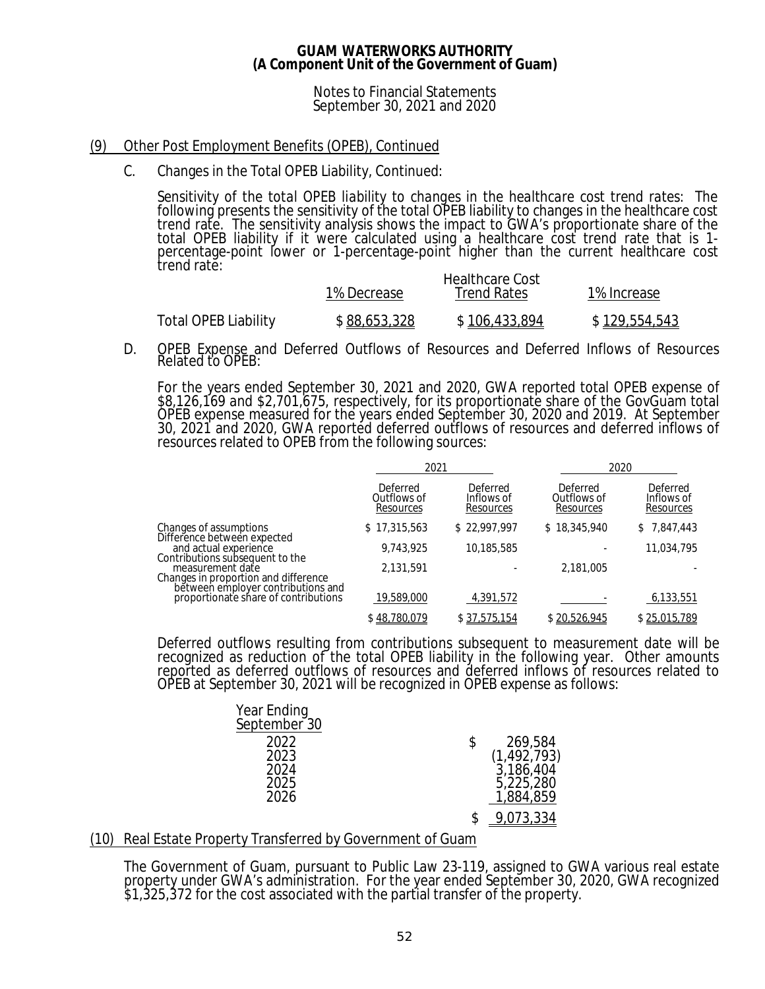### Notes to Financial Statements September 30, 2021 and 2020

## (9) Other Post Employment Benefits (OPEB), Continued

C. Changes in the Total OPEB Liability, Continued:

*Sensitivity of the total OPEB liability to changes in the healthcare cost trend rates:* The following presents the sensitivity of the total OPEB liability to changes in the healthcare cost trend rate. The sensitivity analysis shows the impact to GWA's proportionate share of the total OPEB liability if it were calculated using a healthcare cost trend rate that is 1percentage-point lower or 1-percentage-point higher than the current healthcare cost trend rate: Healthcare Cost

|                      | 1% Decrease  | - Heartncare Cost<br><b>Trend Rates</b> | 1% Increase   |
|----------------------|--------------|-----------------------------------------|---------------|
| Total OPEB Liability | \$88,653,328 | \$106,433,894                           | \$129,554,543 |

D. OPEB Expense and Deferred Outflows of Resources and Deferred Inflows of Resources Related to OPEB:

For the years ended September 30, 2021 and 2020, GWA reported total OPEB expense of \$8,126,169 and \$2,701,675, respectively, for its proportionate share of the GovGuam total OPEB expense measured for the years ended September 30, 2020 and 2019. At September 30, 2021 and 2020, GWA reported deferred outflows of resources and deferred inflows of resources related to OPEB from the following sources:

|                                                                                                                                   | 2021                                 |                                     | 2020                                 |                                     |
|-----------------------------------------------------------------------------------------------------------------------------------|--------------------------------------|-------------------------------------|--------------------------------------|-------------------------------------|
|                                                                                                                                   | Deferred<br>Outflows of<br>Resources | Deferred<br>Inflows of<br>Resources | Deferred<br>Outflows of<br>Resources | Deferred<br>Inflows of<br>Resources |
| Changes of assumptions                                                                                                            | \$17,315,563                         | \$22,997,997                        | \$18,345,940                         | \$7,847,443                         |
| Difference between expected<br>and actual experience                                                                              | 9,743,925                            | 10,185,585                          |                                      | 11,034,795                          |
| Contributions subsequent to the<br>measurement date<br>Changes in proportion and difference<br>between employer contributions and | 2,131,591                            |                                     | 2,181,005                            |                                     |
| proportionate share of contributions                                                                                              | 19,589,000                           | 4,391,572                           |                                      | 6,133,551                           |
|                                                                                                                                   | \$48,780,079                         | \$37,575,154                        | \$20,526,945                         | \$25,015,789                        |

Deferred outflows resulting from contributions subsequent to measurement date will be recognized as reduction of the total OPEB liability in the following year. Other amounts reported as deferred outflows of resources and deferred inflows of resources related to OPEB at September 30, 2021 will be recognized in OPEB expense as follows:

| Year Ending<br>September <sup>30</sup> |   |               |
|----------------------------------------|---|---------------|
| 2022                                   | S | 269,584       |
| 2023                                   |   | (1, 492, 793) |
| 2024                                   |   | 3,186,404     |
| 2025                                   |   | 5,225,280     |
| 2026                                   |   | 1,884,859     |
|                                        |   | 9,073,334     |

### (10) Real Estate Property Transferred by Government of Guam

The Government of Guam, pursuant to Public Law 23-119, assigned to GWA various real estate property under GWA's administration. For the year ended September 30, 2020, GWA recognized \$1,325,372 for the cost associated with the partial transfer of the property.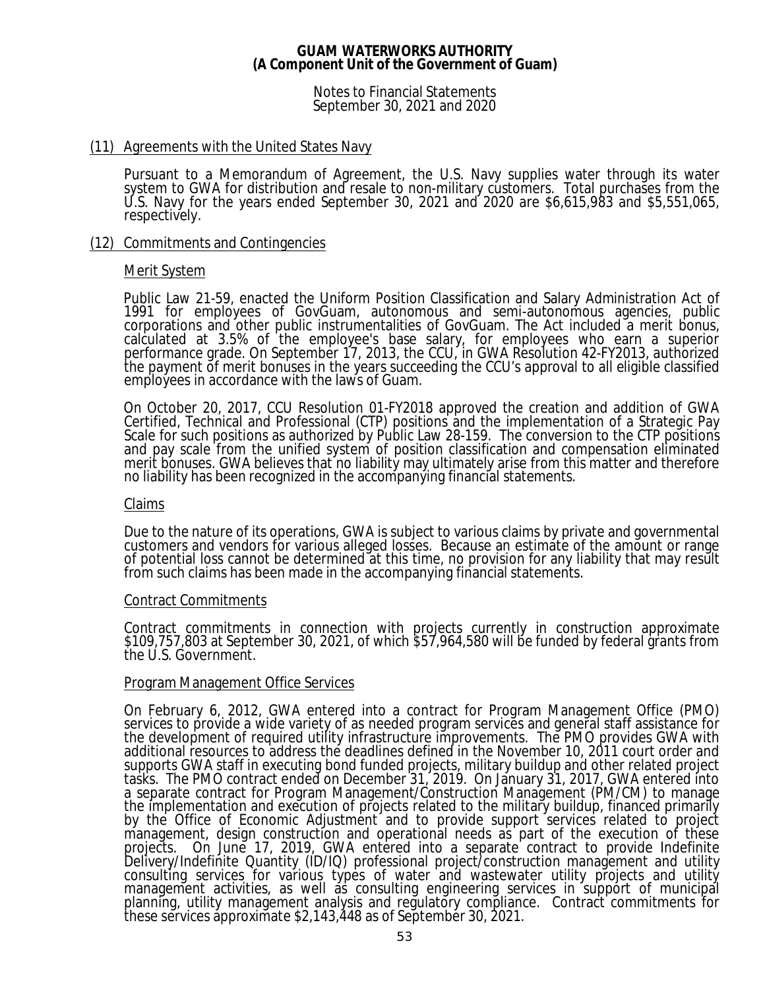Notes to Financial Statements September 30, 2021 and 2020

### (11) Agreements with the United States Navy

Pursuant to a Memorandum of Agreement, the U.S. Navy supplies water through its water system to GWA for distribution and resale to non-military customers. Total purchases from the U.S. Navy for the years ended September 30, 2021 and 2020 are \$6,615,983 and \$5,551,065, respectively.

## (12) Commitments and Contingencies

## Merit System

Public Law 21-59, enacted the Uniform Position Classification and Salary Administration Act of 1991 for employees of GovGuam, autonomous and semi-autonomous agencies, public corporations and other public instrumentalities of GovGuam. The Act included a merit bonus, calculated at 3.5% of the employee's base salary, for employees who earn a superior performance grade. On September 17, 2013, the CCU, in GWA Resolution 42-FY2013, authorized the payment of merit bonuses in the years succeeding the CCU's approval to all eligible classified employees in accordance with the laws of Guam.

On October 20, 2017, CCU Resolution 01-FY2018 approved the creation and addition of GWA Certified, Technical and Professional (CTP) positions and the implementation of a Strategic Pay Scale for such positions as authorized by Public Law 28-159. The conversion to the CTP positions and pay scale from the unified system of position classification and compensation eliminated merit bonuses. GWA believes that no liability may ultimately arise from this matter and therefore no liability has been recognized in the accompanying financial statements.

### Claims

Due to the nature of its operations, GWA is subject to various claims by private and governmental customers and vendors for various alleged losses. Because an estimate of the amount or range of potential loss cannot be determined at this time, no provision for any liability that may result from such claims has been made in the accompanying financial statements.

### Contract Commitments

Contract commitments in connection with projects currently in construction approximate \$109,757,803 at September 30, 2021, of which \$57,964,580 will be funded by federal grants from the U.S. Government.

### Program Management Office Services

On February 6, 2012, GWA entered into a contract for Program Management Office (PMO) services to provide a wide variety of as needed program services and general staff assistance for the development of required utility infrastructure improvements. The PMO provides GWA with additional resources to address the deadlines defined in the November 10, 2011 court order and supports GWA staff in executing bond funded projects, military buildup and other related project tasks. The PMO contract ended on December 31, 2019. On January 31, 2017, GWA entered into a separate contract for Program Management/Construction Management (PM/CM) to manage the implementation and execution of projects related to the military buildup, financed primarily by the Office of Economic Adjustment and to provide support services related to project management, design construction and operational needs as part of the execution of these<br>projects. On June 17, 2019, GWA entered into a separate contract to provide Indefinite On June 17, 2019, GWA entered into a separate contract to provide Indefinite Delivery/Indefinite Quantity (ID/IQ) professional project/construction management and utility consulting services for various types of water and wastewater utility projects and utility management activities, as well as consulting engineering services in support of municipal planning, utility management analysis and regulatory compliance. Contract commitments for these sĕrvices ăpproxim̃ate \$2,143,448 as of Sep̃tembẽr 30, 2021.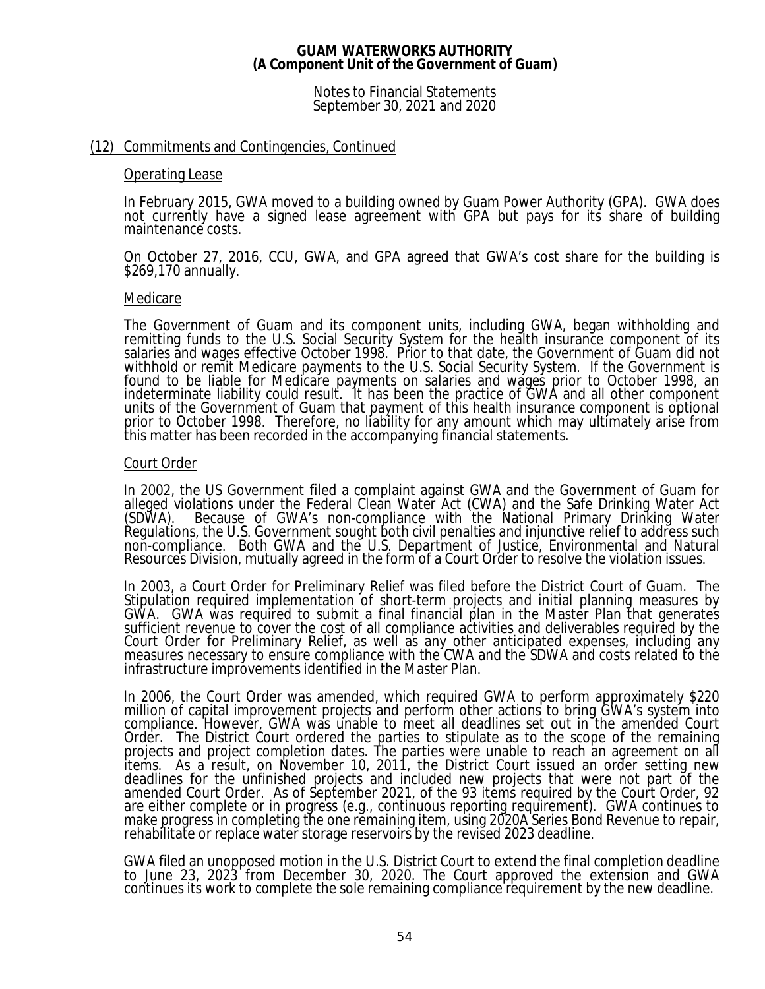Notes to Financial Statements September 30, 2021 and 2020

### (12) Commitments and Contingencies, Continued

### Operating Lease

In February 2015, GWA moved to a building owned by Guam Power Authority (GPA). GWA does not currently have a signed lease agreement with GPA but pays for its share of building maintenance costs.

On October 27, 2016, CCU, GWA, and GPA agreed that GWA's cost share for the building is \$269,170 annually.

### Medicare

The Government of Guam and its component units, including GWA, began withholding and remitting funds to the U.S. Social Security System for the health insurance component of its salaries and wages effective October 1998. Prior to that date, the Government of Guam did not withhold or remit Medicare payments to the U.S. Social Security System. If the Government is found to be liable for Medicare payments on salaries and wages prior to October 1998, an indeterminate liability could result. It has been the practice of GWA and all other component units of the Government of Guam that payment of this health insurance component is optional prior to October 1998. Therefore, no liability for any amount which may ultimately arise from this matter has been recorded in the accompanying financial statements.

### Court Order

In 2002, the US Government filed a complaint against GWA and the Government of Guam for alleged violations under the Federal Clean Water Act (CWA) and the Safe Drinking Water Act (SDWA). Because of GWA's non-compliance with the National Primary Drinking Water Regulations, the U.S. Government sought both civil penalties and injunctive relief to address such non-compliance. Both GWA and the U.S. Department of Justice, Environmental and Natural Resources Division, mutually agreed in the form of a Court Order to resolve the violation issues.

In 2003, a Court Order for Preliminary Relief was filed before the District Court of Guam. The Stipulation required implementation of short-term projects and initial planning measures by GWA. GWA was required to submit a final financial plan in the Master Plan that generates sufficient revenue to cover the cost of all compliance activities and deliverables required by the Court Order for Preliminary Relief, as well as any other anticipated expenses, including any measures necessary to ensure compliance with the CWA and the SDWA and costs related to the infrastructure improvements identified in the Master Plan.

In 2006, the Court Order was amended, which required GWA to perform approximately \$220 million of capital improvement projects and perform other actions to bring GWA's system into compliance. However, GWA was unable to meet all deadlines set out in the amended Court Order. The District Court ordered the parties to stipulate as to the scope of the remaining projects and project completion dates. The parties were unable to reach an agreement on all items. As a result, on November 10, 2011, the District Court issued an order setting new deadlines for the unfinished projects and included new projects that were not part of the amended Court Order. As of September 2021, of the 93 items required by the Court Order, 92 are either complete or in progress (e.g., continuous reporting requirement). GWA continues to make progress in completing the one remaining item, using 2020A Series Bond Revenue to repair, rehabilitate or replace water storage reservoirs by the revised 2023 deadline.

GWA filed an unopposed motion in the U.S. District Court to extend the final completion deadline to June 23, 2023 from December 30, 2020. The Court approved the extension and GWA continues its work to complete the sole remaining compliance requirement by the new deadline.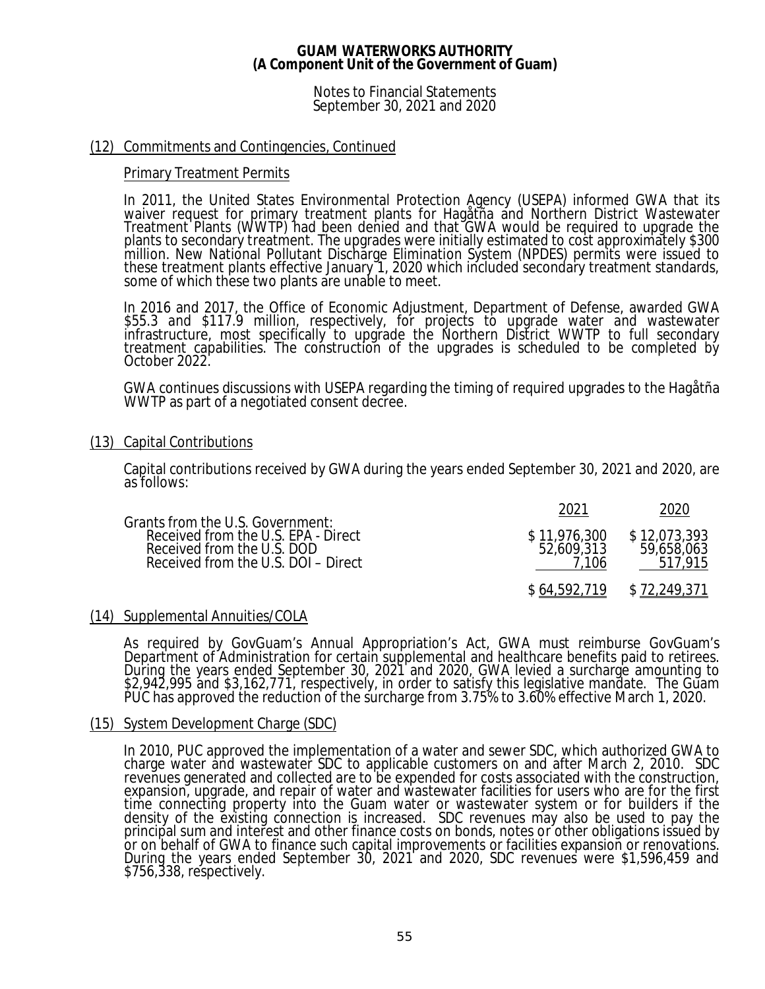Notes to Financial Statements September 30, 2021 and 2020

### (12) Commitments and Contingencies, Continued

### Primary Treatment Permits

In 2011, the United States Environmental Protection Agency (USEPA) informed GWA that its waiver request for primary treatment plants for Hagåtña and Northern District Wastewater Treatment Plants (WWTP) had been denied and that GWA would be required to upgrade the plants to secondary treatment. The upgrades were initially estimated to cost approximately \$300 million. New National Pollutant Discharge Elimination System (NPDES) permits were issued to these treatment plants effective January 1, 2020 which included secondary treatment standards, some of which these two plants are unable to meet.

In 2016 and 2017, the Office of Economic Adjustment, Department of Defense, awarded GWA \$55.3 and \$117.9 million, respectively, for projects to upgrade water and wastewater infrastructure, most specifically to upgrade the Northern District WWTP to full secondary treatment capabilities. The construction of the upgrades is scheduled to be completed by October 2022.

GWA continues discussions with USEPA regarding the timing of required upgrades to the Hagåtña WWTP as part of a negotiated consent decree.

## (13) Capital Contributions

Capital contributions received by GWA during the years ended September 30, 2021 and 2020, are as follows:

| Grants from the U.S. Government:                                                                         |                            |                            |
|----------------------------------------------------------------------------------------------------------|----------------------------|----------------------------|
| Received from the U.S. EPA - Direct<br>Received from the U.S. DOD<br>Received from the U.S. DOI - Direct | \$11,976,300<br>52,609,313 | \$12,073,393<br>59,658,063 |
|                                                                                                          | \$64,592,719               | \$72,249,371               |

### (14) Supplemental Annuities/COLA

As required by GovGuam's Annual Appropriation's Act, GWA must reimburse GovGuam's Department of Administration for certain supplemental and healthcare benefits paid to retirees. During the years ended September 30, 2021 and 2020, GWA levied a surcharge amounting to \$2,942,995 and \$3,162,771, respectively, in order to satisfy this legislative mandate. The Guam PUC has approved the reduction of the surcharge from 3.75% to 3.60% effective March 1, 2020.

### (15) System Development Charge (SDC)

In 2010, PUC approved the implementation of a water and sewer SDC, which authorized GWA to charge water and wastewater SDC to applicable customers on and after March 2, 2010. SDC revenues generated and collected are to be expended for costs associated with the construction, expansion, upgrade, and repair of water and wastewater facilities for users who are for the first time connecting property into the Guam water or wastewater system or for builders if the density of the existing connection is increased. SDC revenues may also be used to pay the principal sum and interest and other finance costs on bonds, notes or other obligations issued by or on behalf of GWA to finance such capital improvements or facilities expansion or renovations. During the years ended September 30, 2021 and 2020, SDC revenues were \$1,596,459 and \$756,338, respectively.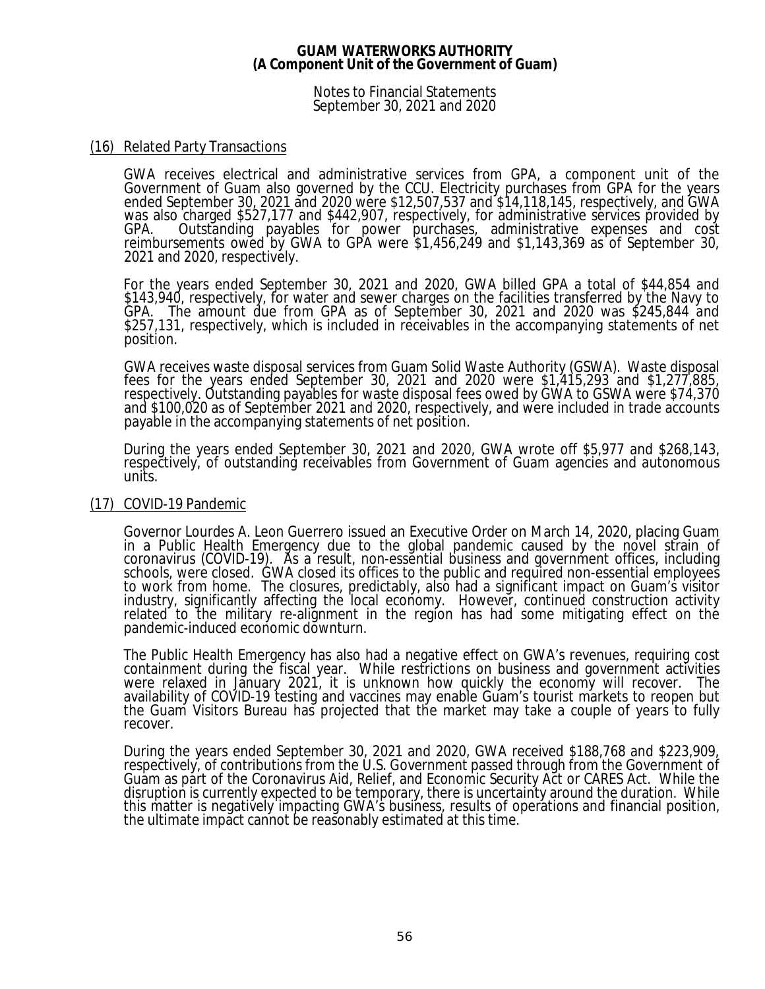Notes to Financial Statements September 30, 2021 and 2020

### (16) Related Party Transactions

GWA receives electrical and administrative services from GPA, a component unit of the Government of Guam also governed by the CCU. Electricity purchases from GPA for the years ended September 30, 2021 and 2020 were \$12,507,537 and \$14,118,145, respectively, and GWA was also charged \$527,177 and \$442,907, respectively, for administrative services provided by GPA. Outstanding payables for power purchases, administrative expenses and cost reimbursements owed by GWA to GPA were \$1,456,249 and \$1,143,369 as of September 30, 2021 and 2020, respectively.

For the years ended September 30, 2021 and 2020, GWA billed GPA a total of \$44,854 and \$143,940, respectively, for water and sewer charges on the facilities transferred by the Navy to GPA. The amount due from GPA as of September 30, 2021 and 2020 was \$245,844 and \$257,131, respectively, which is included in receivables in the accompanying statements of net position.

GWA receives waste disposal services from Guam Solid Waste Authority (GSWA). Waste disposal fees for the years ended September 30, 2021 and 2020 were \$1,415,293 and \$1,277,885, respectively. Outstanding payables for waste disposal fees owed by GWA to GSWA were \$74,370 and \$100,020 as of September 2021 and 2020, respectively, and were included in trade accounts payable in the accompanying statements of net position.

During the years ended September 30, 2021 and 2020, GWA wrote off \$5,977 and \$268,143, respectively, of outstanding receivables from Government of Guam agencies and autonomous units.

### (17) COVID-19 Pandemic

Governor Lourdes A. Leon Guerrero issued an Executive Order on March 14, 2020, placing Guam in a Public Health Emergency due to the global pandemic caused by the novel strain of coronavirus (COVID-19). As a result, non-essential business and government offices, including schools, were closed. GWA closed its offices to the public and required non-essential employees to work from home. The closures, predictably, also had a significant impact on Guam's visitor industry, significantly affecting the local economy. However, continued construction activity related to the military re-alignment in the region has had some mitigating effect on the pandemic-induced economic downturn.

The Public Health Emergency has also had a negative effect on GWA's revenues, requiring cost containment during the fiscal year. While restrictions on business and government activities were relaxed in January 2021, it is unknown how quickly the economy will recover. The availability of COVID-19 testing and vaccines may enable Guam's tourist markets to reopen but the Guam Visitors Bureau has projected that the market may take a couple of years to fully recover.

During the years ended September 30, 2021 and 2020, GWA received \$188,768 and \$223,909, respectively, of contributions from the U.S. Government passed through from the Government of Guam as part of the Coronavirus Aid, Relief, and Economic Security Act or CARES Act. While the disruption is currently expected to be temporary, there is uncertainty around the duration. While this matter is negatively impacting GWA's business, results of operations and financial position, the ultimate impact cannot be reasonably estimated at this time.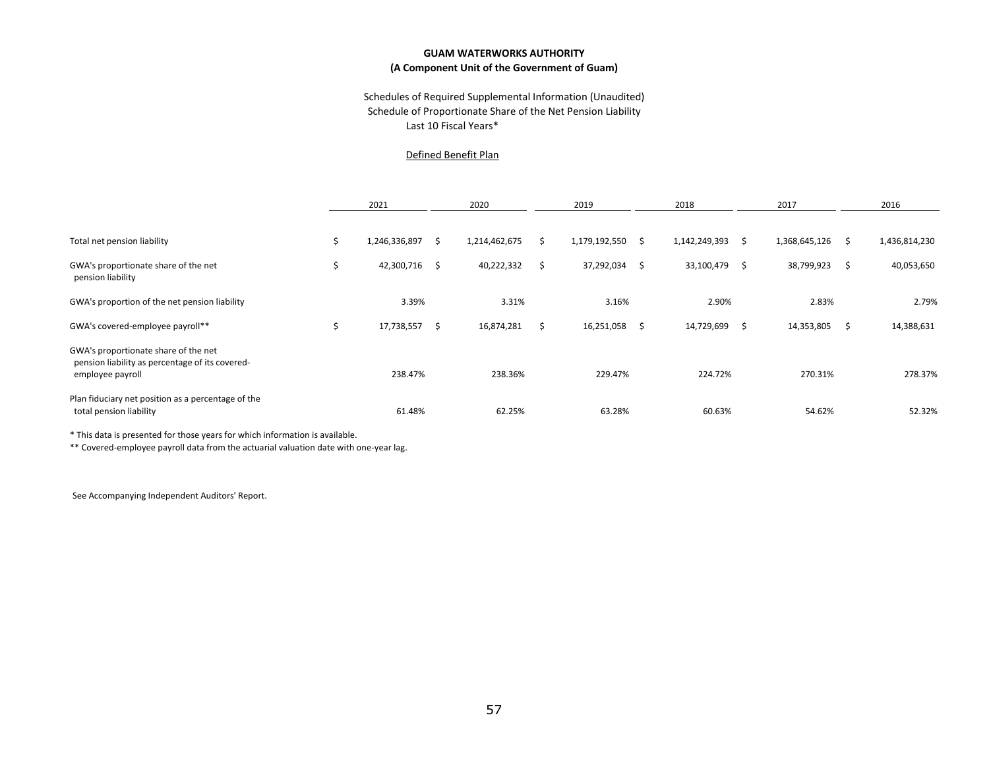### Last 10 Fiscal Years\* Schedules of Required Supplemental Information (Unaudited) Schedule of Proportionate Share of the Net Pension Liability

#### Defined Benefit Plan

|                                                                                                             |     | 2021          |      | 2020          |   | 2019          |   | 2018          |    | 2017          |    | 2016          |
|-------------------------------------------------------------------------------------------------------------|-----|---------------|------|---------------|---|---------------|---|---------------|----|---------------|----|---------------|
|                                                                                                             |     |               |      |               |   |               |   |               |    |               |    |               |
| Total net pension liability                                                                                 |     | 1,246,336,897 | S.   | 1,214,462,675 |   | 1,179,192,550 | ς | 1,142,249,393 | S  | 1,368,645,126 |    | 1,436,814,230 |
| GWA's proportionate share of the net<br>pension liability                                                   | Ś   | 42,300,716    | - \$ | 40,222,332    | S | 37,292,034    | S | 33,100,479    | \$ | 38,799,923    | S  | 40,053,650    |
| GWA's proportion of the net pension liability                                                               |     | 3.39%         |      | 3.31%         |   | 3.16%         |   | 2.90%         |    | 2.83%         |    | 2.79%         |
| GWA's covered-employee payroll**                                                                            | \$. | 17,738,557    | Ŝ.   | 16,874,281    | S | 16,251,058    | S | 14,729,699    | S  | 14,353,805    | -S | 14,388,631    |
| GWA's proportionate share of the net<br>pension liability as percentage of its covered-<br>employee payroll |     | 238.47%       |      | 238.36%       |   | 229.47%       |   | 224.72%       |    | 270.31%       |    | 278.37%       |
| Plan fiduciary net position as a percentage of the<br>total pension liability                               |     | 61.48%        |      | 62.25%        |   | 63.28%        |   | 60.63%        |    | 54.62%        |    | 52.32%        |

\* This data is presented for those years for which information is available.

\*\* Covered-employee payroll data from the actuarial valuation date with one-year lag.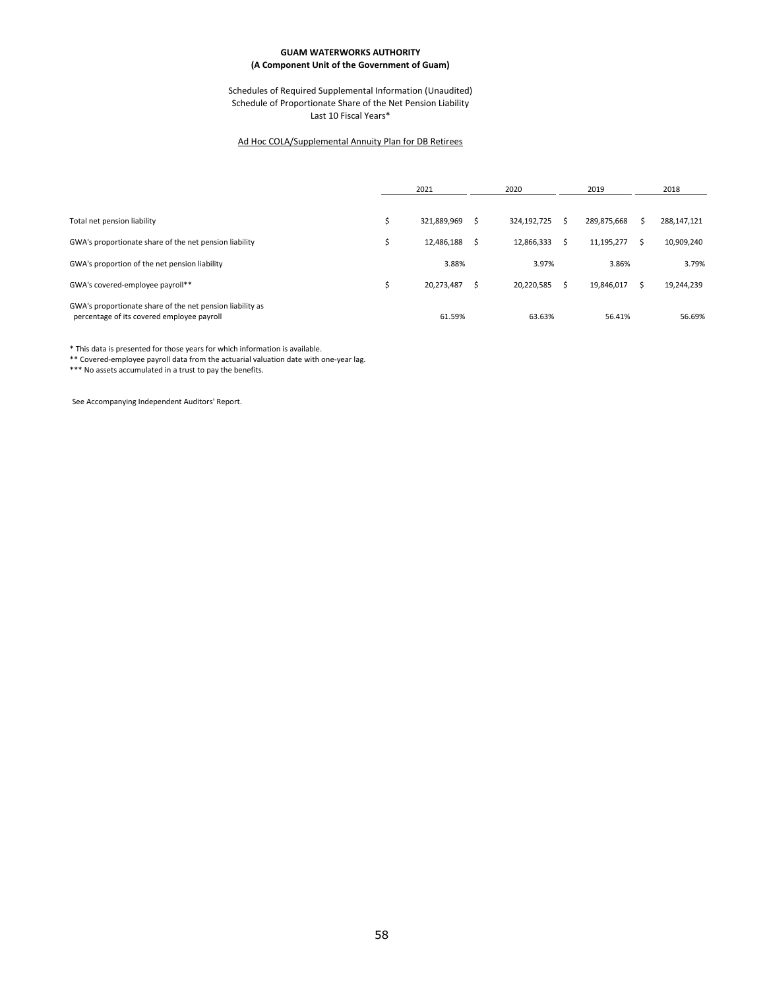#### Schedules of Required Supplemental Information (Unaudited) Schedule of Proportionate Share of the Net Pension Liability Last 10 Fiscal Years\*

#### Ad Hoc COLA/Supplemental Annuity Plan for DB Retirees

|                                                                                                         | 2021        |  | 2020        |   | 2019        | 2018 |             |
|---------------------------------------------------------------------------------------------------------|-------------|--|-------------|---|-------------|------|-------------|
|                                                                                                         |             |  |             |   |             |      |             |
| Total net pension liability                                                                             | 321,889,969 |  | 324,192,725 |   | 289.875.668 |      | 288,147,121 |
| GWA's proportionate share of the net pension liability                                                  | 12.486.188  |  | 12.866.333  | Ś | 11,195,277  |      | 10,909,240  |
| GWA's proportion of the net pension liability                                                           | 3.88%       |  | 3.97%       |   | 3.86%       |      | 3.79%       |
| GWA's covered-employee payroll**                                                                        | 20,273,487  |  | 20.220.585  | Ś | 19,846,017  |      | 19,244,239  |
| GWA's proportionate share of the net pension liability as<br>percentage of its covered employee payroll | 61.59%      |  | 63.63%      |   | 56.41%      |      | 56.69%      |

\* This data is presented for those years for which information is available.

\*\* Covered-employee payroll data from the actuarial valuation date with one-year lag.

\*\*\* No assets accumulated in a trust to pay the benefits.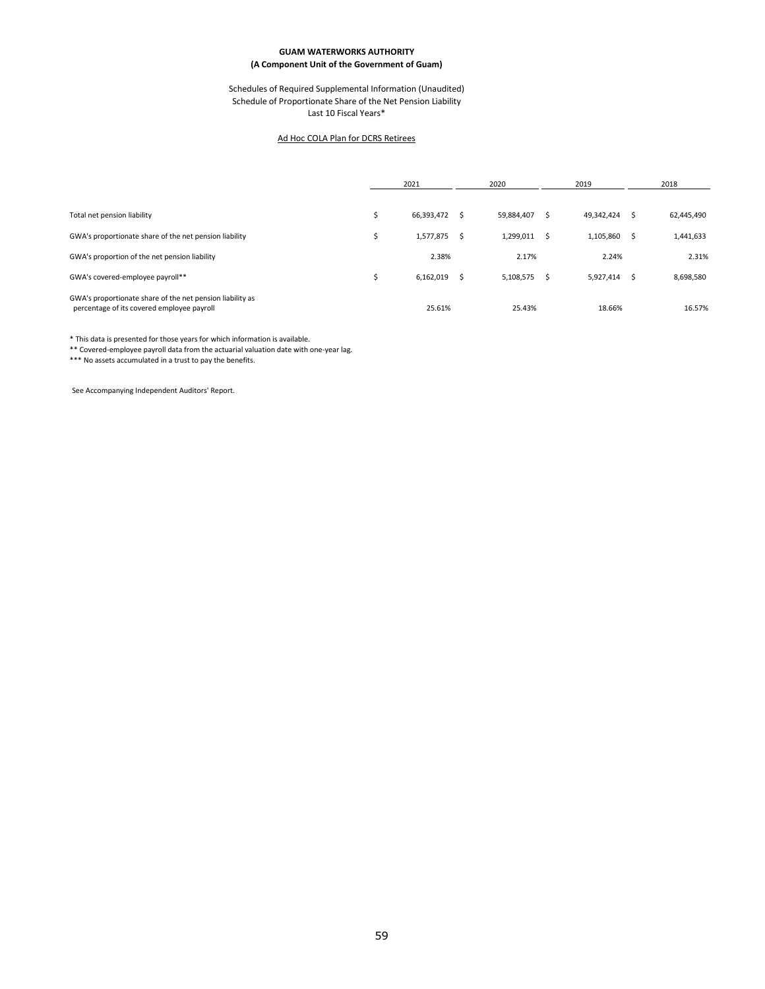#### Schedules of Required Supplemental Information (Unaudited) Schedule of Proportionate Share of the Net Pension Liability Last 10 Fiscal Years\*

#### Ad Hoc COLA Plan for DCRS Retirees

|                                                                                                         | 2021       |  | 2020       |   | 2019       | 2018 |            |
|---------------------------------------------------------------------------------------------------------|------------|--|------------|---|------------|------|------------|
|                                                                                                         |            |  |            |   |            |      |            |
| Total net pension liability                                                                             | 66,393,472 |  | 59,884,407 |   | 49,342,424 | s    | 62,445,490 |
| GWA's proportionate share of the net pension liability                                                  | 1,577,875  |  | 1,299,011  | Ŝ | 1,105,860  | s    | 1,441,633  |
| GWA's proportion of the net pension liability                                                           | 2.38%      |  | 2.17%      |   | 2.24%      |      | 2.31%      |
| GWA's covered-employee payroll**                                                                        | 6,162,019  |  | 5,108,575  |   | 5,927,414  | .s   | 8,698,580  |
| GWA's proportionate share of the net pension liability as<br>percentage of its covered employee payroll | 25.61%     |  | 25.43%     |   | 18.66%     |      | 16.57%     |

\* This data is presented for those years for which information is available.

\*\* Covered-employee payroll data from the actuarial valuation date with one-year lag.

\*\*\* No assets accumulated in a trust to pay the benefits.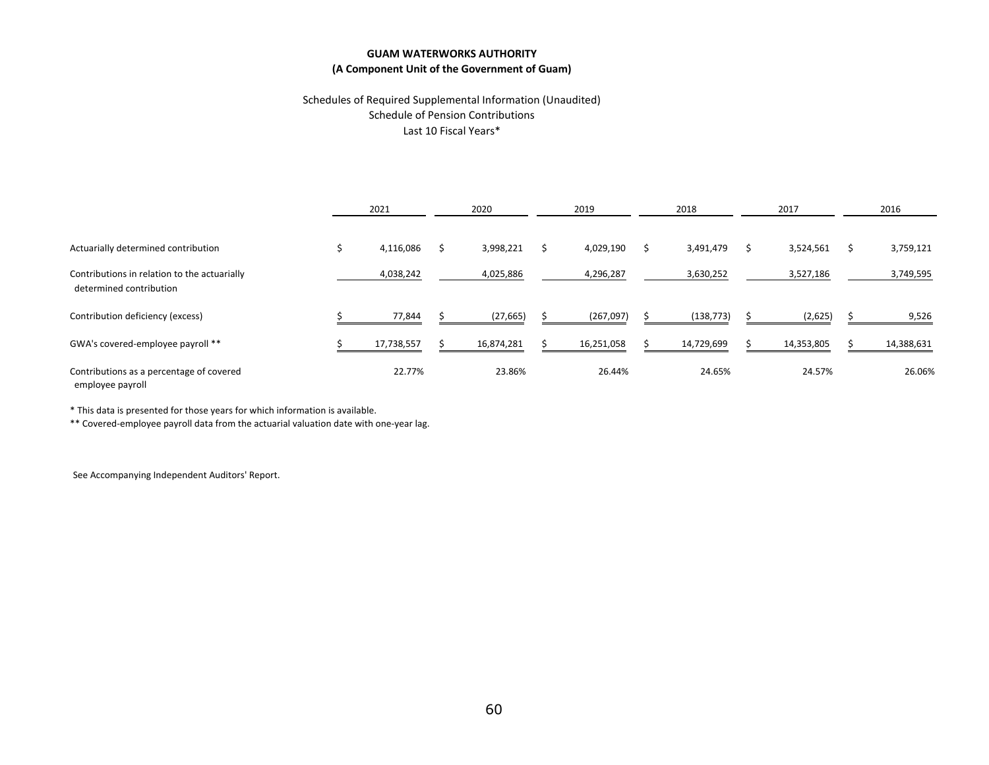### Schedules of Required Supplemental Information (Unaudited) Schedule of Pension Contributions Last 10 Fiscal Years\*

|                                                                         | 2021       | 2020       | 2019       | 2018 |            | 2017       | 2016       |  |
|-------------------------------------------------------------------------|------------|------------|------------|------|------------|------------|------------|--|
| Actuarially determined contribution                                     | 4,116,086  | 3,998,221  | 4,029,190  |      | 3,491,479  | 3,524,561  | 3,759,121  |  |
| Contributions in relation to the actuarially<br>determined contribution | 4,038,242  | 4,025,886  | 4,296,287  |      | 3,630,252  | 3,527,186  | 3,749,595  |  |
| Contribution deficiency (excess)                                        | 77,844     | (27, 665)  | (267,097)  |      | (138, 773) | (2,625)    | 9,526      |  |
| GWA's covered-employee payroll **                                       | 17,738,557 | 16,874,281 | 16,251,058 |      | 14,729,699 | 14,353,805 | 14,388,631 |  |
| Contributions as a percentage of covered<br>employee payroll            | 22.77%     | 23.86%     | 26.44%     |      | 24.65%     | 24.57%     | 26.06%     |  |

\* This data is presented for those years for which information is available.

\*\* Covered-employee payroll data from the actuarial valuation date with one-year lag.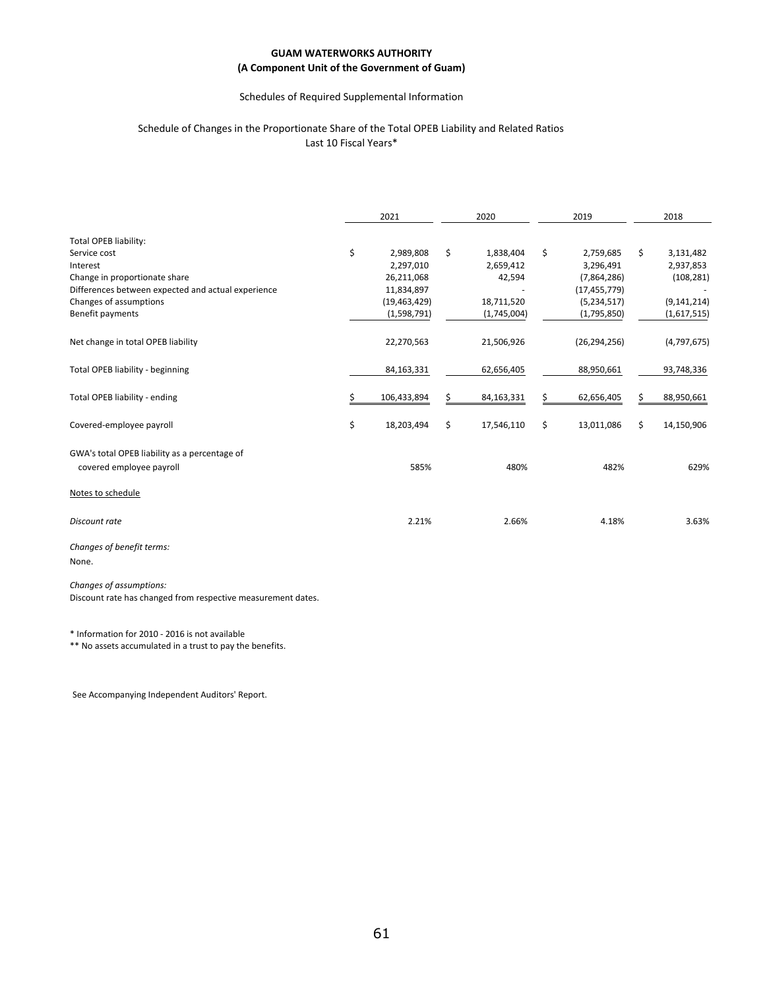### Schedules of Required Supplemental Information

#### Schedule of Changes in the Proportionate Share of the Total OPEB Liability and Related Ratios Last 10 Fiscal Years\*

|                                                    | 2021             | 2020             | 2019 |                |    | 2018          |
|----------------------------------------------------|------------------|------------------|------|----------------|----|---------------|
| Total OPEB liability:                              |                  |                  |      |                |    |               |
| Service cost                                       | \$<br>2,989,808  | \$<br>1,838,404  | Ś.   | 2,759,685      | Ś. | 3,131,482     |
| Interest                                           | 2,297,010        | 2,659,412        |      | 3,296,491      |    | 2,937,853     |
| Change in proportionate share                      | 26,211,068       | 42,594           |      | (7,864,286)    |    | (108, 281)    |
| Differences between expected and actual experience | 11,834,897       |                  |      | (17, 455, 779) |    |               |
| Changes of assumptions                             | (19, 463, 429)   | 18,711,520       |      | (5,234,517)    |    | (9, 141, 214) |
| Benefit payments                                   | (1,598,791)      | (1,745,004)      |      | (1,795,850)    |    | (1,617,515)   |
| Net change in total OPEB liability                 | 22,270,563       | 21,506,926       |      | (26, 294, 256) |    | (4,797,675)   |
| Total OPEB liability - beginning                   | 84, 163, 331     | 62,656,405       |      | 88,950,661     |    | 93,748,336    |
| Total OPEB liability - ending                      | 106,433,894      | \$<br>84,163,331 |      | 62,656,405     | Ś  | 88,950,661    |
| Covered-employee payroll                           | \$<br>18,203,494 | \$<br>17,546,110 | \$   | 13,011,086     | \$ | 14,150,906    |
| GWA's total OPEB liability as a percentage of      |                  |                  |      |                |    |               |
| covered employee payroll                           | 585%             | 480%             |      | 482%           |    | 629%          |
| Notes to schedule                                  |                  |                  |      |                |    |               |
| Discount rate                                      | 2.21%            | 2.66%            |      | 4.18%          |    | 3.63%         |
| $\sim$ $\sim$ $\sim$ $\sim$ $\sim$ $\sim$          |                  |                  |      |                |    |               |

*Changes of benefit terms:* None.

*Changes of assumptions:*

Discount rate has changed from respective measurement dates.

\* Information for 2010 - 2016 is not available

\*\* No assets accumulated in a trust to pay the benefits.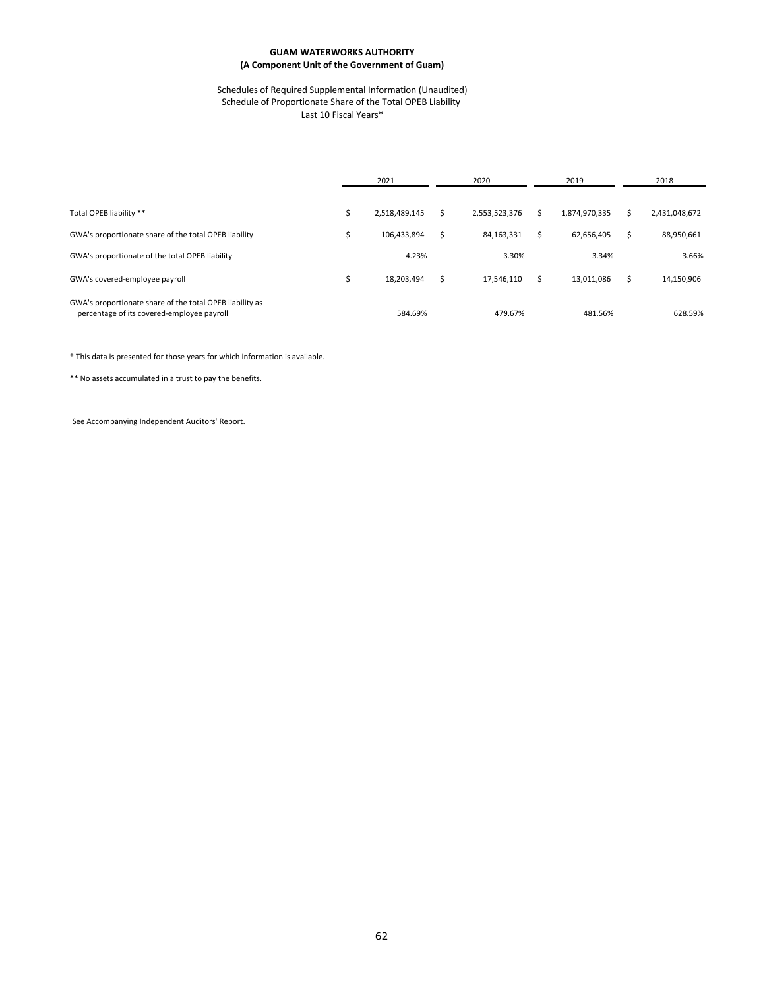#### Schedules of Required Supplemental Information (Unaudited) Schedule of Proportionate Share of the Total OPEB Liability Last 10 Fiscal Years\*

|                                                                                                        | 2021          | 2020 |               |  | 2019          | 2018 |               |  |
|--------------------------------------------------------------------------------------------------------|---------------|------|---------------|--|---------------|------|---------------|--|
|                                                                                                        |               |      |               |  |               |      |               |  |
| Total OPEB liability **                                                                                | 2,518,489,145 | S    | 2,553,523,376 |  | 1,874,970,335 |      | 2,431,048,672 |  |
| GWA's proportionate share of the total OPEB liability                                                  | 106.433.894   | Ŝ.   | 84,163,331    |  | 62.656.405    | Ś.   | 88,950,661    |  |
| GWA's proportionate of the total OPEB liability                                                        | 4.23%         |      | 3.30%         |  | 3.34%         |      | 3.66%         |  |
| GWA's covered-employee payroll                                                                         | 18,203,494    | Ś    | 17.546.110    |  | 13,011,086    | Ś.   | 14,150,906    |  |
| GWA's proportionate share of the total OPEB liability as<br>percentage of its covered-employee payroll | 584.69%       |      | 479.67%       |  | 481.56%       |      | 628.59%       |  |

\* This data is presented for those years for which information is available.

\*\* No assets accumulated in a trust to pay the benefits.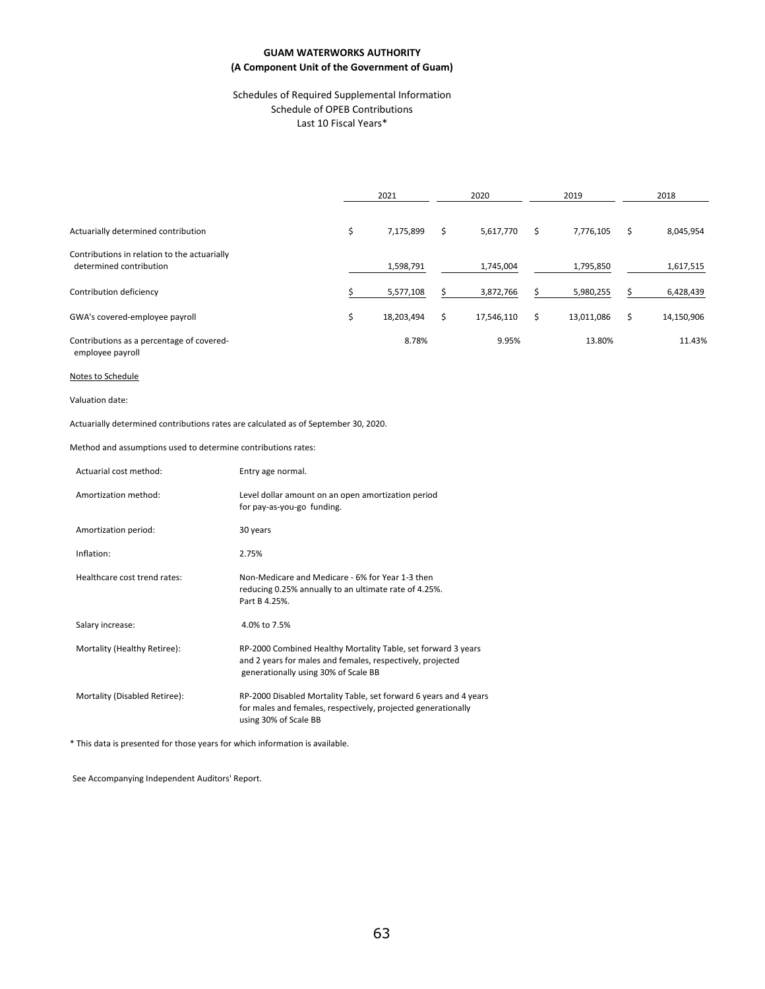#### Schedules of Required Supplemental Information Schedule of OPEB Contributions Last 10 Fiscal Years\*

|                                                                         |   | 2021       | 2020 |            | 2019       | 2018 |            |  |
|-------------------------------------------------------------------------|---|------------|------|------------|------------|------|------------|--|
|                                                                         |   |            |      |            |            |      |            |  |
| Actuarially determined contribution                                     | Ś | 7,175,899  |      | 5,617,770  | 7,776,105  | S    | 8,045,954  |  |
| Contributions in relation to the actuarially<br>determined contribution |   | 1,598,791  |      | 1,745,004  | 1,795,850  |      | 1,617,515  |  |
| Contribution deficiency                                                 |   | 5,577,108  |      | 3,872,766  | 5,980,255  |      | 6,428,439  |  |
| GWA's covered-employee payroll                                          | Ś | 18,203,494 | Ś.   | 17,546,110 | 13,011,086 | Ś    | 14,150,906 |  |
| Contributions as a percentage of covered-                               |   | 8.78%      |      | 9.95%      | 13.80%     |      | 11.43%     |  |

employee payroll

#### Notes to Schedule

#### Valuation date:

Actuarially determined contributions rates are calculated as of September 30, 2020.

Method and assumptions used to determine contributions rates:

| Actuarial cost method:        | Entry age normal.                                                                                                                                                   |
|-------------------------------|---------------------------------------------------------------------------------------------------------------------------------------------------------------------|
| Amortization method:          | Level dollar amount on an open amortization period<br>for pay-as-you-go funding.                                                                                    |
| Amortization period:          | 30 years                                                                                                                                                            |
| Inflation:                    | 2.75%                                                                                                                                                               |
| Healthcare cost trend rates:  | Non-Medicare and Medicare - 6% for Year 1-3 then<br>reducing 0.25% annually to an ultimate rate of 4.25%.<br>Part B 4.25%.                                          |
| Salary increase:              | 4.0% to 7.5%                                                                                                                                                        |
| Mortality (Healthy Retiree):  | RP-2000 Combined Healthy Mortality Table, set forward 3 years<br>and 2 years for males and females, respectively, projected<br>generationally using 30% of Scale BB |
| Mortality (Disabled Retiree): | RP-2000 Disabled Mortality Table, set forward 6 years and 4 years<br>for males and females, respectively, projected generationally<br>using 30% of Scale BB         |

\* This data is presented for those years for which information is available.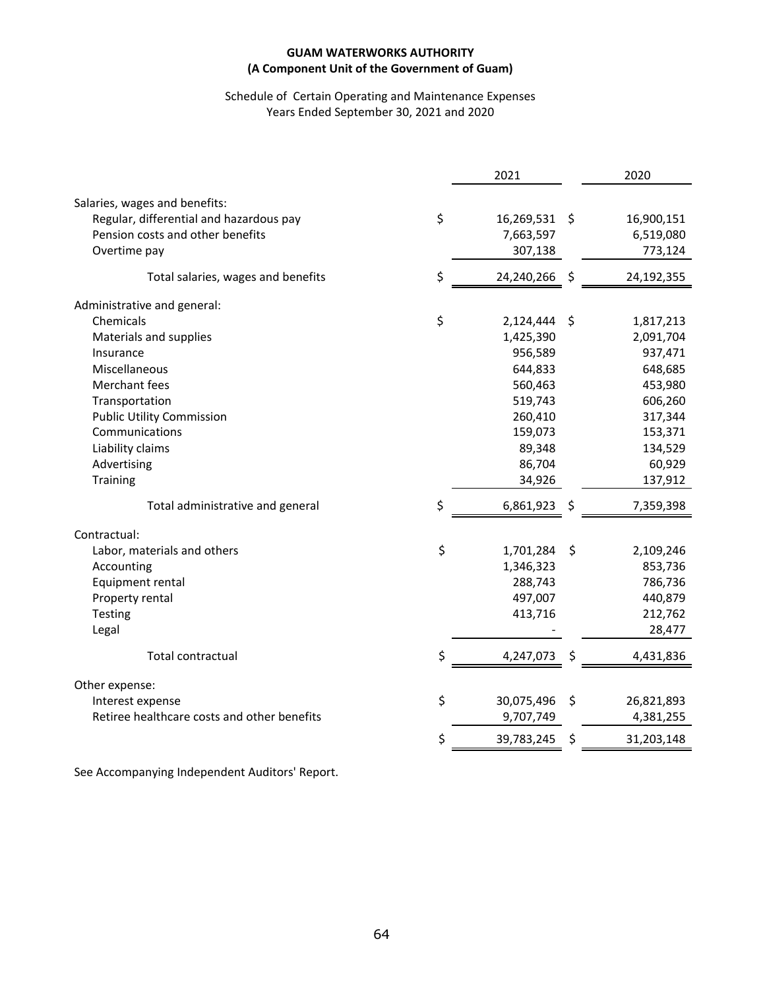## Schedule of Certain Operating and Maintenance Expenses Years Ended September 30, 2021 and 2020

|                                             | 2021                | 2020             |
|---------------------------------------------|---------------------|------------------|
| Salaries, wages and benefits:               |                     |                  |
| Regular, differential and hazardous pay     | \$<br>16,269,531 \$ | 16,900,151       |
| Pension costs and other benefits            | 7,663,597           | 6,519,080        |
| Overtime pay                                | 307,138             | 773,124          |
|                                             |                     |                  |
| Total salaries, wages and benefits          | \$<br>24,240,266    | \$<br>24,192,355 |
| Administrative and general:                 |                     |                  |
| Chemicals                                   | \$<br>2,124,444     | \$<br>1,817,213  |
| Materials and supplies                      | 1,425,390           | 2,091,704        |
| Insurance                                   | 956,589             | 937,471          |
| Miscellaneous                               | 644,833             | 648,685          |
| Merchant fees                               | 560,463             | 453,980          |
| Transportation                              | 519,743             | 606,260          |
| <b>Public Utility Commission</b>            | 260,410             | 317,344          |
| Communications                              | 159,073             | 153,371          |
| Liability claims                            | 89,348              | 134,529          |
| Advertising                                 | 86,704              | 60,929           |
| <b>Training</b>                             | 34,926              | 137,912          |
| Total administrative and general            | \$<br>6,861,923     | \$<br>7,359,398  |
| Contractual:                                |                     |                  |
| Labor, materials and others                 | \$<br>1,701,284     | \$<br>2,109,246  |
| Accounting                                  | 1,346,323           | 853,736          |
| Equipment rental                            | 288,743             | 786,736          |
| Property rental                             | 497,007             | 440,879          |
| Testing                                     | 413,716             | 212,762          |
| Legal                                       |                     | 28,477           |
| <b>Total contractual</b>                    | \$<br>4,247,073     | \$<br>4,431,836  |
| Other expense:                              |                     |                  |
| Interest expense                            | \$<br>30,075,496    | \$<br>26,821,893 |
| Retiree healthcare costs and other benefits | 9,707,749           | 4,381,255        |
|                                             | \$<br>39,783,245    | \$<br>31,203,148 |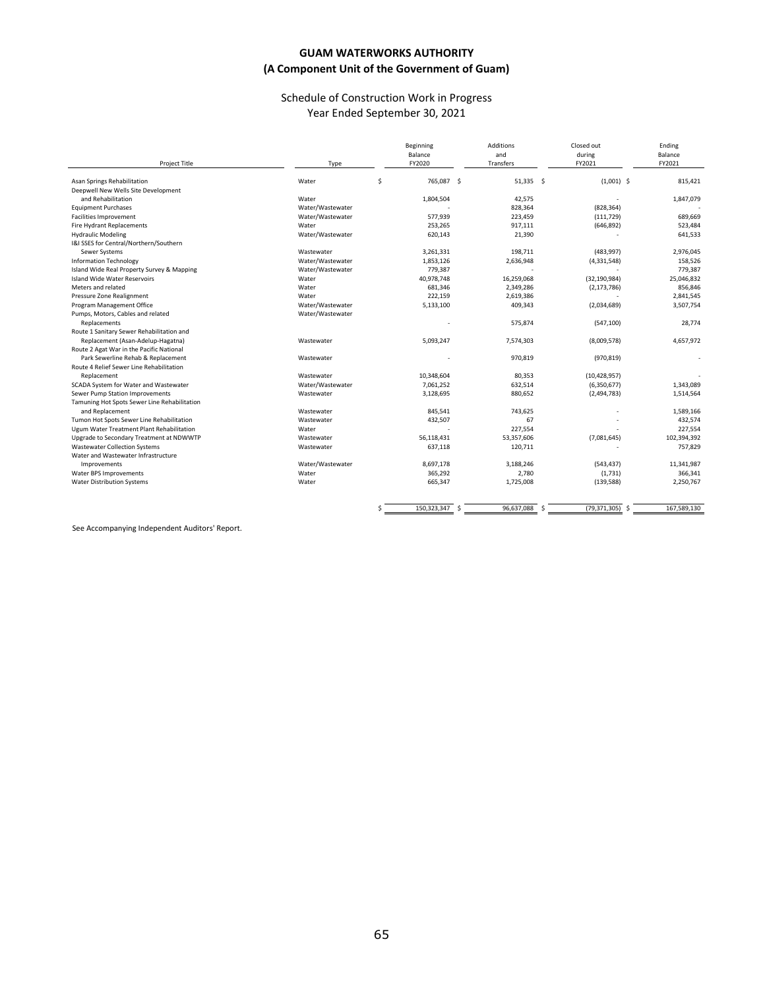### Schedule of Construction Work in Progress Year Ended September 30, 2021

| Project Title                                | Type             | Beginning<br>Balance<br>FY2020 |            | <b>Additions</b><br>and<br>Transfers | Closed out<br>during<br>FY2021 | Ending<br>Balance<br>FY2021 |
|----------------------------------------------|------------------|--------------------------------|------------|--------------------------------------|--------------------------------|-----------------------------|
| Asan Springs Rehabilitation                  | Water            | \$                             | 765,087 \$ | $51,335$ \$                          | $(1,001)$ \$                   | 815,421                     |
| Deepwell New Wells Site Development          |                  |                                |            |                                      |                                |                             |
| and Rehabilitation                           | Water            | 1,804,504                      |            | 42,575                               |                                | 1,847,079                   |
| <b>Equipment Purchases</b>                   | Water/Wastewater |                                |            | 828,364                              | (828, 364)                     |                             |
| <b>Facilities Improvement</b>                | Water/Wastewater | 577,939                        |            | 223,459                              | (111, 729)                     | 689,669                     |
| Fire Hydrant Replacements                    | Water            | 253,265                        |            | 917,111                              | (646, 892)                     | 523,484                     |
| <b>Hydraulic Modeling</b>                    | Water/Wastewater | 620,143                        |            | 21,390                               |                                | 641,533                     |
| I&I SSES for Central/Northern/Southern       |                  |                                |            |                                      |                                |                             |
| Sewer Systems                                | Wastewater       | 3,261,331                      |            | 198,711                              | (483, 997)                     | 2,976,045                   |
| <b>Information Technology</b>                | Water/Wastewater | 1,853,126                      |            | 2,636,948                            | (4,331,548)                    | 158,526                     |
| Island Wide Real Property Survey & Mapping   | Water/Wastewater | 779,387                        |            |                                      |                                | 779,387                     |
| Island Wide Water Reservoirs                 | Water            | 40,978,748                     |            | 16,259,068                           | (32, 190, 984)                 | 25,046,832                  |
| Meters and related                           | Water            | 681,346                        |            | 2,349,286                            | (2, 173, 786)                  | 856,846                     |
| Pressure Zone Realignment                    | Water            | 222,159                        |            | 2,619,386                            |                                | 2,841,545                   |
| Program Management Office                    | Water/Wastewater | 5,133,100                      |            | 409,343                              | (2,034,689)                    | 3,507,754                   |
| Pumps, Motors, Cables and related            | Water/Wastewater |                                |            |                                      |                                |                             |
| Replacements                                 |                  |                                |            | 575,874                              | (547, 100)                     | 28,774                      |
| Route 1 Sanitary Sewer Rehabilitation and    |                  |                                |            |                                      |                                |                             |
| Replacement (Asan-Adelup-Hagatna)            | Wastewater       | 5,093,247                      |            | 7,574,303                            | (8,009,578)                    | 4,657,972                   |
| Route 2 Agat War in the Pacific National     |                  |                                |            |                                      |                                |                             |
| Park Sewerline Rehab & Replacement           | Wastewater       |                                |            | 970,819                              | (970, 819)                     |                             |
| Route 4 Relief Sewer Line Rehabilitation     |                  |                                |            |                                      |                                |                             |
| Replacement                                  | Wastewater       | 10,348,604                     |            | 80,353                               | (10, 428, 957)                 |                             |
| SCADA System for Water and Wastewater        | Water/Wastewater | 7,061,252                      |            | 632,514                              | (6,350,677)                    | 1,343,089                   |
| Sewer Pump Station Improvements              | Wastewater       | 3,128,695                      |            | 880,652                              | (2,494,783)                    | 1,514,564                   |
| Tamuning Hot Spots Sewer Line Rehabilitation |                  |                                |            |                                      |                                |                             |
| and Replacement                              | Wastewater       | 845,541                        |            | 743,625                              |                                | 1,589,166                   |
| Tumon Hot Spots Sewer Line Rehabilitation    | Wastewater       | 432,507                        |            | 67                                   |                                | 432,574                     |
| Ugum Water Treatment Plant Rehabilitation    | Water            |                                |            | 227,554                              |                                | 227,554                     |
| Upgrade to Secondary Treatment at NDWWTP     | Wastewater       | 56,118,431                     |            | 53,357,606                           | (7,081,645)                    | 102,394,392                 |
| <b>Wastewater Collection Systems</b>         | Wastewater       | 637,118                        |            | 120,711                              |                                | 757,829                     |
| Water and Wastewater Infrastructure          |                  |                                |            |                                      |                                |                             |
| <b>Improvements</b>                          | Water/Wastewater | 8,697,178                      |            | 3.188.246                            | (543, 437)                     | 11,341,987                  |
| Water BPS Improvements                       | Water            | 365,292                        |            | 2,780                                | (1,731)                        | 366,341                     |
| <b>Water Distribution Systems</b>            | Water            | 665,347                        |            | 1,725,008                            | (139, 588)                     | 2,250,767                   |
|                                              |                  | 150,323,347 \$<br>Ś            |            | 96,637,088 \$                        | $(79,371,305)$ \$              | 167,589,130                 |
|                                              |                  |                                |            |                                      |                                |                             |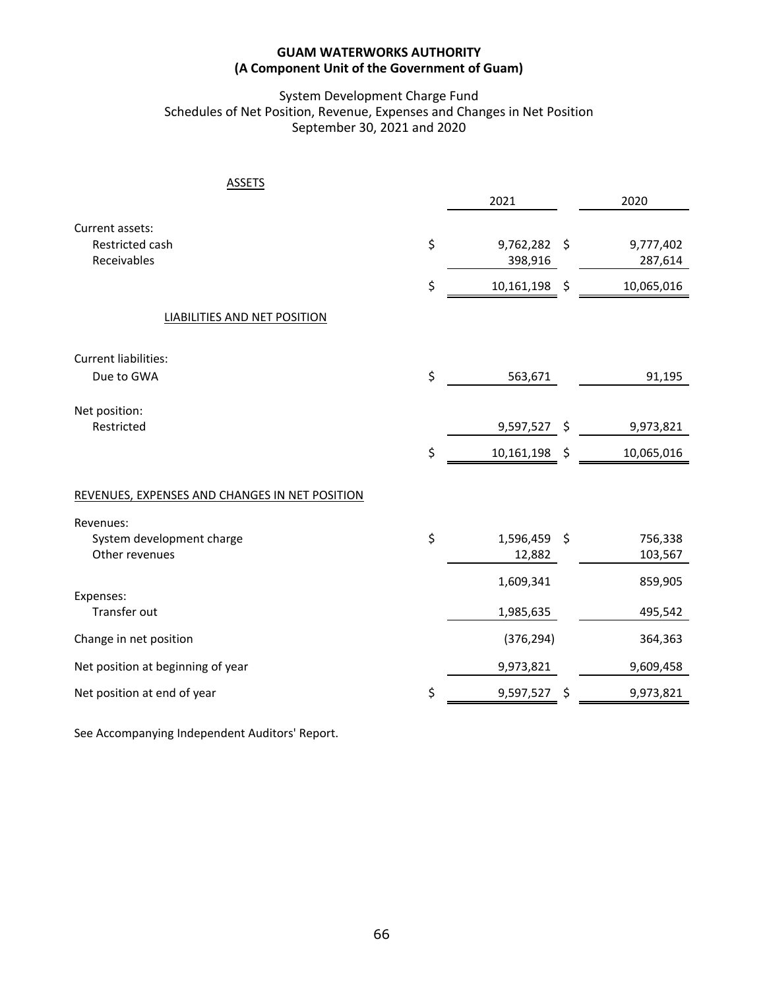# System Development Charge Fund Schedules of Net Position, Revenue, Expenses and Changes in Net Position September 30, 2021 and 2020

| <b>ASSETS</b>                                  |                    |         |            |
|------------------------------------------------|--------------------|---------|------------|
|                                                | 2021               |         | 2020       |
| Current assets:                                |                    |         |            |
| Restricted cash                                | \$<br>9,762,282 \$ |         | 9,777,402  |
| Receivables                                    | 398,916            |         | 287,614    |
|                                                | \$<br>10,161,198   | \$      | 10,065,016 |
| LIABILITIES AND NET POSITION                   |                    |         |            |
| Current liabilities:                           |                    |         |            |
| Due to GWA                                     | \$<br>563,671      |         | 91,195     |
|                                                |                    |         |            |
| Net position:<br>Restricted                    |                    | \$      |            |
|                                                | 9,597,527          |         | 9,973,821  |
|                                                | \$<br>10,161,198   | $\zeta$ | 10,065,016 |
|                                                |                    |         |            |
| REVENUES, EXPENSES AND CHANGES IN NET POSITION |                    |         |            |
| Revenues:                                      |                    |         |            |
| System development charge                      | \$<br>1,596,459 \$ |         | 756,338    |
| Other revenues                                 | 12,882             |         | 103,567    |
|                                                | 1,609,341          |         | 859,905    |
| Expenses:                                      |                    |         |            |
| Transfer out                                   | 1,985,635          |         | 495,542    |
| Change in net position                         | (376, 294)         |         | 364,363    |
| Net position at beginning of year              | 9,973,821          |         | 9,609,458  |
| Net position at end of year                    | \$<br>9,597,527    | \$      | 9,973,821  |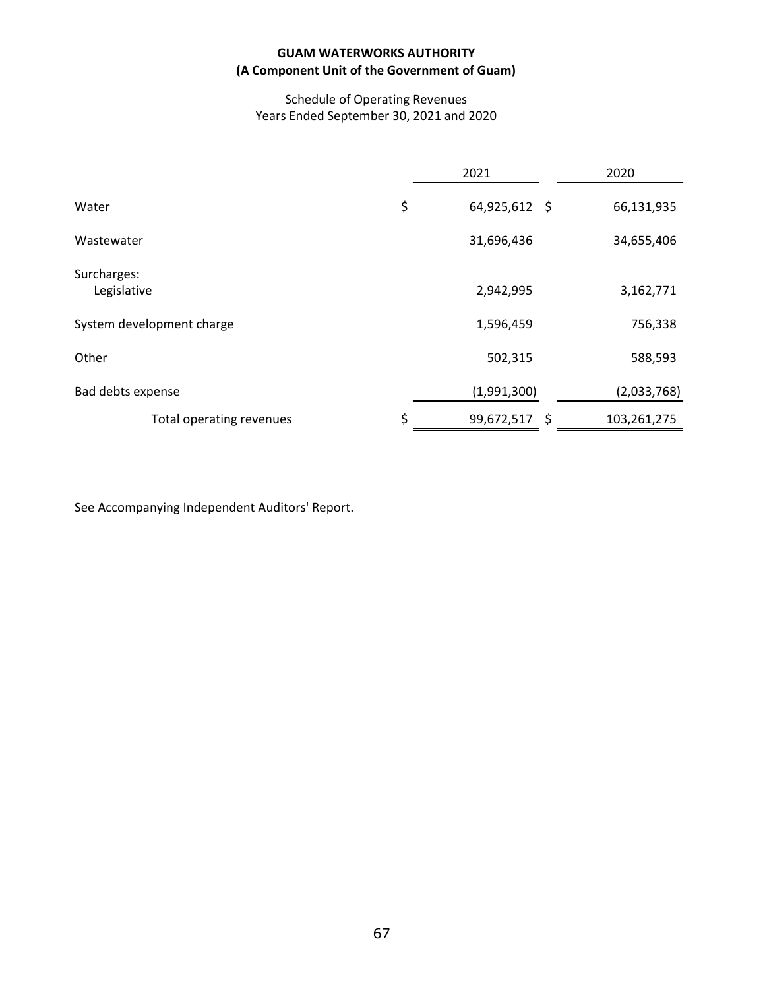# Schedule of Operating Revenues Years Ended September 30, 2021 and 2020

|                            | 2021                | 2020        |  |
|----------------------------|---------------------|-------------|--|
| Water                      | \$<br>64,925,612 \$ | 66,131,935  |  |
| Wastewater                 | 31,696,436          | 34,655,406  |  |
| Surcharges:<br>Legislative | 2,942,995           | 3,162,771   |  |
| System development charge  | 1,596,459           | 756,338     |  |
| Other                      | 502,315             | 588,593     |  |
| Bad debts expense          | (1,991,300)         | (2,033,768) |  |
| Total operating revenues   | \$<br>99,672,517 \$ | 103,261,275 |  |